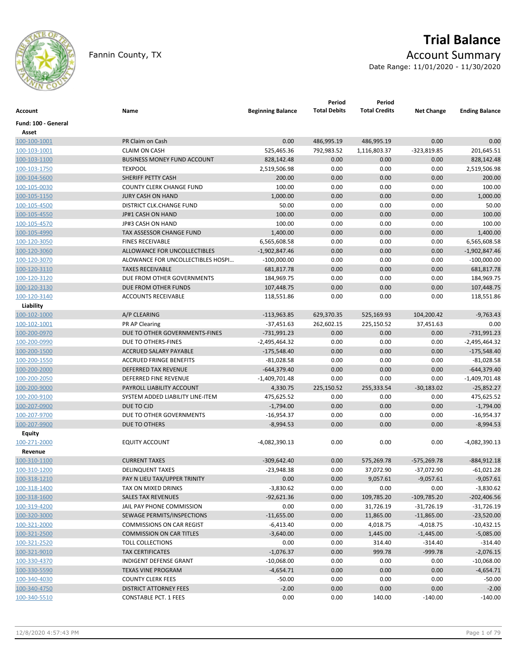

# **Trial Balance**

Date Range: 11/01/2020 - 11/30/2020

| Account             | Name                               | <b>Beginning Balance</b> | Period<br><b>Total Debits</b> | Period<br><b>Total Credits</b> | <b>Net Change</b> | <b>Ending Balance</b> |
|---------------------|------------------------------------|--------------------------|-------------------------------|--------------------------------|-------------------|-----------------------|
| Fund: 100 - General |                                    |                          |                               |                                |                   |                       |
| Asset               |                                    |                          |                               |                                |                   |                       |
| 100-100-1001        | PR Claim on Cash                   | 0.00                     | 486,995.19                    | 486,995.19                     | 0.00              | 0.00                  |
| 100-103-1001        | <b>CLAIM ON CASH</b>               | 525,465.36               | 792,983.52                    | 1,116,803.37                   | $-323,819.85$     | 201,645.51            |
| 100-103-1100        | <b>BUSINESS MONEY FUND ACCOUNT</b> | 828,142.48               | 0.00                          | 0.00                           | 0.00              | 828,142.48            |
| 100-103-1750        | <b>TEXPOOL</b>                     | 2,519,506.98             | 0.00                          | 0.00                           | 0.00              | 2,519,506.98          |
| 100-104-5600        | SHERIFF PETTY CASH                 | 200.00                   | 0.00                          | 0.00                           | 0.00              | 200.00                |
| 100-105-0030        | <b>COUNTY CLERK CHANGE FUND</b>    | 100.00                   | 0.00                          | 0.00                           | 0.00              | 100.00                |
| 100-105-1150        | <b>JURY CASH ON HAND</b>           | 1,000.00                 | 0.00                          | 0.00                           | 0.00              | 1,000.00              |
| 100-105-4500        | DISTRICT CLK.CHANGE FUND           | 50.00                    | 0.00                          | 0.00                           | 0.00              | 50.00                 |
| 100-105-4550        | JP#1 CASH ON HAND                  | 100.00                   | 0.00                          | 0.00                           | 0.00              | 100.00                |
| 100-105-4570        | JP#3 CASH ON HAND                  | 100.00                   | 0.00                          | 0.00                           | 0.00              | 100.00                |
| 100-105-4990        | TAX ASSESSOR CHANGE FUND           | 1,400.00                 | 0.00                          | 0.00                           | 0.00              | 1,400.00              |
| 100-120-3050        | <b>FINES RECEIVABLE</b>            | 6,565,608.58             | 0.00                          | 0.00                           | 0.00              | 6,565,608.58          |
| 100-120-3060        | ALLOWANCE FOR UNCOLLECTIBLES       | $-1,902,847.46$          | 0.00                          | 0.00                           | 0.00              | $-1,902,847.46$       |
| 100-120-3070        | ALOWANCE FOR UNCOLLECTIBLES HOSPI  | $-100,000.00$            | 0.00                          | 0.00                           | 0.00              | $-100,000.00$         |
| 100-120-3110        | <b>TAXES RECEIVABLE</b>            | 681,817.78               | 0.00                          | 0.00                           | 0.00              | 681,817.78            |
| 100-120-3120        | DUE FROM OTHER GOVERNMENTS         | 184,969.75               | 0.00                          | 0.00                           | 0.00              | 184,969.75            |
| 100-120-3130        | DUE FROM OTHER FUNDS               | 107,448.75               | 0.00                          | 0.00                           | 0.00              | 107,448.75            |
| 100-120-3140        | ACCOUNTS RECEIVABLE                | 118,551.86               | 0.00                          | 0.00                           | 0.00              | 118,551.86            |
| Liability           |                                    |                          |                               |                                |                   |                       |
| 100-102-1000        | A/P CLEARING                       | $-113,963.85$            | 629,370.35                    | 525,169.93                     | 104,200.42        | $-9,763.43$           |
| 100-102-1001        | PR AP Clearing                     | $-37,451.63$             | 262,602.15                    | 225,150.52                     | 37,451.63         | 0.00                  |
| 100-200-0970        | DUE TO OTHER GOVERNMENTS-FINES     | $-731,991.23$            | 0.00                          | 0.00                           | 0.00              | $-731,991.23$         |
| 100-200-0990        | DUE TO OTHERS-FINES                | $-2,495,464.32$          | 0.00                          | 0.00                           | 0.00              | $-2,495,464.32$       |
| 100-200-1500        | ACCRUED SALARY PAYABLE             | $-175,548.40$            | 0.00                          | 0.00                           | 0.00              | $-175,548.40$         |
| 100-200-1550        | <b>ACCRUED FRINGE BENEFITS</b>     | $-81,028.58$             | 0.00                          | 0.00                           | 0.00              | $-81,028.58$          |
| 100-200-2000        | <b>DEFERRED TAX REVENUE</b>        | $-644,379.40$            | 0.00                          | 0.00                           | 0.00              | $-644,379.40$         |
| 100-200-2050        | DEFERRED FINE REVENUE              | $-1,409,701.48$          | 0.00                          | 0.00                           | 0.00              | $-1,409,701.48$       |
| 100-200-9000        | PAYROLL LIABILITY ACCOUNT          | 4,330.75                 | 225,150.52                    | 255,333.54                     | $-30,183.02$      | $-25,852.27$          |
| 100-200-9100        | SYSTEM ADDED LIABILITY LINE-ITEM   | 475,625.52               | 0.00                          | 0.00                           | 0.00              | 475,625.52            |
| 100-207-0900        | DUE TO CJD                         | $-1,794.00$              | 0.00                          | 0.00                           | 0.00              | $-1,794.00$           |
| 100-207-9700        | DUE TO OTHER GOVERNMENTS           | $-16,954.37$             | 0.00                          | 0.00                           | 0.00              | $-16,954.37$          |
| 100-207-9900        | DUE TO OTHERS                      | $-8,994.53$              | 0.00                          | 0.00                           | 0.00              | $-8,994.53$           |
| Equity              |                                    |                          |                               |                                |                   |                       |
| 100-271-2000        | <b>EQUITY ACCOUNT</b>              | -4,082,390.13            | 0.00                          | 0.00                           | 0.00              | $-4,082,390.13$       |
| Revenue             |                                    |                          |                               |                                |                   |                       |
| 100-310-1100        | <b>CURRENT TAXES</b>               | $-309,642.40$            | 0.00                          | 575,269.78                     | -575,269.78       | $-884,912.18$         |
| 100-310-1200        | <b>DELINQUENT TAXES</b>            | $-23,948.38$             | 0.00                          | 37,072.90                      | $-37,072.90$      | $-61,021.28$          |
| 100-318-1210        | PAY N LIEU TAX/UPPER TRINITY       | 0.00                     | $0.00\,$                      | 9,057.61                       | $-9,057.61$       | $-9,057.61$           |
| 100-318-1400        | TAX ON MIXED DRINKS                | $-3,830.62$              | 0.00                          | 0.00                           | 0.00              | $-3,830.62$           |
| 100-318-1600        | <b>SALES TAX REVENUES</b>          | $-92,621.36$             | 0.00                          | 109,785.20                     | $-109,785.20$     | $-202,406.56$         |
| 100-319-4200        | JAIL PAY PHONE COMMISSION          | 0.00                     | 0.00                          | 31,726.19                      | $-31,726.19$      | $-31,726.19$          |
| 100-320-3000        | SEWAGE PERMITS/INSPECTIONS         | $-11,655.00$             | 0.00                          | 11,865.00                      | $-11,865.00$      | $-23,520.00$          |
| 100-321-2000        | <b>COMMISSIONS ON CAR REGIST</b>   | $-6,413.40$              | 0.00                          | 4,018.75                       | $-4,018.75$       | $-10,432.15$          |
| 100-321-2500        | <b>COMMISSION ON CAR TITLES</b>    | $-3,640.00$              | 0.00                          | 1,445.00                       | $-1,445.00$       | $-5,085.00$           |
| 100-321-2520        | <b>TOLL COLLECTIONS</b>            | 0.00                     | 0.00                          | 314.40                         | $-314.40$         | $-314.40$             |
| 100-321-9010        | <b>TAX CERTIFICATES</b>            | $-1,076.37$              | 0.00                          | 999.78                         | $-999.78$         | $-2,076.15$           |
| 100-330-4370        | INDIGENT DEFENSE GRANT             | $-10,068.00$             | 0.00                          | 0.00                           | 0.00              | $-10,068.00$          |
| 100-330-5590        | <b>TEXAS VINE PROGRAM</b>          | $-4,654.71$              | 0.00                          | 0.00                           | 0.00              | $-4,654.71$           |
| 100-340-4030        | <b>COUNTY CLERK FEES</b>           | $-50.00$                 | 0.00                          | 0.00                           | 0.00              | $-50.00$              |
| 100-340-4750        | <b>DISTRICT ATTORNEY FEES</b>      | $-2.00$                  | 0.00                          | 0.00                           | 0.00              | $-2.00$               |
| 100-340-5510        | <b>CONSTABLE PCT. 1 FEES</b>       | 0.00                     | 0.00                          | 140.00                         | $-140.00$         | $-140.00$             |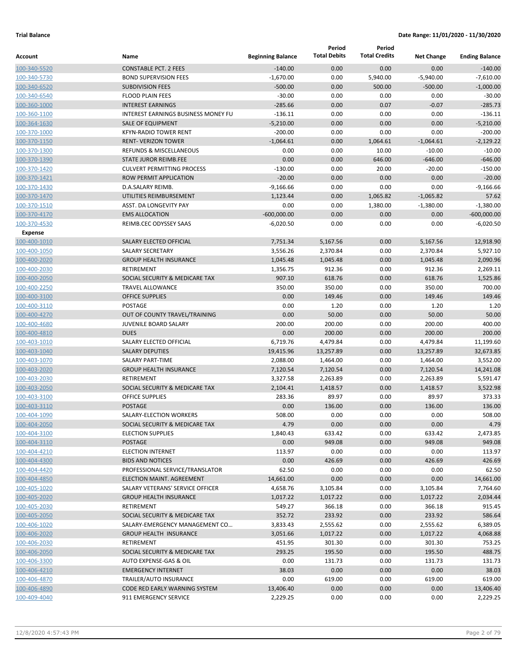|                                |                                                 |                          | Period              | Period               |                   |                              |
|--------------------------------|-------------------------------------------------|--------------------------|---------------------|----------------------|-------------------|------------------------------|
| Account                        | Name                                            | <b>Beginning Balance</b> | <b>Total Debits</b> | <b>Total Credits</b> | <b>Net Change</b> | <b>Ending Balance</b>        |
| 100-340-5520                   | <b>CONSTABLE PCT. 2 FEES</b>                    | $-140.00$                | 0.00                | 0.00                 | 0.00              | $-140.00$                    |
| 100-340-5730                   | <b>BOND SUPERVISION FEES</b>                    | $-1,670.00$              | 0.00                | 5,940.00             | $-5,940.00$       | $-7,610.00$                  |
| 100-340-6520                   | <b>SUBDIVISION FEES</b>                         | $-500.00$                | 0.00                | 500.00               | $-500.00$         | $-1,000.00$                  |
| 100-340-6540                   | <b>FLOOD PLAIN FEES</b>                         | $-30.00$                 | 0.00                | 0.00                 | 0.00              | $-30.00$                     |
| 100-360-1000                   | <b>INTEREST EARNINGS</b>                        | $-285.66$                | 0.00                | 0.07                 | $-0.07$           | $-285.73$                    |
| 100-360-1100                   | <b>INTEREST EARNINGS BUSINESS MONEY FU</b>      | $-136.11$                | 0.00                | 0.00                 | 0.00              | $-136.11$                    |
| 100-364-1630                   | <b>SALE OF EQUIPMENT</b>                        | $-5,210.00$              | 0.00                | 0.00                 | 0.00              | $-5,210.00$                  |
| 100-370-1000                   | <b>KFYN-RADIO TOWER RENT</b>                    | $-200.00$                | 0.00                | 0.00                 | 0.00              | $-200.00$                    |
| 100-370-1150                   | <b>RENT- VERIZON TOWER</b>                      | $-1,064.61$              | 0.00                | 1,064.61             | $-1,064.61$       | $-2,129.22$                  |
| 100-370-1300                   | <b>REFUNDS &amp; MISCELLANEOUS</b>              | 0.00                     | 0.00                | 10.00                | $-10.00$          | $-10.00$                     |
| 100-370-1390                   | <b>STATE JUROR REIMB.FEE</b>                    | 0.00                     | 0.00                | 646.00               | $-646.00$         | $-646.00$                    |
| 100-370-1420                   | <b>CULVERT PERMITTING PROCESS</b>               | $-130.00$                | 0.00                | 20.00                | $-20.00$          | $-150.00$                    |
| 100-370-1421                   | <b>ROW PERMIT APPLICATION</b>                   | $-20.00$                 | 0.00                | 0.00                 | 0.00              | $-20.00$                     |
| 100-370-1430                   | D.A.SALARY REIMB.                               | $-9,166.66$              | 0.00                | 0.00                 | 0.00              | $-9,166.66$                  |
| 100-370-1470                   | UTILITIES REIMBURSEMENT                         | 1,123.44                 | 0.00                | 1,065.82             | $-1,065.82$       | 57.62                        |
| 100-370-1510                   | ASST. DA LONGEVITY PAY<br><b>EMS ALLOCATION</b> | 0.00<br>$-600,000.00$    | 0.00<br>0.00        | 1,380.00<br>0.00     | $-1,380.00$       | $-1,380.00$<br>$-600,000.00$ |
| 100-370-4170                   | REIMB.CEC ODYSSEY SAAS                          |                          | 0.00                |                      | 0.00<br>0.00      |                              |
| 100-370-4530                   |                                                 | $-6,020.50$              |                     | 0.00                 |                   | $-6,020.50$                  |
| <b>Expense</b><br>100-400-1010 | SALARY ELECTED OFFICIAL                         | 7,751.34                 | 5,167.56            | 0.00                 | 5,167.56          | 12,918.90                    |
| 100-400-1050                   | <b>SALARY SECRETARY</b>                         | 3,556.26                 | 2,370.84            | 0.00                 | 2,370.84          | 5,927.10                     |
| 100-400-2020                   | <b>GROUP HEALTH INSURANCE</b>                   | 1,045.48                 | 1,045.48            | 0.00                 | 1,045.48          | 2,090.96                     |
| 100-400-2030                   | <b>RETIREMENT</b>                               | 1,356.75                 | 912.36              | 0.00                 | 912.36            | 2,269.11                     |
| 100-400-2050                   | SOCIAL SECURITY & MEDICARE TAX                  | 907.10                   | 618.76              | 0.00                 | 618.76            | 1,525.86                     |
| 100-400-2250                   | <b>TRAVEL ALLOWANCE</b>                         | 350.00                   | 350.00              | 0.00                 | 350.00            | 700.00                       |
| 100-400-3100                   | <b>OFFICE SUPPLIES</b>                          | 0.00                     | 149.46              | 0.00                 | 149.46            | 149.46                       |
| 100-400-3110                   | POSTAGE                                         | 0.00                     | 1.20                | 0.00                 | 1.20              | 1.20                         |
| 100-400-4270                   | OUT OF COUNTY TRAVEL/TRAINING                   | 0.00                     | 50.00               | 0.00                 | 50.00             | 50.00                        |
| 100-400-4680                   | JUVENILE BOARD SALARY                           | 200.00                   | 200.00              | 0.00                 | 200.00            | 400.00                       |
| 100-400-4810                   | <b>DUES</b>                                     | 0.00                     | 200.00              | 0.00                 | 200.00            | 200.00                       |
| 100-403-1010                   | SALARY ELECTED OFFICIAL                         | 6,719.76                 | 4,479.84            | 0.00                 | 4,479.84          | 11,199.60                    |
| 100-403-1040                   | <b>SALARY DEPUTIES</b>                          | 19,415.96                | 13,257.89           | 0.00                 | 13,257.89         | 32,673.85                    |
| 100-403-1070                   | <b>SALARY PART-TIME</b>                         | 2,088.00                 | 1,464.00            | 0.00                 | 1,464.00          | 3,552.00                     |
| 100-403-2020                   | <b>GROUP HEALTH INSURANCE</b>                   | 7,120.54                 | 7,120.54            | 0.00                 | 7,120.54          | 14,241.08                    |
| 100-403-2030                   | RETIREMENT                                      | 3,327.58                 | 2,263.89            | 0.00                 | 2,263.89          | 5,591.47                     |
| 100-403-2050                   | SOCIAL SECURITY & MEDICARE TAX                  | 2,104.41                 | 1,418.57            | 0.00                 | 1,418.57          | 3,522.98                     |
| 100-403-3100                   | <b>OFFICE SUPPLIES</b>                          | 283.36                   | 89.97               | 0.00                 | 89.97             | 373.33                       |
| 100-403-3110                   | <b>POSTAGE</b>                                  | 0.00                     | 136.00              | 0.00                 | 136.00            | 136.00                       |
| 100-404-1090                   | SALARY-ELECTION WORKERS                         | 508.00                   | 0.00                | 0.00                 | 0.00              | 508.00                       |
| 100-404-2050                   | SOCIAL SECURITY & MEDICARE TAX                  | 4.79                     | 0.00                | 0.00                 | 0.00              | 4.79                         |
| 100-404-3100                   | <b>ELECTION SUPPLIES</b>                        | 1,840.43                 | 633.42              | 0.00                 | 633.42            | 2,473.85                     |
| 100-404-3110                   | <b>POSTAGE</b>                                  | 0.00                     | 949.08              | 0.00                 | 949.08            | 949.08                       |
| 100-404-4210                   | <b>ELECTION INTERNET</b>                        | 113.97                   | 0.00                | 0.00                 | 0.00              | 113.97                       |
| 100-404-4300                   | <b>BIDS AND NOTICES</b>                         | 0.00                     | 426.69              | 0.00                 | 426.69            | 426.69                       |
| 100-404-4420                   | PROFESSIONAL SERVICE/TRANSLATOR                 | 62.50                    | 0.00                | 0.00                 | 0.00              | 62.50                        |
| 100-404-4850                   | ELECTION MAINT. AGREEMENT                       | 14,661.00                | 0.00                | 0.00                 | 0.00              | 14,661.00                    |
| 100-405-1020                   | SALARY VETERANS' SERVICE OFFICER                | 4,658.76                 | 3,105.84            | 0.00                 | 3,105.84          | 7,764.60                     |
| 100-405-2020                   | <b>GROUP HEALTH INSURANCE</b>                   | 1,017.22                 | 1,017.22            | 0.00                 | 1,017.22          | 2,034.44                     |
| 100-405-2030                   | RETIREMENT                                      | 549.27                   | 366.18              | 0.00                 | 366.18            | 915.45                       |
| 100-405-2050                   | SOCIAL SECURITY & MEDICARE TAX                  | 352.72                   | 233.92              | 0.00                 | 233.92            | 586.64                       |
| 100-406-1020                   | SALARY-EMERGENCY MANAGEMENT CO                  | 3,833.43                 | 2,555.62            | 0.00                 | 2,555.62          | 6,389.05                     |
| 100-406-2020                   | <b>GROUP HEALTH INSURANCE</b>                   | 3,051.66                 | 1,017.22            | 0.00                 | 1,017.22          | 4,068.88                     |
| 100-406-2030                   | RETIREMENT                                      | 451.95                   | 301.30              | 0.00                 | 301.30            | 753.25                       |
| 100-406-2050                   | SOCIAL SECURITY & MEDICARE TAX                  | 293.25                   | 195.50              | 0.00                 | 195.50            | 488.75                       |
| 100-406-3300                   | AUTO EXPENSE-GAS & OIL                          | 0.00                     | 131.73              | 0.00                 | 131.73            | 131.73                       |
| 100-406-4210                   | <b>EMERGENCY INTERNET</b>                       | 38.03                    | 0.00                | 0.00                 | 0.00              | 38.03                        |
| 100-406-4870                   | TRAILER/AUTO INSURANCE                          | 0.00                     | 619.00              | 0.00                 | 619.00            | 619.00                       |
| 100-406-4890                   | CODE RED EARLY WARNING SYSTEM                   | 13,406.40                | 0.00                | 0.00                 | 0.00              | 13,406.40                    |
| 100-409-4040                   | 911 EMERGENCY SERVICE                           | 2,229.25                 | 0.00                | 0.00                 | 0.00              | 2,229.25                     |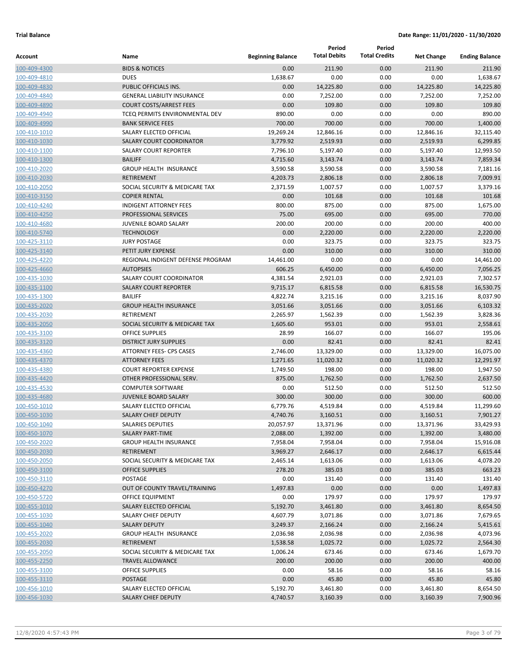|                              |                                                         |                          | Period              | Period               |                      |                       |
|------------------------------|---------------------------------------------------------|--------------------------|---------------------|----------------------|----------------------|-----------------------|
| Account                      | Name                                                    | <b>Beginning Balance</b> | <b>Total Debits</b> | <b>Total Credits</b> | <b>Net Change</b>    | <b>Ending Balance</b> |
| 100-409-4300                 | <b>BIDS &amp; NOTICES</b>                               | 0.00                     | 211.90              | 0.00                 | 211.90               | 211.90                |
| 100-409-4810                 | <b>DUES</b>                                             | 1,638.67                 | 0.00                | 0.00                 | 0.00                 | 1,638.67              |
| 100-409-4830                 | PUBLIC OFFICIALS INS.                                   | 0.00                     | 14,225.80           | 0.00                 | 14,225.80            | 14,225.80             |
| 100-409-4840                 | <b>GENERAL LIABILITY INSURANCE</b>                      | 0.00                     | 7,252.00            | 0.00                 | 7,252.00             | 7,252.00              |
| 100-409-4890                 | <b>COURT COSTS/ARREST FEES</b>                          | 0.00                     | 109.80              | 0.00                 | 109.80               | 109.80                |
| 100-409-4940                 | TCEQ PERMITS ENVIRONMENTAL DEV                          | 890.00                   | 0.00                | 0.00                 | 0.00                 | 890.00                |
| 100-409-4990                 | <b>BANK SERVICE FEES</b>                                | 700.00                   | 700.00              | 0.00                 | 700.00               | 1,400.00              |
| 100-410-1010                 | SALARY ELECTED OFFICIAL                                 | 19,269.24                | 12,846.16           | 0.00                 | 12,846.16            | 32,115.40             |
| 100-410-1030                 | <b>SALARY COURT COORDINATOR</b>                         | 3,779.92                 | 2,519.93            | 0.00                 | 2,519.93             | 6,299.85              |
| 100-410-1100                 | <b>SALARY COURT REPORTER</b>                            | 7,796.10                 | 5,197.40            | 0.00                 | 5,197.40             | 12,993.50             |
| 100-410-1300                 | <b>BAILIFF</b>                                          | 4,715.60                 | 3,143.74            | 0.00                 | 3,143.74             | 7,859.34              |
| 100-410-2020                 | <b>GROUP HEALTH INSURANCE</b>                           | 3,590.58                 | 3,590.58            | 0.00                 | 3,590.58             | 7,181.16              |
| 100-410-2030                 | <b>RETIREMENT</b>                                       | 4,203.73                 | 2,806.18            | 0.00                 | 2,806.18             | 7,009.91              |
| 100-410-2050                 | SOCIAL SECURITY & MEDICARE TAX                          | 2,371.59                 | 1,007.57            | 0.00                 | 1,007.57             | 3,379.16              |
| 100-410-3150                 | <b>COPIER RENTAL</b>                                    | 0.00                     | 101.68              | 0.00                 | 101.68               | 101.68                |
| 100-410-4240                 | <b>INDIGENT ATTORNEY FEES</b>                           | 800.00                   | 875.00              | 0.00                 | 875.00               | 1,675.00              |
| 100-410-4250                 | PROFESSIONAL SERVICES                                   | 75.00                    | 695.00              | 0.00                 | 695.00               | 770.00                |
| 100-410-4680                 | <b>JUVENILE BOARD SALARY</b>                            | 200.00                   | 200.00              | 0.00                 | 200.00               | 400.00                |
| 100-410-5740                 | <b>TECHNOLOGY</b>                                       | 0.00                     | 2,220.00            | 0.00                 | 2,220.00             | 2,220.00              |
| 100-425-3110                 | <b>JURY POSTAGE</b>                                     | 0.00                     | 323.75              | 0.00                 | 323.75               | 323.75                |
| 100-425-3140                 | PETIT JURY EXPENSE                                      | 0.00                     | 310.00              | 0.00                 | 310.00               | 310.00                |
| 100-425-4220                 | REGIONAL INDIGENT DEFENSE PROGRAM                       | 14,461.00                | 0.00                | 0.00                 | 0.00                 | 14,461.00             |
| 100-425-4660                 | <b>AUTOPSIES</b>                                        | 606.25                   | 6,450.00            | 0.00                 | 6,450.00             | 7,056.25              |
| 100-435-1030                 | SALARY COURT COORDINATOR                                | 4,381.54                 | 2,921.03            | 0.00                 | 2,921.03             | 7,302.57              |
| 100-435-1100                 | <b>SALARY COURT REPORTER</b>                            | 9,715.17                 | 6,815.58            | 0.00                 | 6,815.58             | 16,530.75             |
| 100-435-1300                 | <b>BAILIFF</b>                                          | 4,822.74                 | 3,215.16            | 0.00                 | 3,215.16             | 8,037.90              |
| 100-435-2020                 | <b>GROUP HEALTH INSURANCE</b>                           | 3,051.66                 | 3,051.66            | 0.00                 | 3,051.66             | 6,103.32              |
| 100-435-2030                 | RETIREMENT                                              | 2,265.97                 | 1,562.39            | 0.00                 | 1,562.39             | 3,828.36              |
| 100-435-2050                 | SOCIAL SECURITY & MEDICARE TAX                          | 1,605.60                 | 953.01              | 0.00                 | 953.01               | 2,558.61              |
| 100-435-3100                 | <b>OFFICE SUPPLIES</b>                                  | 28.99                    | 166.07              | 0.00                 | 166.07               | 195.06                |
| 100-435-3120                 | <b>DISTRICT JURY SUPPLIES</b>                           | 0.00                     | 82.41               | 0.00                 | 82.41                | 82.41                 |
| 100-435-4360                 | ATTORNEY FEES- CPS CASES                                | 2,746.00                 | 13,329.00           | 0.00                 | 13,329.00            | 16,075.00             |
| 100-435-4370                 | <b>ATTORNEY FEES</b>                                    | 1,271.65                 | 11,020.32           | 0.00                 | 11,020.32            | 12,291.97             |
| 100-435-4380                 | <b>COURT REPORTER EXPENSE</b>                           | 1,749.50                 | 198.00              | 0.00                 | 198.00               | 1,947.50              |
| 100-435-4420                 | OTHER PROFESSIONAL SERV.                                | 875.00                   | 1,762.50            | 0.00                 | 1,762.50             | 2,637.50              |
| 100-435-4530                 | <b>COMPUTER SOFTWARE</b>                                | 0.00                     | 512.50              | 0.00                 | 512.50               | 512.50                |
| 100-435-4680                 | <b>JUVENILE BOARD SALARY</b><br>SALARY ELECTED OFFICIAL | 300.00                   | 300.00<br>4,519.84  | 0.00                 | 300.00               | 600.00<br>11,299.60   |
| 100-450-1010<br>100-450-1030 | <b>SALARY CHIEF DEPUTY</b>                              | 6,779.76<br>4,740.76     | 3,160.51            | 0.00<br>0.00         | 4,519.84<br>3,160.51 | 7,901.27              |
| 100-450-1040                 | SALARIES DEPUTIES                                       | 20,057.97                | 13,371.96           | 0.00                 | 13,371.96            | 33,429.93             |
| 100-450-1070                 | SALARY PART-TIME                                        | 2,088.00                 | 1,392.00            | 0.00                 | 1,392.00             | 3,480.00              |
| 100-450-2020                 | <b>GROUP HEALTH INSURANCE</b>                           | 7,958.04                 | 7,958.04            | 0.00                 | 7,958.04             | 15,916.08             |
| 100-450-2030                 | <b>RETIREMENT</b>                                       | 3,969.27                 | 2,646.17            | 0.00                 | 2,646.17             | 6,615.44              |
| 100-450-2050                 | SOCIAL SECURITY & MEDICARE TAX                          | 2,465.14                 | 1,613.06            | 0.00                 | 1,613.06             | 4,078.20              |
| 100-450-3100                 | <b>OFFICE SUPPLIES</b>                                  | 278.20                   | 385.03              | 0.00                 | 385.03               | 663.23                |
| 100-450-3110                 | <b>POSTAGE</b>                                          | 0.00                     | 131.40              | 0.00                 | 131.40               | 131.40                |
| 100-450-4270                 | OUT OF COUNTY TRAVEL/TRAINING                           | 1,497.83                 | 0.00                | 0.00                 | 0.00                 | 1,497.83              |
| 100-450-5720                 | OFFICE EQUIPMENT                                        | 0.00                     | 179.97              | 0.00                 | 179.97               | 179.97                |
| 100-455-1010                 | SALARY ELECTED OFFICIAL                                 | 5,192.70                 | 3,461.80            | 0.00                 | 3,461.80             | 8,654.50              |
| 100-455-1030                 | <b>SALARY CHIEF DEPUTY</b>                              | 4,607.79                 | 3,071.86            | 0.00                 | 3,071.86             | 7,679.65              |
| 100-455-1040                 | <b>SALARY DEPUTY</b>                                    | 3,249.37                 | 2,166.24            | 0.00                 | 2,166.24             | 5,415.61              |
| 100-455-2020                 | <b>GROUP HEALTH INSURANCE</b>                           | 2,036.98                 | 2,036.98            | 0.00                 | 2,036.98             | 4,073.96              |
| 100-455-2030                 | <b>RETIREMENT</b>                                       | 1,538.58                 | 1,025.72            | 0.00                 | 1,025.72             | 2,564.30              |
| 100-455-2050                 | SOCIAL SECURITY & MEDICARE TAX                          | 1,006.24                 | 673.46              | 0.00                 | 673.46               | 1,679.70              |
| 100-455-2250                 | <b>TRAVEL ALLOWANCE</b>                                 | 200.00                   | 200.00              | 0.00                 | 200.00               | 400.00                |
| 100-455-3100                 | OFFICE SUPPLIES                                         | 0.00                     | 58.16               | 0.00                 | 58.16                | 58.16                 |
| 100-455-3110                 | POSTAGE                                                 | 0.00                     | 45.80               | 0.00                 | 45.80                | 45.80                 |
| 100-456-1010                 | SALARY ELECTED OFFICIAL                                 | 5,192.70                 | 3,461.80            | 0.00                 | 3,461.80             | 8,654.50              |
| 100-456-1030                 | <b>SALARY CHIEF DEPUTY</b>                              | 4,740.57                 | 3,160.39            | 0.00                 | 3,160.39             | 7,900.96              |
|                              |                                                         |                          |                     |                      |                      |                       |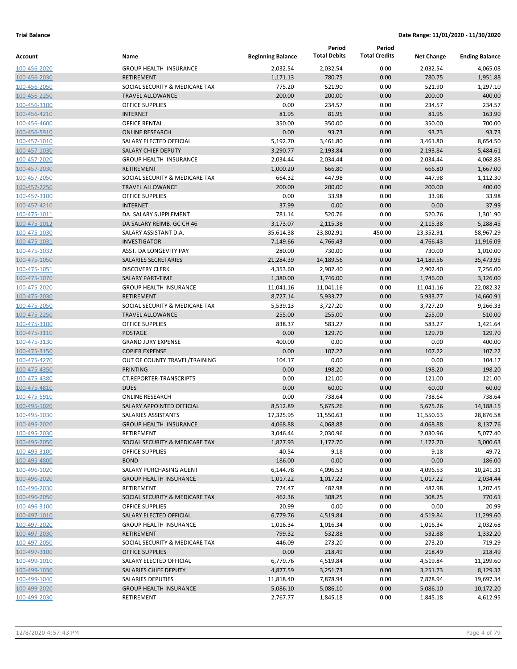| <b>Account</b>               | Name                                           | <b>Beginning Balance</b> | Period<br><b>Total Debits</b> | Period<br><b>Total Credits</b> | <b>Net Change</b>    | <b>Ending Balance</b> |
|------------------------------|------------------------------------------------|--------------------------|-------------------------------|--------------------------------|----------------------|-----------------------|
| 100-456-2020                 | <b>GROUP HEALTH INSURANCE</b>                  | 2,032.54                 | 2,032.54                      | 0.00                           | 2,032.54             | 4,065.08              |
| 100-456-2030                 | <b>RETIREMENT</b>                              | 1,171.13                 | 780.75                        | 0.00                           | 780.75               | 1,951.88              |
| 100-456-2050                 | SOCIAL SECURITY & MEDICARE TAX                 | 775.20                   | 521.90                        | 0.00                           | 521.90               | 1,297.10              |
| 100-456-2250                 | <b>TRAVEL ALLOWANCE</b>                        | 200.00                   | 200.00                        | 0.00                           | 200.00               | 400.00                |
| 100-456-3100                 | <b>OFFICE SUPPLIES</b>                         | 0.00                     | 234.57                        | 0.00                           | 234.57               | 234.57                |
| 100-456-4210                 | <b>INTERNET</b>                                | 81.95                    | 81.95                         | 0.00                           | 81.95                | 163.90                |
| 100-456-4600                 | <b>OFFICE RENTAL</b>                           | 350.00                   | 350.00                        | 0.00                           | 350.00               | 700.00                |
| 100-456-5910                 | <b>ONLINE RESEARCH</b>                         | 0.00                     | 93.73                         | 0.00                           | 93.73                | 93.73                 |
| 100-457-1010                 | SALARY ELECTED OFFICIAL                        | 5,192.70                 | 3,461.80                      | 0.00                           | 3,461.80             | 8,654.50              |
| 100-457-1030                 | SALARY CHIEF DEPUTY                            | 3,290.77                 | 2,193.84                      | 0.00                           | 2,193.84             | 5,484.61              |
| 100-457-2020                 | <b>GROUP HEALTH INSURANCE</b>                  | 2,034.44                 | 2,034.44                      | 0.00                           | 2,034.44             | 4,068.88              |
| 100-457-2030                 | <b>RETIREMENT</b>                              | 1,000.20                 | 666.80                        | 0.00                           | 666.80               | 1,667.00              |
| 100-457-2050                 | SOCIAL SECURITY & MEDICARE TAX                 | 664.32                   | 447.98                        | 0.00                           | 447.98               | 1,112.30              |
| 100-457-2250                 | <b>TRAVEL ALLOWANCE</b>                        | 200.00                   | 200.00                        | 0.00                           | 200.00               | 400.00                |
| 100-457-3100                 | <b>OFFICE SUPPLIES</b>                         | 0.00                     | 33.98                         | 0.00                           | 33.98                | 33.98                 |
| 100-457-4210                 | <b>INTERNET</b>                                | 37.99                    | 0.00                          | 0.00                           | 0.00                 | 37.99                 |
| 100-475-1011                 | DA. SALARY SUPPLEMENT                          | 781.14                   | 520.76                        | 0.00                           | 520.76               | 1,301.90              |
| 100-475-1012                 | DA SALARY REIMB. GC CH 46                      | 3,173.07                 | 2,115.38                      | 0.00                           | 2,115.38             | 5,288.45              |
| 100-475-1030                 | SALARY ASSISTANT D.A.                          | 35,614.38                | 23,802.91                     | 450.00                         | 23,352.91            | 58,967.29             |
| 100-475-1031                 | <b>INVESTIGATOR</b>                            | 7,149.66                 | 4,766.43                      | 0.00                           | 4,766.43             | 11,916.09             |
| 100-475-1032                 | ASST. DA LONGEVITY PAY                         | 280.00                   | 730.00                        | 0.00                           | 730.00               | 1,010.00              |
| 100-475-1050                 | SALARIES SECRETARIES<br><b>DISCOVERY CLERK</b> | 21,284.39                | 14,189.56                     | 0.00                           | 14,189.56            | 35,473.95             |
| 100-475-1051<br>100-475-1070 | <b>SALARY PART-TIME</b>                        | 4,353.60<br>1,380.00     | 2,902.40                      | 0.00<br>0.00                   | 2,902.40<br>1,746.00 | 7,256.00<br>3,126.00  |
| 100-475-2020                 | <b>GROUP HEALTH INSURANCE</b>                  | 11,041.16                | 1,746.00<br>11,041.16         | 0.00                           | 11,041.16            | 22,082.32             |
| 100-475-2030                 | RETIREMENT                                     | 8,727.14                 | 5,933.77                      | 0.00                           | 5,933.77             | 14,660.91             |
| 100-475-2050                 | SOCIAL SECURITY & MEDICARE TAX                 | 5,539.13                 | 3,727.20                      | 0.00                           | 3,727.20             | 9,266.33              |
| 100-475-2250                 | <b>TRAVEL ALLOWANCE</b>                        | 255.00                   | 255.00                        | 0.00                           | 255.00               | 510.00                |
| 100-475-3100                 | <b>OFFICE SUPPLIES</b>                         | 838.37                   | 583.27                        | 0.00                           | 583.27               | 1,421.64              |
| 100-475-3110                 | <b>POSTAGE</b>                                 | 0.00                     | 129.70                        | 0.00                           | 129.70               | 129.70                |
| 100-475-3130                 | <b>GRAND JURY EXPENSE</b>                      | 400.00                   | 0.00                          | 0.00                           | 0.00                 | 400.00                |
| 100-475-3150                 | <b>COPIER EXPENSE</b>                          | 0.00                     | 107.22                        | 0.00                           | 107.22               | 107.22                |
| 100-475-4270                 | OUT OF COUNTY TRAVEL/TRAINING                  | 104.17                   | 0.00                          | 0.00                           | 0.00                 | 104.17                |
| 100-475-4350                 | <b>PRINTING</b>                                | 0.00                     | 198.20                        | 0.00                           | 198.20               | 198.20                |
| 100-475-4380                 | <b>CT.REPORTER-TRANSCRIPTS</b>                 | 0.00                     | 121.00                        | 0.00                           | 121.00               | 121.00                |
| 100-475-4810                 | <b>DUES</b>                                    | 0.00                     | 60.00                         | 0.00                           | 60.00                | 60.00                 |
| 100-475-5910                 | <b>ONLINE RESEARCH</b>                         | 0.00                     | 738.64                        | 0.00                           | 738.64               | 738.64                |
| 100-495-1020                 | SALARY APPOINTED OFFICIAL                      | 8,512.89                 | 5,675.26                      | 0.00                           | 5,675.26             | 14,188.15             |
| 100-495-1030                 | SALARIES ASSISTANTS                            | 17,325.95                | 11,550.63                     | 0.00                           | 11,550.63            | 28,876.58             |
| 100-495-2020                 | <b>GROUP HEALTH INSURANCE</b>                  | 4,068.88                 | 4,068.88                      | 0.00                           | 4,068.88             | 8,137.76              |
| 100-495-2030                 | RETIREMENT                                     | 3,046.44                 | 2,030.96                      | 0.00                           | 2,030.96             | 5,077.40              |
| 100-495-2050                 | SOCIAL SECURITY & MEDICARE TAX                 | 1,827.93                 | 1,172.70                      | 0.00                           | 1,172.70             | 3,000.63              |
| 100-495-3100                 | OFFICE SUPPLIES                                | 40.54                    | 9.18                          | 0.00                           | 9.18                 | 49.72                 |
| 100-495-4800                 | <b>BOND</b>                                    | 186.00                   | 0.00                          | 0.00                           | 0.00                 | 186.00                |
| 100-496-1020                 | SALARY PURCHASING AGENT                        | 6,144.78                 | 4,096.53                      | 0.00                           | 4,096.53             | 10,241.31             |
| 100-496-2020                 | <b>GROUP HEALTH INSURANCE</b>                  | 1,017.22                 | 1,017.22                      | 0.00                           | 1,017.22             | 2,034.44              |
| 100-496-2030                 | RETIREMENT                                     | 724.47                   | 482.98                        | 0.00                           | 482.98               | 1,207.45              |
| 100-496-2050                 | SOCIAL SECURITY & MEDICARE TAX                 | 462.36                   | 308.25                        | 0.00                           | 308.25               | 770.61                |
| 100-496-3100                 | <b>OFFICE SUPPLIES</b>                         | 20.99                    | 0.00                          | 0.00                           | 0.00                 | 20.99                 |
| 100-497-1010                 | SALARY ELECTED OFFICIAL                        | 6,779.76                 | 4,519.84                      | 0.00                           | 4,519.84             | 11,299.60             |
| 100-497-2020                 | <b>GROUP HEALTH INSURANCE</b>                  | 1,016.34                 | 1,016.34                      | 0.00                           | 1,016.34             | 2,032.68              |
| 100-497-2030                 | <b>RETIREMENT</b>                              | 799.32                   | 532.88                        | 0.00                           | 532.88               | 1,332.20              |
| 100-497-2050                 | SOCIAL SECURITY & MEDICARE TAX                 | 446.09                   | 273.20                        | 0.00                           | 273.20               | 719.29                |
| 100-497-3100                 | <b>OFFICE SUPPLIES</b>                         | 0.00                     | 218.49                        | 0.00                           | 218.49               | 218.49                |
| 100-499-1010                 | SALARY ELECTED OFFICIAL                        | 6,779.76                 | 4,519.84                      | 0.00                           | 4,519.84             | 11,299.60             |
| 100-499-1030                 | SALARIES CHIEF DEPUTY                          | 4,877.59                 | 3,251.73                      | 0.00                           | 3,251.73             | 8,129.32              |
| 100-499-1040                 | SALARIES DEPUTIES                              | 11,818.40                | 7,878.94                      | 0.00                           | 7,878.94             | 19,697.34             |
| 100-499-2020                 | <b>GROUP HEALTH INSURANCE</b>                  | 5,086.10                 | 5,086.10                      | 0.00                           | 5,086.10             | 10,172.20             |
| 100-499-2030                 | RETIREMENT                                     | 2,767.77                 | 1,845.18                      | 0.00                           | 1,845.18             | 4,612.95              |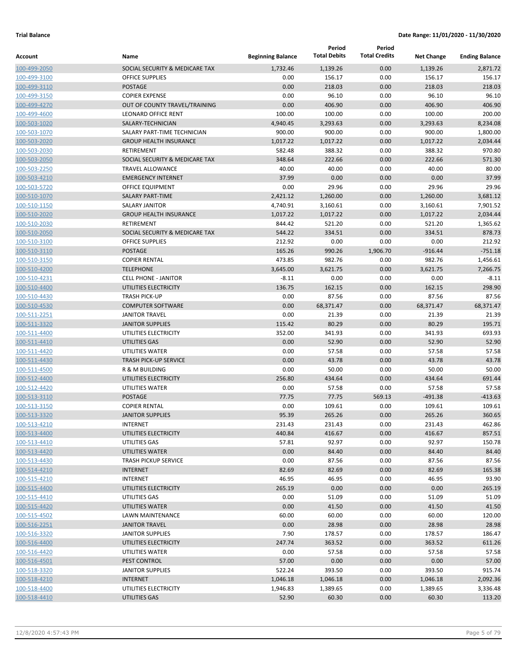|                              |                                                  |                          | Period              | Period               |                   |                       |
|------------------------------|--------------------------------------------------|--------------------------|---------------------|----------------------|-------------------|-----------------------|
| Account                      | Name                                             | <b>Beginning Balance</b> | <b>Total Debits</b> | <b>Total Credits</b> | <b>Net Change</b> | <b>Ending Balance</b> |
| 100-499-2050                 | SOCIAL SECURITY & MEDICARE TAX                   | 1,732.46                 | 1,139.26            | 0.00                 | 1,139.26          | 2,871.72              |
| 100-499-3100                 | <b>OFFICE SUPPLIES</b>                           | 0.00                     | 156.17              | 0.00                 | 156.17            | 156.17                |
| 100-499-3110                 | <b>POSTAGE</b>                                   | 0.00                     | 218.03              | 0.00                 | 218.03            | 218.03                |
| 100-499-3150                 | <b>COPIER EXPENSE</b>                            | 0.00                     | 96.10               | 0.00                 | 96.10             | 96.10                 |
| 100-499-4270                 | OUT OF COUNTY TRAVEL/TRAINING                    | 0.00                     | 406.90              | 0.00                 | 406.90            | 406.90                |
| 100-499-4600                 | <b>LEONARD OFFICE RENT</b>                       | 100.00                   | 100.00              | 0.00                 | 100.00            | 200.00                |
| 100-503-1020                 | SALARY-TECHNICIAN                                | 4,940.45                 | 3,293.63            | 0.00                 | 3,293.63          | 8,234.08              |
| 100-503-1070                 | SALARY PART-TIME TECHNICIAN                      | 900.00                   | 900.00              | 0.00                 | 900.00            | 1,800.00              |
| 100-503-2020                 | <b>GROUP HEALTH INSURANCE</b>                    | 1,017.22                 | 1,017.22            | 0.00                 | 1,017.22          | 2,034.44              |
| 100-503-2030                 | RETIREMENT                                       | 582.48                   | 388.32              | 0.00                 | 388.32            | 970.80                |
| 100-503-2050                 | SOCIAL SECURITY & MEDICARE TAX                   | 348.64                   | 222.66              | 0.00                 | 222.66            | 571.30                |
| 100-503-2250                 | <b>TRAVEL ALLOWANCE</b>                          | 40.00                    | 40.00               | 0.00                 | 40.00             | 80.00                 |
| 100-503-4210                 | <b>EMERGENCY INTERNET</b>                        | 37.99                    | 0.00                | 0.00                 | 0.00              | 37.99                 |
| 100-503-5720                 | OFFICE EQUIPMENT                                 | 0.00                     | 29.96               | 0.00                 | 29.96             | 29.96                 |
| 100-510-1070                 | <b>SALARY PART-TIME</b>                          | 2,421.12                 | 1,260.00            | 0.00                 | 1,260.00          | 3,681.12              |
| 100-510-1150                 | <b>SALARY JANITOR</b>                            | 4,740.91                 | 3,160.61            | 0.00                 | 3,160.61          | 7,901.52              |
| 100-510-2020                 | <b>GROUP HEALTH INSURANCE</b>                    | 1,017.22                 | 1,017.22            | 0.00                 | 1,017.22          | 2,034.44              |
| 100-510-2030                 | <b>RETIREMENT</b>                                | 844.42                   | 521.20              | 0.00                 | 521.20            | 1,365.62              |
| 100-510-2050                 | SOCIAL SECURITY & MEDICARE TAX                   | 544.22                   | 334.51              | 0.00                 | 334.51            | 878.73                |
| 100-510-3100                 | <b>OFFICE SUPPLIES</b>                           | 212.92                   | 0.00                | 0.00                 | 0.00              | 212.92                |
| 100-510-3110                 | POSTAGE                                          | 165.26                   | 990.26              | 1,906.70             | $-916.44$         | $-751.18$             |
| 100-510-3150                 | <b>COPIER RENTAL</b>                             | 473.85                   | 982.76              | 0.00                 | 982.76            | 1,456.61              |
| 100-510-4200                 | <b>TELEPHONE</b>                                 | 3,645.00                 | 3,621.75            | 0.00                 | 3,621.75          | 7,266.75              |
| 100-510-4231                 | <b>CELL PHONE - JANITOR</b>                      | $-8.11$                  | 0.00                | 0.00                 | 0.00              | $-8.11$               |
| 100-510-4400                 | UTILITIES ELECTRICITY                            | 136.75                   | 162.15              | 0.00                 | 162.15            | 298.90                |
| 100-510-4430                 | <b>TRASH PICK-UP</b>                             | 0.00                     | 87.56               | 0.00                 | 87.56             | 87.56                 |
| 100-510-4530                 | <b>COMPUTER SOFTWARE</b>                         | 0.00                     | 68,371.47           | 0.00                 | 68,371.47         | 68,371.47             |
| 100-511-2251                 | <b>JANITOR TRAVEL</b>                            | 0.00                     | 21.39               | 0.00                 | 21.39             | 21.39                 |
| 100-511-3320                 | <b>JANITOR SUPPLIES</b><br>UTILITIES ELECTRICITY | 115.42<br>352.00         | 80.29<br>341.93     | 0.00<br>0.00         | 80.29<br>341.93   | 195.71<br>693.93      |
| 100-511-4400<br>100-511-4410 | UTILITIES GAS                                    | 0.00                     | 52.90               | 0.00                 | 52.90             | 52.90                 |
| 100-511-4420                 | UTILITIES WATER                                  | 0.00                     | 57.58               | 0.00                 | 57.58             | 57.58                 |
| 100-511-4430                 | <b>TRASH PICK-UP SERVICE</b>                     | 0.00                     | 43.78               | 0.00                 | 43.78             | 43.78                 |
| 100-511-4500                 | R & M BUILDING                                   | 0.00                     | 50.00               | 0.00                 | 50.00             | 50.00                 |
| 100-512-4400                 | UTILITIES ELECTRICITY                            | 256.80                   | 434.64              | 0.00                 | 434.64            | 691.44                |
| 100-512-4420                 | UTILITIES WATER                                  | 0.00                     | 57.58               | 0.00                 | 57.58             | 57.58                 |
| 100-513-3110                 | POSTAGE                                          | 77.75                    | 77.75               | 569.13               | $-491.38$         | $-413.63$             |
| 100-513-3150                 | <b>COPIER RENTAL</b>                             | 0.00                     | 109.61              | 0.00                 | 109.61            | 109.61                |
| 100-513-3320                 | <b>JANITOR SUPPLIES</b>                          | 95.39                    | 265.26              | 0.00                 | 265.26            | 360.65                |
| 100-513-4210                 | <b>INTERNET</b>                                  | 231.43                   | 231.43              | 0.00                 | 231.43            | 462.86                |
| 100-513-4400                 | UTILITIES ELECTRICITY                            | 440.84                   | 416.67              | 0.00                 | 416.67            | 857.51                |
| 100-513-4410                 | UTILITIES GAS                                    | 57.81                    | 92.97               | 0.00                 | 92.97             | 150.78                |
| 100-513-4420                 | UTILITIES WATER                                  | 0.00                     | 84.40               | 0.00                 | 84.40             | 84.40                 |
| 100-513-4430                 | <b>TRASH PICKUP SERVICE</b>                      | 0.00                     | 87.56               | 0.00                 | 87.56             | 87.56                 |
| 100-514-4210                 | <b>INTERNET</b>                                  | 82.69                    | 82.69               | 0.00                 | 82.69             | 165.38                |
| 100-515-4210                 | <b>INTERNET</b>                                  | 46.95                    | 46.95               | 0.00                 | 46.95             | 93.90                 |
| 100-515-4400                 | UTILITIES ELECTRICITY                            | 265.19                   | 0.00                | 0.00                 | 0.00              | 265.19                |
| 100-515-4410                 | UTILITIES GAS                                    | 0.00                     | 51.09               | 0.00                 | 51.09             | 51.09                 |
| 100-515-4420                 | UTILITIES WATER                                  | 0.00                     | 41.50               | 0.00                 | 41.50             | 41.50                 |
| 100-515-4502                 | LAWN MAINTENANCE                                 | 60.00                    | 60.00               | 0.00                 | 60.00             | 120.00                |
| 100-516-2251                 | <b>JANITOR TRAVEL</b>                            | 0.00                     | 28.98               | 0.00                 | 28.98             | 28.98                 |
| 100-516-3320                 | <b>JANITOR SUPPLIES</b>                          | 7.90                     | 178.57              | 0.00                 | 178.57            | 186.47                |
| 100-516-4400                 | UTILITIES ELECTRICITY                            | 247.74                   | 363.52              | 0.00                 | 363.52            | 611.26                |
| 100-516-4420                 | UTILITIES WATER                                  | 0.00                     | 57.58               | 0.00                 | 57.58             | 57.58                 |
| 100-516-4501                 | PEST CONTROL                                     | 57.00                    | 0.00                | 0.00                 | 0.00              | 57.00                 |
| 100-518-3320                 | <b>JANITOR SUPPLIES</b>                          | 522.24                   | 393.50              | 0.00                 | 393.50            | 915.74                |
| 100-518-4210                 | <b>INTERNET</b>                                  | 1,046.18                 | 1,046.18            | 0.00                 | 1,046.18          | 2,092.36              |
| 100-518-4400                 | UTILITIES ELECTRICITY                            | 1,946.83                 | 1,389.65            | 0.00                 | 1,389.65          | 3,336.48              |
| 100-518-4410                 | UTILITIES GAS                                    | 52.90                    | 60.30               | 0.00                 | 60.30             | 113.20                |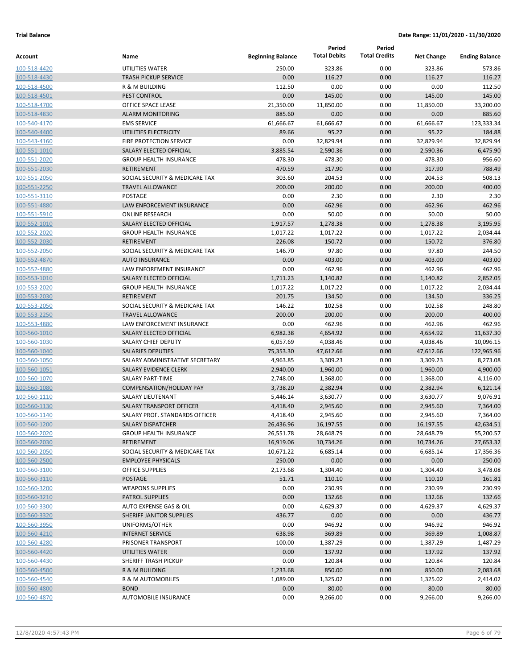|              |                                 |                          | Period              | Period               |                   |                       |
|--------------|---------------------------------|--------------------------|---------------------|----------------------|-------------------|-----------------------|
| Account      | Name                            | <b>Beginning Balance</b> | <b>Total Debits</b> | <b>Total Credits</b> | <b>Net Change</b> | <b>Ending Balance</b> |
| 100-518-4420 | UTILITIES WATER                 | 250.00                   | 323.86              | 0.00                 | 323.86            | 573.86                |
| 100-518-4430 | <b>TRASH PICKUP SERVICE</b>     | 0.00                     | 116.27              | 0.00                 | 116.27            | 116.27                |
| 100-518-4500 | R & M BUILDING                  | 112.50                   | 0.00                | 0.00                 | 0.00              | 112.50                |
| 100-518-4501 | PEST CONTROL                    | 0.00                     | 145.00              | 0.00                 | 145.00            | 145.00                |
| 100-518-4700 | <b>OFFICE SPACE LEASE</b>       | 21,350.00                | 11,850.00           | 0.00                 | 11,850.00         | 33,200.00             |
| 100-518-4830 | <b>ALARM MONITORING</b>         | 885.60                   | 0.00                | 0.00                 | 0.00              | 885.60                |
| 100-540-4170 | <b>EMS SERVICE</b>              | 61,666.67                | 61,666.67           | 0.00                 | 61,666.67         | 123,333.34            |
| 100-540-4400 | UTILITIES ELECTRICITY           | 89.66                    | 95.22               | 0.00                 | 95.22             | 184.88                |
| 100-543-4160 | FIRE PROTECTION SERVICE         | 0.00                     | 32,829.94           | 0.00                 | 32,829.94         | 32,829.94             |
| 100-551-1010 | SALARY ELECTED OFFICIAL         | 3,885.54                 | 2,590.36            | 0.00                 | 2,590.36          | 6,475.90              |
| 100-551-2020 | <b>GROUP HEALTH INSURANCE</b>   | 478.30                   | 478.30              | 0.00                 | 478.30            | 956.60                |
| 100-551-2030 | <b>RETIREMENT</b>               | 470.59                   | 317.90              | 0.00                 | 317.90            | 788.49                |
| 100-551-2050 | SOCIAL SECURITY & MEDICARE TAX  | 303.60                   | 204.53              | 0.00                 | 204.53            | 508.13                |
| 100-551-2250 | <b>TRAVEL ALLOWANCE</b>         | 200.00                   | 200.00              | 0.00                 | 200.00            | 400.00                |
| 100-551-3110 | <b>POSTAGE</b>                  | 0.00                     | 2.30                | 0.00                 | 2.30              | 2.30                  |
| 100-551-4880 | LAW ENFORCEMENT INSURANCE       | 0.00                     | 462.96              | 0.00                 | 462.96            | 462.96                |
| 100-551-5910 | <b>ONLINE RESEARCH</b>          | 0.00                     | 50.00               | 0.00                 | 50.00             | 50.00                 |
| 100-552-1010 | SALARY ELECTED OFFICIAL         | 1,917.57                 | 1,278.38            | 0.00                 | 1,278.38          | 3,195.95              |
| 100-552-2020 | <b>GROUP HEALTH INSURANCE</b>   | 1,017.22                 | 1,017.22            | 0.00                 | 1,017.22          | 2,034.44              |
| 100-552-2030 | <b>RETIREMENT</b>               | 226.08                   | 150.72              | 0.00                 | 150.72            | 376.80                |
| 100-552-2050 | SOCIAL SECURITY & MEDICARE TAX  | 146.70                   | 97.80               | 0.00                 | 97.80             | 244.50                |
| 100-552-4870 | <b>AUTO INSURANCE</b>           | 0.00                     | 403.00              | 0.00                 | 403.00            | 403.00                |
| 100-552-4880 | LAW ENFOREMENT INSURANCE        | 0.00                     | 462.96              | 0.00                 | 462.96            | 462.96                |
| 100-553-1010 | SALARY ELECTED OFFICIAL         | 1,711.23                 | 1,140.82            | 0.00                 | 1,140.82          | 2,852.05              |
| 100-553-2020 | <b>GROUP HEALTH INSURANCE</b>   | 1,017.22                 | 1,017.22            | 0.00                 | 1,017.22          | 2,034.44              |
| 100-553-2030 | <b>RETIREMENT</b>               | 201.75                   | 134.50              | 0.00                 | 134.50            | 336.25                |
| 100-553-2050 | SOCIAL SECURITY & MEDICARE TAX  | 146.22                   | 102.58              | 0.00                 | 102.58            | 248.80                |
| 100-553-2250 | <b>TRAVEL ALLOWANCE</b>         | 200.00                   | 200.00              | 0.00                 | 200.00            | 400.00                |
| 100-553-4880 | LAW ENFORCEMENT INSURANCE       | 0.00                     | 462.96              | 0.00                 | 462.96            | 462.96                |
| 100-560-1010 | SALARY ELECTED OFFICIAL         | 6,982.38                 | 4,654.92            | 0.00                 | 4,654.92          | 11,637.30             |
| 100-560-1030 | SALARY CHIEF DEPUTY             | 6,057.69                 | 4,038.46            | 0.00                 | 4,038.46          | 10,096.15             |
| 100-560-1040 | <b>SALARIES DEPUTIES</b>        | 75,353.30                | 47,612.66           | 0.00                 | 47,612.66         | 122,965.96            |
| 100-560-1050 | SALARY ADMINISTRATIVE SECRETARY | 4,963.85                 | 3,309.23            | 0.00                 | 3,309.23          | 8,273.08              |
| 100-560-1051 | <b>SALARY EVIDENCE CLERK</b>    | 2,940.00                 | 1,960.00            | 0.00                 | 1,960.00          | 4,900.00              |
| 100-560-1070 | <b>SALARY PART-TIME</b>         | 2,748.00                 | 1,368.00            | 0.00                 | 1,368.00          | 4,116.00              |
| 100-560-1080 | <b>COMPENSATION/HOLIDAY PAY</b> | 3,738.20                 | 2,382.94            | 0.00                 | 2,382.94          | 6,121.14              |
| 100-560-1110 | SALARY LIEUTENANT               | 5,446.14                 | 3,630.77            | 0.00                 | 3,630.77          | 9,076.91              |
| 100-560-1130 | <b>SALARY TRANSPORT OFFICER</b> | 4,418.40                 | 2,945.60            | 0.00                 | 2,945.60          | 7,364.00              |
| 100-560-1140 | SALARY PROF. STANDARDS OFFICER  | 4,418.40                 | 2,945.60            | 0.00                 | 2,945.60          | 7,364.00              |
| 100-560-1200 | SALARY DISPATCHER               | 26,436.96                | 16,197.55           | 0.00                 | 16,197.55         | 42,634.51             |
| 100-560-2020 | <b>GROUP HEALTH INSURANCE</b>   | 26,551.78                | 28,648.79           | 0.00                 | 28,648.79         | 55,200.57             |
| 100-560-2030 | RETIREMENT                      | 16,919.06                | 10,734.26           | 0.00                 | 10,734.26         | 27,653.32             |
| 100-560-2050 | SOCIAL SECURITY & MEDICARE TAX  | 10,671.22                | 6,685.14            | 0.00                 | 6,685.14          | 17,356.36             |
| 100-560-2500 | <b>EMPLOYEE PHYSICALS</b>       | 250.00                   | 0.00                | 0.00                 | 0.00              | 250.00                |
| 100-560-3100 | OFFICE SUPPLIES                 | 2,173.68                 | 1,304.40            | 0.00                 | 1,304.40          | 3,478.08              |
| 100-560-3110 | <b>POSTAGE</b>                  | 51.71                    | 110.10              | 0.00                 | 110.10            | 161.81                |
| 100-560-3200 | <b>WEAPONS SUPPLIES</b>         | 0.00                     | 230.99              | 0.00                 | 230.99            | 230.99                |
| 100-560-3210 | <b>PATROL SUPPLIES</b>          | 0.00                     | 132.66              | 0.00                 | 132.66            | 132.66                |
| 100-560-3300 | AUTO EXPENSE GAS & OIL          | 0.00                     | 4,629.37            | 0.00                 | 4,629.37          | 4,629.37              |
| 100-560-3320 | SHERIFF JANITOR SUPPLIES        | 436.77                   | 0.00                | 0.00                 | 0.00              | 436.77                |
| 100-560-3950 | UNIFORMS/OTHER                  | 0.00                     | 946.92              | 0.00                 | 946.92            | 946.92                |
| 100-560-4210 | <b>INTERNET SERVICE</b>         | 638.98                   | 369.89              | 0.00                 | 369.89            | 1,008.87              |
| 100-560-4280 | PRISONER TRANSPORT              | 100.00                   | 1,387.29            | 0.00                 | 1,387.29          | 1,487.29              |
| 100-560-4420 | UTILITIES WATER                 | 0.00                     | 137.92              | 0.00                 | 137.92            | 137.92                |
| 100-560-4430 | SHERIFF TRASH PICKUP            | 0.00                     | 120.84              | 0.00                 | 120.84            | 120.84                |
| 100-560-4500 | R & M BUILDING                  | 1,233.68                 | 850.00              | 0.00                 | 850.00            | 2,083.68              |
| 100-560-4540 | R & M AUTOMOBILES               | 1,089.00                 | 1,325.02            | 0.00                 | 1,325.02          | 2,414.02              |
| 100-560-4800 | <b>BOND</b>                     | 0.00                     | 80.00               | 0.00                 | 80.00             | 80.00                 |
| 100-560-4870 | AUTOMOBILE INSURANCE            | 0.00                     | 9,266.00            | 0.00                 | 9,266.00          | 9,266.00              |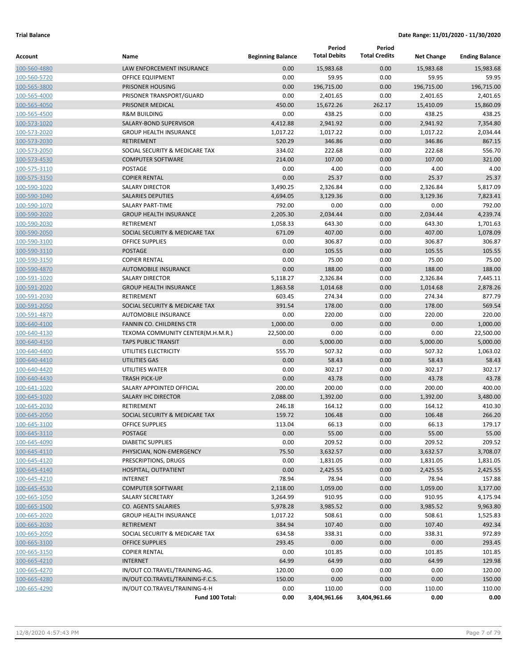|                              |                                                     |                          | Period              | Period               |                    |                       |
|------------------------------|-----------------------------------------------------|--------------------------|---------------------|----------------------|--------------------|-----------------------|
| Account                      | Name                                                | <b>Beginning Balance</b> | <b>Total Debits</b> | <b>Total Credits</b> | <b>Net Change</b>  | <b>Ending Balance</b> |
| 100-560-4880                 | LAW ENFORCEMENT INSURANCE                           | 0.00                     | 15,983.68           | 0.00                 | 15,983.68          | 15,983.68             |
| 100-560-5720                 | <b>OFFICE EQUIPMENT</b>                             | 0.00                     | 59.95               | 0.00                 | 59.95              | 59.95                 |
| 100-565-3800                 | PRISONER HOUSING                                    | 0.00                     | 196,715.00          | 0.00                 | 196,715.00         | 196,715.00            |
| 100-565-4000                 | PRISONER TRANSPORT/GUARD                            | 0.00                     | 2,401.65            | 0.00                 | 2,401.65           | 2,401.65              |
| 100-565-4050                 | PRISONER MEDICAL                                    | 450.00                   | 15,672.26           | 262.17               | 15,410.09          | 15,860.09             |
| 100-565-4500                 | <b>R&amp;M BUILDING</b>                             | 0.00                     | 438.25              | 0.00                 | 438.25             | 438.25                |
| 100-573-1020                 | SALARY-BOND SUPERVISOR                              | 4,412.88                 | 2,941.92            | 0.00                 | 2,941.92           | 7,354.80              |
| 100-573-2020                 | <b>GROUP HEALTH INSURANCE</b>                       | 1,017.22                 | 1,017.22            | 0.00                 | 1,017.22           | 2,034.44              |
| 100-573-2030                 | <b>RETIREMENT</b>                                   | 520.29                   | 346.86              | 0.00                 | 346.86             | 867.15                |
| 100-573-2050                 | SOCIAL SECURITY & MEDICARE TAX                      | 334.02                   | 222.68              | 0.00                 | 222.68             | 556.70                |
| 100-573-4530                 | <b>COMPUTER SOFTWARE</b>                            | 214.00                   | 107.00              | 0.00                 | 107.00             | 321.00                |
| 100-575-3110                 | <b>POSTAGE</b>                                      | 0.00                     | 4.00                | 0.00                 | 4.00               | 4.00                  |
| 100-575-3150                 | <b>COPIER RENTAL</b>                                | 0.00                     | 25.37               | 0.00                 | 25.37              | 25.37                 |
| 100-590-1020                 | <b>SALARY DIRECTOR</b>                              | 3,490.25                 | 2,326.84            | 0.00                 | 2,326.84           | 5,817.09              |
| 100-590-1040                 | <b>SALARIES DEPUTIES</b>                            | 4,694.05                 | 3,129.36            | 0.00                 | 3,129.36           | 7,823.41              |
| 100-590-1070                 | <b>SALARY PART-TIME</b>                             | 792.00                   | 0.00                | 0.00                 | 0.00               | 792.00                |
| 100-590-2020                 | <b>GROUP HEALTH INSURANCE</b>                       | 2,205.30                 | 2,034.44            | 0.00                 | 2,034.44           | 4,239.74              |
| 100-590-2030                 | RETIREMENT                                          | 1,058.33                 | 643.30              | 0.00                 | 643.30             | 1,701.63              |
| 100-590-2050                 | SOCIAL SECURITY & MEDICARE TAX                      | 671.09                   | 407.00              | 0.00                 | 407.00             | 1,078.09              |
| 100-590-3100                 | <b>OFFICE SUPPLIES</b>                              | 0.00                     | 306.87              | 0.00                 | 306.87             | 306.87                |
| 100-590-3110                 | <b>POSTAGE</b>                                      | 0.00                     | 105.55              | 0.00                 | 105.55             | 105.55                |
| 100-590-3150                 | <b>COPIER RENTAL</b>                                | 0.00                     | 75.00               | 0.00                 | 75.00              | 75.00                 |
| 100-590-4870                 | <b>AUTOMOBILE INSURANCE</b>                         | 0.00                     | 188.00              | 0.00                 | 188.00             | 188.00                |
| 100-591-1020                 | <b>SALARY DIRECTOR</b>                              | 5,118.27                 | 2,326.84            | 0.00                 | 2,326.84           | 7,445.11              |
| 100-591-2020                 | <b>GROUP HEALTH INSURANCE</b>                       | 1,863.58                 | 1,014.68            | 0.00                 | 1,014.68           | 2,878.26              |
| 100-591-2030                 | RETIREMENT                                          | 603.45                   | 274.34              | 0.00                 | 274.34             | 877.79                |
| 100-591-2050                 | SOCIAL SECURITY & MEDICARE TAX                      | 391.54                   | 178.00              | 0.00                 | 178.00             | 569.54                |
| 100-591-4870                 | <b>AUTOMOBILE INSURANCE</b>                         | 0.00                     | 220.00              | 0.00                 | 220.00             | 220.00                |
| 100-640-4100                 | <b>FANNIN CO. CHILDRENS CTR</b>                     | 1,000.00                 | 0.00                | 0.00                 | 0.00               | 1,000.00              |
| 100-640-4130                 | TEXOMA COMMUNITY CENTER(M.H.M.R.)                   | 22,500.00                | 0.00                | 0.00                 | 0.00               | 22,500.00             |
| 100-640-4150                 | <b>TAPS PUBLIC TRANSIT</b><br>UTILITIES ELECTRICITY | 0.00<br>555.70           | 5,000.00<br>507.32  | 0.00                 | 5,000.00<br>507.32 | 5,000.00<br>1,063.02  |
| 100-640-4400                 | <b>UTILITIES GAS</b>                                | 0.00                     | 58.43               | 0.00<br>0.00         | 58.43              | 58.43                 |
| 100-640-4410<br>100-640-4420 | UTILITIES WATER                                     | 0.00                     | 302.17              | 0.00                 | 302.17             | 302.17                |
| 100-640-4430                 | <b>TRASH PICK-UP</b>                                | 0.00                     | 43.78               | 0.00                 | 43.78              | 43.78                 |
| 100-641-1020                 | SALARY APPOINTED OFFICIAL                           | 200.00                   | 200.00              | 0.00                 | 200.00             | 400.00                |
| 100-645-1020                 | <b>SALARY IHC DIRECTOR</b>                          | 2,088.00                 | 1,392.00            | 0.00                 | 1,392.00           | 3,480.00              |
| 100-645-2030                 | <b>RETIREMENT</b>                                   | 246.18                   | 164.12              | 0.00                 | 164.12             | 410.30                |
| 100-645-2050                 | SOCIAL SECURITY & MEDICARE TAX                      | 159.72                   | 106.48              | 0.00                 | 106.48             | 266.20                |
| 100-645-3100                 | <b>OFFICE SUPPLIES</b>                              | 113.04                   | 66.13               | 0.00                 | 66.13              | 179.17                |
| 100-645-3110                 | <b>POSTAGE</b>                                      | 0.00                     | 55.00               | 0.00                 | 55.00              | 55.00                 |
| 100-645-4090                 | <b>DIABETIC SUPPLIES</b>                            | 0.00                     | 209.52              | 0.00                 | 209.52             | 209.52                |
| 100-645-4110                 | PHYSICIAN, NON-EMERGENCY                            | 75.50                    | 3,632.57            | 0.00                 | 3,632.57           | 3,708.07              |
| 100-645-4120                 | PRESCRIPTIONS, DRUGS                                | 0.00                     | 1,831.05            | 0.00                 | 1,831.05           | 1,831.05              |
| 100-645-4140                 | HOSPITAL, OUTPATIENT                                | 0.00                     | 2,425.55            | 0.00                 | 2,425.55           | 2,425.55              |
| 100-645-4210                 | INTERNET                                            | 78.94                    | 78.94               | 0.00                 | 78.94              | 157.88                |
| 100-645-4530                 | <b>COMPUTER SOFTWARE</b>                            | 2,118.00                 | 1,059.00            | 0.00                 | 1,059.00           | 3,177.00              |
| 100-665-1050                 | SALARY SECRETARY                                    | 3,264.99                 | 910.95              | 0.00                 | 910.95             | 4,175.94              |
| 100-665-1500                 | CO. AGENTS SALARIES                                 | 5,978.28                 | 3,985.52            | 0.00                 | 3,985.52           | 9,963.80              |
| 100-665-2020                 | <b>GROUP HEALTH INSURANCE</b>                       | 1,017.22                 | 508.61              | 0.00                 | 508.61             | 1,525.83              |
| 100-665-2030                 | RETIREMENT                                          | 384.94                   | 107.40              | 0.00                 | 107.40             | 492.34                |
| 100-665-2050                 | SOCIAL SECURITY & MEDICARE TAX                      | 634.58                   | 338.31              | 0.00                 | 338.31             | 972.89                |
| 100-665-3100                 | <b>OFFICE SUPPLIES</b>                              | 293.45                   | 0.00                | 0.00                 | 0.00               | 293.45                |
| 100-665-3150                 | <b>COPIER RENTAL</b>                                | 0.00                     | 101.85              | 0.00                 | 101.85             | 101.85                |
| 100-665-4210                 | <b>INTERNET</b>                                     | 64.99                    | 64.99               | 0.00                 | 64.99              | 129.98                |
| 100-665-4270                 | IN/OUT CO.TRAVEL/TRAINING-AG.                       | 120.00                   | 0.00                | 0.00                 | 0.00               | 120.00                |
| 100-665-4280                 | IN/OUT CO.TRAVEL/TRAINING-F.C.S.                    | 150.00                   | 0.00                | 0.00                 | 0.00               | 150.00                |
| 100-665-4290                 | IN/OUT CO.TRAVEL/TRAINING-4-H                       | 0.00                     | 110.00              | 0.00                 | 110.00             | 110.00                |
|                              | Fund 100 Total:                                     | 0.00                     | 3,404,961.66        | 3,404,961.66         | 0.00               | 0.00                  |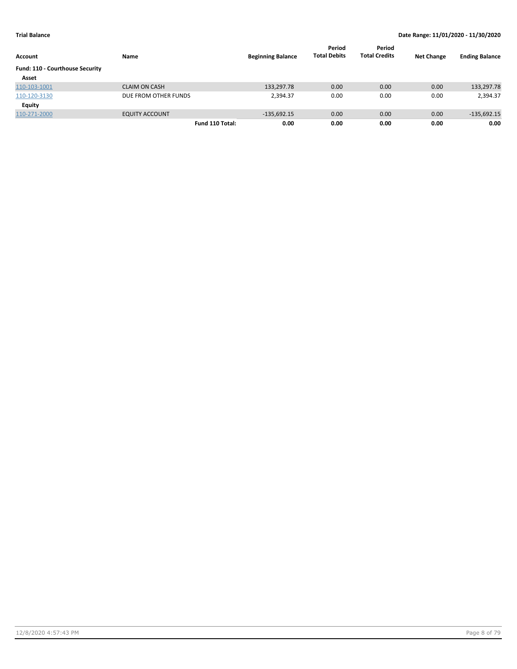| Account                         | Name                  | <b>Beginning Balance</b> | Period<br><b>Total Debits</b> | Period<br><b>Total Credits</b> | <b>Net Change</b> | <b>Ending Balance</b> |
|---------------------------------|-----------------------|--------------------------|-------------------------------|--------------------------------|-------------------|-----------------------|
| Fund: 110 - Courthouse Security |                       |                          |                               |                                |                   |                       |
| Asset                           |                       |                          |                               |                                |                   |                       |
| 110-103-1001                    | <b>CLAIM ON CASH</b>  | 133,297.78               | 0.00                          | 0.00                           | 0.00              | 133,297.78            |
| 110-120-3130                    | DUE FROM OTHER FUNDS  | 2,394.37                 | 0.00                          | 0.00                           | 0.00              | 2,394.37              |
| Equity                          |                       |                          |                               |                                |                   |                       |
| 110-271-2000                    | <b>EQUITY ACCOUNT</b> | $-135,692.15$            | 0.00                          | 0.00                           | 0.00              | $-135,692.15$         |
|                                 | Fund 110 Total:       | 0.00                     | 0.00                          | 0.00                           | 0.00              | 0.00                  |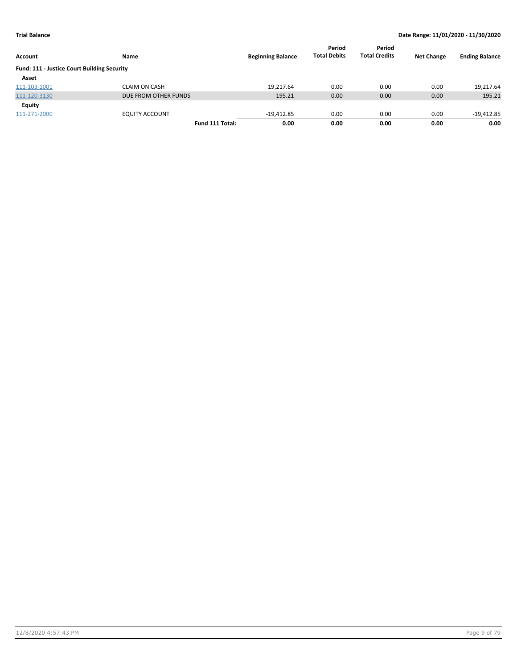| Account                                     | Name                  | <b>Beginning Balance</b> | Period<br><b>Total Debits</b> | Period<br><b>Total Credits</b> | <b>Net Change</b> | <b>Ending Balance</b> |
|---------------------------------------------|-----------------------|--------------------------|-------------------------------|--------------------------------|-------------------|-----------------------|
| Fund: 111 - Justice Court Building Security |                       |                          |                               |                                |                   |                       |
| Asset                                       |                       |                          |                               |                                |                   |                       |
| 111-103-1001                                | CLAIM ON CASH         | 19.217.64                | 0.00                          | 0.00                           | 0.00              | 19,217.64             |
| 111-120-3130                                | DUE FROM OTHER FUNDS  | 195.21                   | 0.00                          | 0.00                           | 0.00              | 195.21                |
| Equity                                      |                       |                          |                               |                                |                   |                       |
| 111-271-2000                                | <b>EQUITY ACCOUNT</b> | $-19,412.85$             | 0.00                          | 0.00                           | 0.00              | $-19,412.85$          |
|                                             | Fund 111 Total:       | 0.00                     | 0.00                          | 0.00                           | 0.00              | 0.00                  |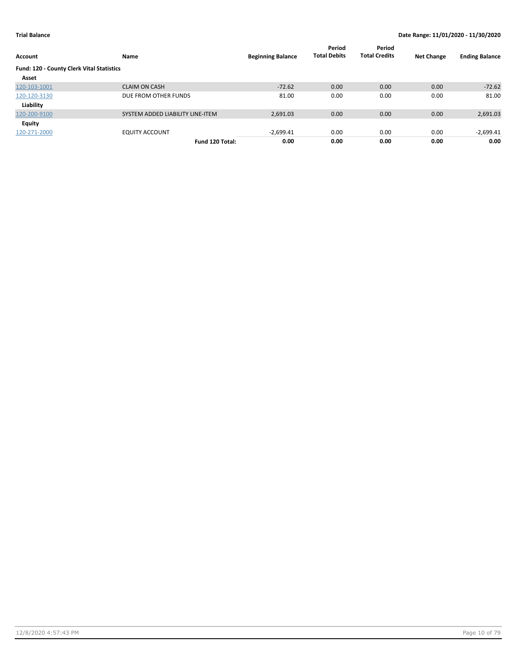| Account                                   | Name                             | <b>Beginning Balance</b> | Period<br><b>Total Debits</b> | Period<br><b>Total Credits</b> | <b>Net Change</b> | <b>Ending Balance</b> |
|-------------------------------------------|----------------------------------|--------------------------|-------------------------------|--------------------------------|-------------------|-----------------------|
| Fund: 120 - County Clerk Vital Statistics |                                  |                          |                               |                                |                   |                       |
| Asset                                     |                                  |                          |                               |                                |                   |                       |
| 120-103-1001                              | <b>CLAIM ON CASH</b>             | $-72.62$                 | 0.00                          | 0.00                           | 0.00              | $-72.62$              |
| 120-120-3130                              | DUE FROM OTHER FUNDS             | 81.00                    | 0.00                          | 0.00                           | 0.00              | 81.00                 |
| Liability                                 |                                  |                          |                               |                                |                   |                       |
| 120-200-9100                              | SYSTEM ADDED LIABILITY LINE-ITEM | 2,691.03                 | 0.00                          | 0.00                           | 0.00              | 2,691.03              |
| Equity                                    |                                  |                          |                               |                                |                   |                       |
| 120-271-2000                              | <b>EQUITY ACCOUNT</b>            | $-2,699.41$              | 0.00                          | 0.00                           | 0.00              | $-2,699.41$           |
|                                           | Fund 120 Total:                  | 0.00                     | 0.00                          | 0.00                           | 0.00              | 0.00                  |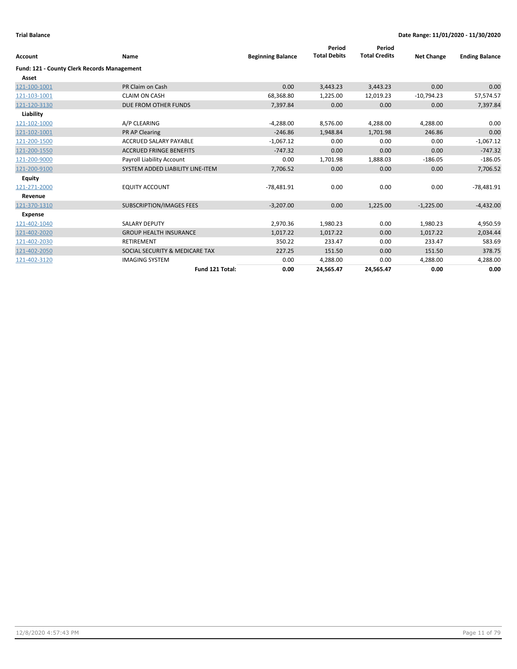| Account                                            | Name                             | <b>Beginning Balance</b> | Period<br><b>Total Debits</b> | Period<br><b>Total Credits</b> | <b>Net Change</b> | <b>Ending Balance</b> |
|----------------------------------------------------|----------------------------------|--------------------------|-------------------------------|--------------------------------|-------------------|-----------------------|
| <b>Fund: 121 - County Clerk Records Management</b> |                                  |                          |                               |                                |                   |                       |
| Asset                                              |                                  |                          |                               |                                |                   |                       |
| 121-100-1001                                       | PR Claim on Cash                 | 0.00                     | 3,443.23                      | 3,443.23                       | 0.00              | 0.00                  |
| 121-103-1001                                       | <b>CLAIM ON CASH</b>             | 68,368.80                | 1,225.00                      | 12,019.23                      | $-10,794.23$      | 57,574.57             |
| 121-120-3130                                       | DUE FROM OTHER FUNDS             | 7,397.84                 | 0.00                          | 0.00                           | 0.00              | 7,397.84              |
| Liability                                          |                                  |                          |                               |                                |                   |                       |
| 121-102-1000                                       | A/P CLEARING                     | $-4,288.00$              | 8,576.00                      | 4,288.00                       | 4,288.00          | 0.00                  |
| 121-102-1001                                       | <b>PR AP Clearing</b>            | $-246.86$                | 1,948.84                      | 1,701.98                       | 246.86            | 0.00                  |
| 121-200-1500                                       | <b>ACCRUED SALARY PAYABLE</b>    | $-1,067.12$              | 0.00                          | 0.00                           | 0.00              | $-1,067.12$           |
| 121-200-1550                                       | <b>ACCRUED FRINGE BENEFITS</b>   | $-747.32$                | 0.00                          | 0.00                           | 0.00              | $-747.32$             |
| 121-200-9000                                       | Payroll Liability Account        | 0.00                     | 1,701.98                      | 1,888.03                       | $-186.05$         | $-186.05$             |
| 121-200-9100                                       | SYSTEM ADDED LIABILITY LINE-ITEM | 7,706.52                 | 0.00                          | 0.00                           | 0.00              | 7,706.52              |
| <b>Equity</b>                                      |                                  |                          |                               |                                |                   |                       |
| 121-271-2000                                       | <b>EQUITY ACCOUNT</b>            | $-78,481.91$             | 0.00                          | 0.00                           | 0.00              | $-78,481.91$          |
| Revenue                                            |                                  |                          |                               |                                |                   |                       |
| 121-370-1310                                       | <b>SUBSCRIPTION/IMAGES FEES</b>  | $-3,207.00$              | 0.00                          | 1,225.00                       | $-1,225.00$       | $-4,432.00$           |
| Expense                                            |                                  |                          |                               |                                |                   |                       |
| 121-402-1040                                       | <b>SALARY DEPUTY</b>             | 2,970.36                 | 1,980.23                      | 0.00                           | 1,980.23          | 4,950.59              |
| 121-402-2020                                       | <b>GROUP HEALTH INSURANCE</b>    | 1,017.22                 | 1,017.22                      | 0.00                           | 1,017.22          | 2,034.44              |
| 121-402-2030                                       | <b>RETIREMENT</b>                | 350.22                   | 233.47                        | 0.00                           | 233.47            | 583.69                |
| 121-402-2050                                       | SOCIAL SECURITY & MEDICARE TAX   | 227.25                   | 151.50                        | 0.00                           | 151.50            | 378.75                |
| 121-402-3120                                       | <b>IMAGING SYSTEM</b>            | 0.00                     | 4,288.00                      | 0.00                           | 4,288.00          | 4,288.00              |
|                                                    | Fund 121 Total:                  | 0.00                     | 24,565.47                     | 24,565.47                      | 0.00              | 0.00                  |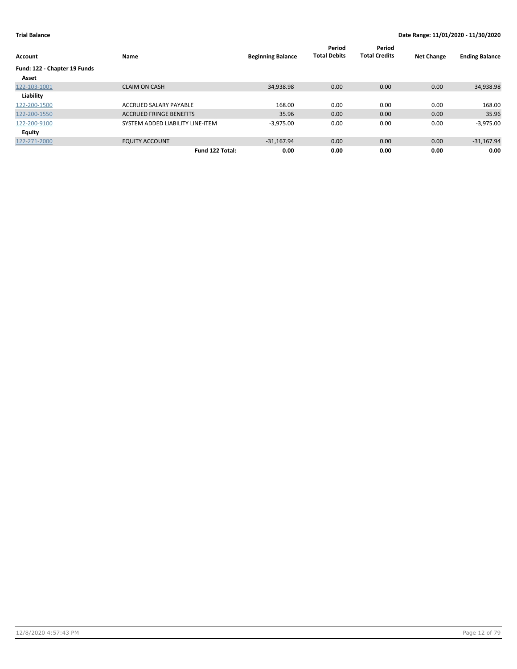| Account                      | Name                             | <b>Beginning Balance</b> | Period<br><b>Total Debits</b> | Period<br><b>Total Credits</b> | <b>Net Change</b> | <b>Ending Balance</b> |
|------------------------------|----------------------------------|--------------------------|-------------------------------|--------------------------------|-------------------|-----------------------|
| Fund: 122 - Chapter 19 Funds |                                  |                          |                               |                                |                   |                       |
| Asset                        |                                  |                          |                               |                                |                   |                       |
| 122-103-1001                 | <b>CLAIM ON CASH</b>             | 34,938.98                | 0.00                          | 0.00                           | 0.00              | 34,938.98             |
| Liability                    |                                  |                          |                               |                                |                   |                       |
| 122-200-1500                 | ACCRUED SALARY PAYABLE           | 168.00                   | 0.00                          | 0.00                           | 0.00              | 168.00                |
| 122-200-1550                 | <b>ACCRUED FRINGE BENEFITS</b>   | 35.96                    | 0.00                          | 0.00                           | 0.00              | 35.96                 |
| 122-200-9100                 | SYSTEM ADDED LIABILITY LINE-ITEM | $-3,975.00$              | 0.00                          | 0.00                           | 0.00              | $-3,975.00$           |
| <b>Equity</b>                |                                  |                          |                               |                                |                   |                       |
| 122-271-2000                 | <b>EQUITY ACCOUNT</b>            | $-31.167.94$             | 0.00                          | 0.00                           | 0.00              | $-31,167.94$          |
|                              | Fund 122 Total:                  | 0.00                     | 0.00                          | 0.00                           | 0.00              | 0.00                  |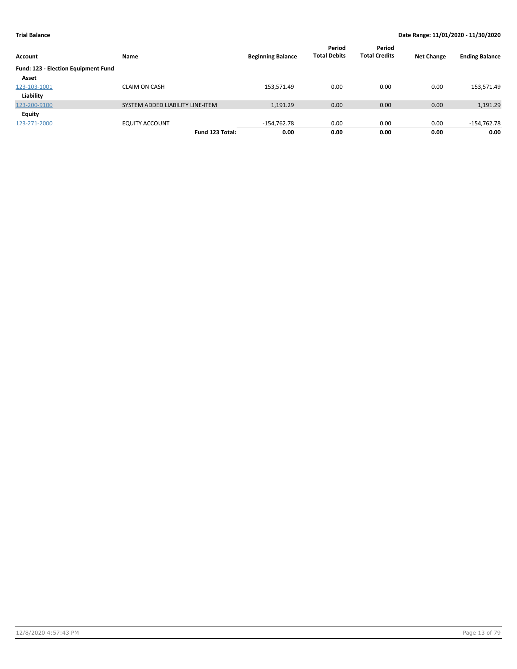| Account                             | Name                             | <b>Beginning Balance</b> | Period<br><b>Total Debits</b> | Period<br><b>Total Credits</b> | <b>Net Change</b> | <b>Ending Balance</b> |
|-------------------------------------|----------------------------------|--------------------------|-------------------------------|--------------------------------|-------------------|-----------------------|
| Fund: 123 - Election Equipment Fund |                                  |                          |                               |                                |                   |                       |
| Asset                               |                                  |                          |                               |                                |                   |                       |
| 123-103-1001                        | <b>CLAIM ON CASH</b>             | 153,571.49               | 0.00                          | 0.00                           | 0.00              | 153,571.49            |
| Liability                           |                                  |                          |                               |                                |                   |                       |
| 123-200-9100                        | SYSTEM ADDED LIABILITY LINE-ITEM | 1,191.29                 | 0.00                          | 0.00                           | 0.00              | 1,191.29              |
| Equity                              |                                  |                          |                               |                                |                   |                       |
| 123-271-2000                        | <b>EQUITY ACCOUNT</b>            | $-154,762.78$            | 0.00                          | 0.00                           | 0.00              | -154,762.78           |
|                                     | Fund 123 Total:                  | 0.00                     | 0.00                          | 0.00                           | 0.00              | 0.00                  |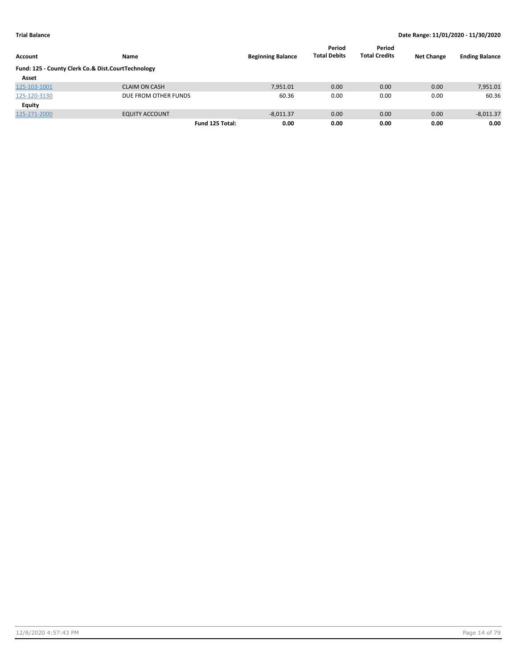| Account                                            | Name                  | <b>Beginning Balance</b> | Period<br><b>Total Debits</b> | Period<br><b>Total Credits</b> | <b>Net Change</b> | <b>Ending Balance</b> |
|----------------------------------------------------|-----------------------|--------------------------|-------------------------------|--------------------------------|-------------------|-----------------------|
| Fund: 125 - County Clerk Co.& Dist.CourtTechnology |                       |                          |                               |                                |                   |                       |
| Asset                                              |                       |                          |                               |                                |                   |                       |
| 125-103-1001                                       | <b>CLAIM ON CASH</b>  | 7,951.01                 | 0.00                          | 0.00                           | 0.00              | 7,951.01              |
| 125-120-3130                                       | DUE FROM OTHER FUNDS  | 60.36                    | 0.00                          | 0.00                           | 0.00              | 60.36                 |
| Equity                                             |                       |                          |                               |                                |                   |                       |
| 125-271-2000                                       | <b>EQUITY ACCOUNT</b> | $-8,011.37$              | 0.00                          | 0.00                           | 0.00              | $-8,011.37$           |
|                                                    | Fund 125 Total:       | 0.00                     | 0.00                          | 0.00                           | 0.00              | 0.00                  |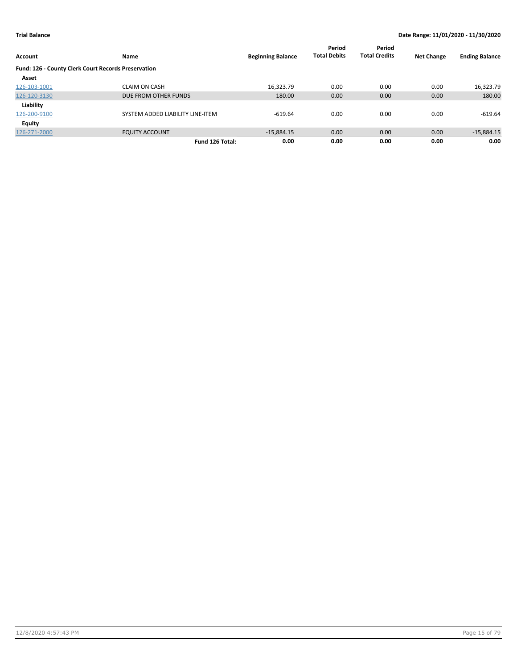| Account                                             | <b>Name</b>                      | <b>Beginning Balance</b> | Period<br><b>Total Debits</b> | Period<br><b>Total Credits</b> | <b>Net Change</b> | <b>Ending Balance</b> |
|-----------------------------------------------------|----------------------------------|--------------------------|-------------------------------|--------------------------------|-------------------|-----------------------|
| Fund: 126 - County Clerk Court Records Preservation |                                  |                          |                               |                                |                   |                       |
| Asset                                               |                                  |                          |                               |                                |                   |                       |
| 126-103-1001                                        | <b>CLAIM ON CASH</b>             | 16,323.79                | 0.00                          | 0.00                           | 0.00              | 16,323.79             |
| 126-120-3130                                        | DUE FROM OTHER FUNDS             | 180.00                   | 0.00                          | 0.00                           | 0.00              | 180.00                |
| Liability                                           |                                  |                          |                               |                                |                   |                       |
| 126-200-9100                                        | SYSTEM ADDED LIABILITY LINE-ITEM | $-619.64$                | 0.00                          | 0.00                           | 0.00              | $-619.64$             |
| <b>Equity</b>                                       |                                  |                          |                               |                                |                   |                       |
| 126-271-2000                                        | <b>EQUITY ACCOUNT</b>            | $-15,884.15$             | 0.00                          | 0.00                           | 0.00              | $-15,884.15$          |
|                                                     | Fund 126 Total:                  | 0.00                     | 0.00                          | 0.00                           | 0.00              | 0.00                  |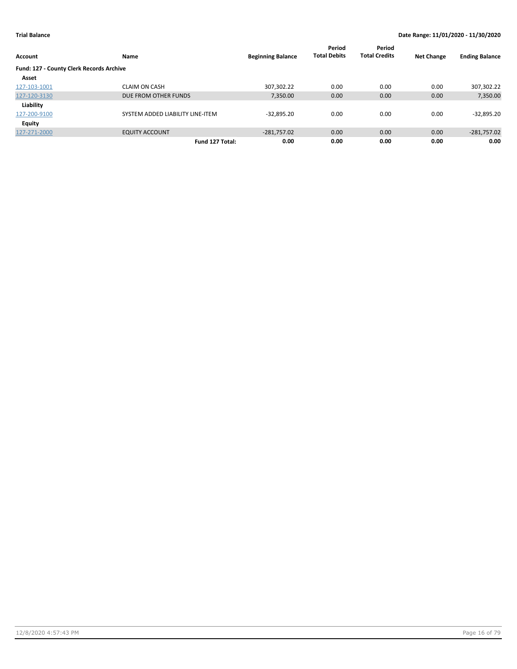| Account                                  | Name                             | <b>Beginning Balance</b> | Period<br><b>Total Debits</b> | Period<br><b>Total Credits</b> | <b>Net Change</b> | <b>Ending Balance</b> |
|------------------------------------------|----------------------------------|--------------------------|-------------------------------|--------------------------------|-------------------|-----------------------|
| Fund: 127 - County Clerk Records Archive |                                  |                          |                               |                                |                   |                       |
| Asset                                    |                                  |                          |                               |                                |                   |                       |
| 127-103-1001                             | <b>CLAIM ON CASH</b>             | 307,302.22               | 0.00                          | 0.00                           | 0.00              | 307,302.22            |
| 127-120-3130                             | DUE FROM OTHER FUNDS             | 7,350.00                 | 0.00                          | 0.00                           | 0.00              | 7,350.00              |
| Liability                                |                                  |                          |                               |                                |                   |                       |
| 127-200-9100                             | SYSTEM ADDED LIABILITY LINE-ITEM | $-32,895.20$             | 0.00                          | 0.00                           | 0.00              | $-32,895.20$          |
| <b>Equity</b>                            |                                  |                          |                               |                                |                   |                       |
| 127-271-2000                             | <b>EQUITY ACCOUNT</b>            | $-281,757.02$            | 0.00                          | 0.00                           | 0.00              | $-281,757.02$         |
|                                          | Fund 127 Total:                  | 0.00                     | 0.00                          | 0.00                           | 0.00              | 0.00                  |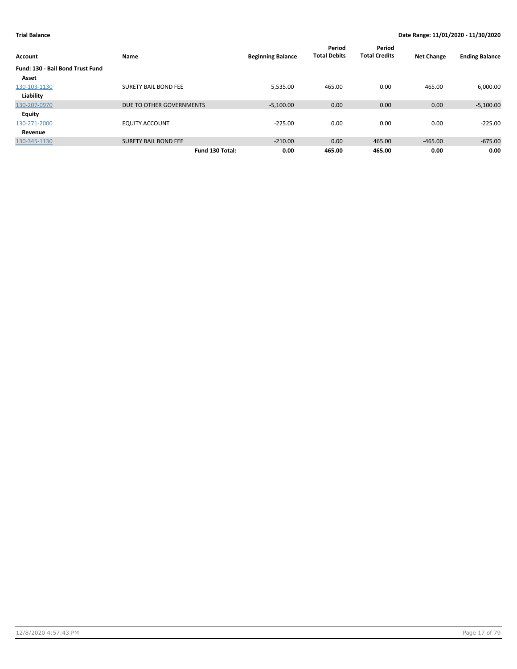| Account                          | Name                        | <b>Beginning Balance</b> | Period<br><b>Total Debits</b> | Period<br><b>Total Credits</b> | <b>Net Change</b> | <b>Ending Balance</b> |
|----------------------------------|-----------------------------|--------------------------|-------------------------------|--------------------------------|-------------------|-----------------------|
| Fund: 130 - Bail Bond Trust Fund |                             |                          |                               |                                |                   |                       |
| Asset                            |                             |                          |                               |                                |                   |                       |
| 130-103-1130                     | <b>SURETY BAIL BOND FEE</b> | 5,535.00                 | 465.00                        | 0.00                           | 465.00            | 6,000.00              |
| Liability                        |                             |                          |                               |                                |                   |                       |
| 130-207-0970                     | DUE TO OTHER GOVERNMENTS    | $-5,100.00$              | 0.00                          | 0.00                           | 0.00              | $-5,100.00$           |
| Equity                           |                             |                          |                               |                                |                   |                       |
| 130-271-2000                     | <b>EQUITY ACCOUNT</b>       | $-225.00$                | 0.00                          | 0.00                           | 0.00              | $-225.00$             |
| Revenue                          |                             |                          |                               |                                |                   |                       |
| 130-345-1130                     | <b>SURETY BAIL BOND FEE</b> | $-210.00$                | 0.00                          | 465.00                         | $-465.00$         | $-675.00$             |
|                                  | Fund 130 Total:             | 0.00                     | 465.00                        | 465.00                         | 0.00              | 0.00                  |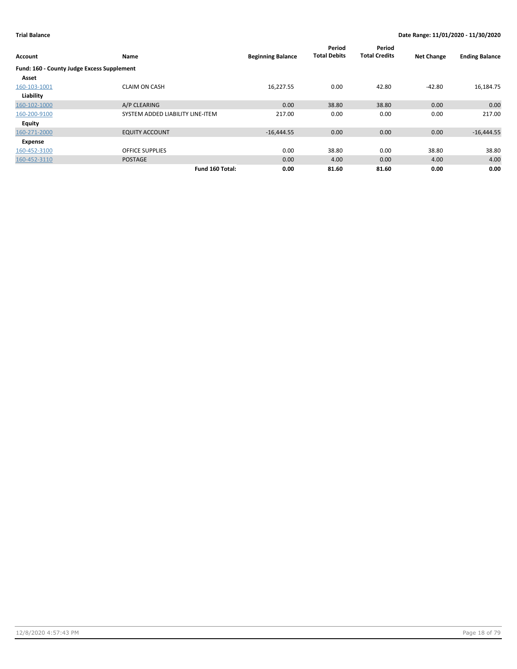| Account                                    | Name                             | <b>Beginning Balance</b> | Period<br><b>Total Debits</b> | Period<br><b>Total Credits</b> | <b>Net Change</b> | <b>Ending Balance</b> |
|--------------------------------------------|----------------------------------|--------------------------|-------------------------------|--------------------------------|-------------------|-----------------------|
| Fund: 160 - County Judge Excess Supplement |                                  |                          |                               |                                |                   |                       |
| Asset                                      |                                  |                          |                               |                                |                   |                       |
| 160-103-1001                               | <b>CLAIM ON CASH</b>             | 16,227.55                | 0.00                          | 42.80                          | -42.80            | 16,184.75             |
| Liability                                  |                                  |                          |                               |                                |                   |                       |
| 160-102-1000                               | A/P CLEARING                     | 0.00                     | 38.80                         | 38.80                          | 0.00              | 0.00                  |
| 160-200-9100                               | SYSTEM ADDED LIABILITY LINE-ITEM | 217.00                   | 0.00                          | 0.00                           | 0.00              | 217.00                |
| <b>Equity</b>                              |                                  |                          |                               |                                |                   |                       |
| 160-271-2000                               | <b>EQUITY ACCOUNT</b>            | $-16,444.55$             | 0.00                          | 0.00                           | 0.00              | $-16,444.55$          |
| Expense                                    |                                  |                          |                               |                                |                   |                       |
| 160-452-3100                               | <b>OFFICE SUPPLIES</b>           | 0.00                     | 38.80                         | 0.00                           | 38.80             | 38.80                 |
| 160-452-3110                               | <b>POSTAGE</b>                   | 0.00                     | 4.00                          | 0.00                           | 4.00              | 4.00                  |
|                                            | Fund 160 Total:                  | 0.00                     | 81.60                         | 81.60                          | 0.00              | 0.00                  |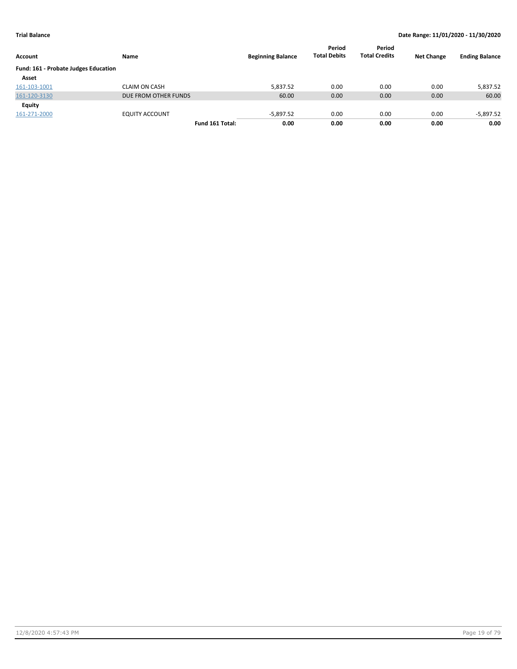| Account                                     | Name                  | <b>Beginning Balance</b> | Period<br><b>Total Debits</b> | Period<br><b>Total Credits</b> | <b>Net Change</b> | <b>Ending Balance</b> |
|---------------------------------------------|-----------------------|--------------------------|-------------------------------|--------------------------------|-------------------|-----------------------|
| <b>Fund: 161 - Probate Judges Education</b> |                       |                          |                               |                                |                   |                       |
| Asset                                       |                       |                          |                               |                                |                   |                       |
| 161-103-1001                                | <b>CLAIM ON CASH</b>  | 5.837.52                 | 0.00                          | 0.00                           | 0.00              | 5,837.52              |
| 161-120-3130                                | DUE FROM OTHER FUNDS  | 60.00                    | 0.00                          | 0.00                           | 0.00              | 60.00                 |
| Equity                                      |                       |                          |                               |                                |                   |                       |
| 161-271-2000                                | <b>EQUITY ACCOUNT</b> | $-5,897.52$              | 0.00                          | 0.00                           | 0.00              | $-5,897.52$           |
|                                             | Fund 161 Total:       | 0.00                     | 0.00                          | 0.00                           | 0.00              | 0.00                  |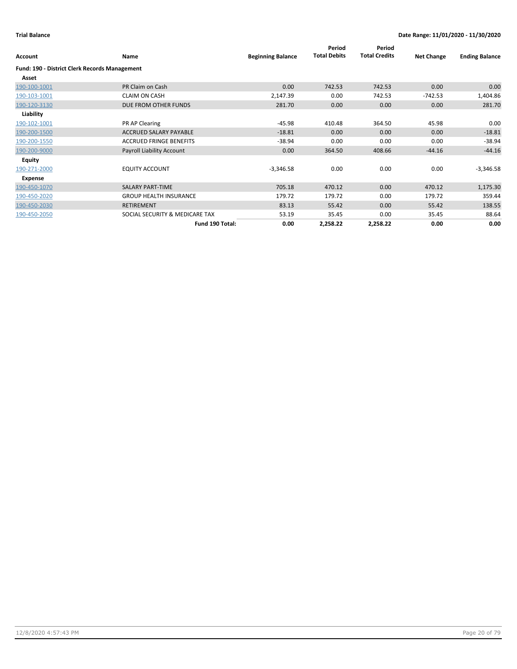| Account                                       | Name                             | <b>Beginning Balance</b> | Period<br><b>Total Debits</b> | Period<br><b>Total Credits</b> | <b>Net Change</b> | <b>Ending Balance</b> |
|-----------------------------------------------|----------------------------------|--------------------------|-------------------------------|--------------------------------|-------------------|-----------------------|
| Fund: 190 - District Clerk Records Management |                                  |                          |                               |                                |                   |                       |
| Asset                                         |                                  |                          |                               |                                |                   |                       |
| 190-100-1001                                  | PR Claim on Cash                 | 0.00                     | 742.53                        | 742.53                         | 0.00              | 0.00                  |
| 190-103-1001                                  | <b>CLAIM ON CASH</b>             | 2,147.39                 | 0.00                          | 742.53                         | $-742.53$         | 1,404.86              |
| 190-120-3130                                  | DUE FROM OTHER FUNDS             | 281.70                   | 0.00                          | 0.00                           | 0.00              | 281.70                |
| Liability                                     |                                  |                          |                               |                                |                   |                       |
| 190-102-1001                                  | PR AP Clearing                   | $-45.98$                 | 410.48                        | 364.50                         | 45.98             | 0.00                  |
| 190-200-1500                                  | ACCRUED SALARY PAYABLE           | $-18.81$                 | 0.00                          | 0.00                           | 0.00              | $-18.81$              |
| 190-200-1550                                  | <b>ACCRUED FRINGE BENEFITS</b>   | $-38.94$                 | 0.00                          | 0.00                           | 0.00              | $-38.94$              |
| 190-200-9000                                  | <b>Payroll Liability Account</b> | 0.00                     | 364.50                        | 408.66                         | $-44.16$          | $-44.16$              |
| <b>Equity</b>                                 |                                  |                          |                               |                                |                   |                       |
| 190-271-2000                                  | <b>EQUITY ACCOUNT</b>            | $-3,346.58$              | 0.00                          | 0.00                           | 0.00              | $-3,346.58$           |
| Expense                                       |                                  |                          |                               |                                |                   |                       |
| 190-450-1070                                  | <b>SALARY PART-TIME</b>          | 705.18                   | 470.12                        | 0.00                           | 470.12            | 1,175.30              |
| 190-450-2020                                  | <b>GROUP HEALTH INSURANCE</b>    | 179.72                   | 179.72                        | 0.00                           | 179.72            | 359.44                |
| 190-450-2030                                  | RETIREMENT                       | 83.13                    | 55.42                         | 0.00                           | 55.42             | 138.55                |
| 190-450-2050                                  | SOCIAL SECURITY & MEDICARE TAX   | 53.19                    | 35.45                         | 0.00                           | 35.45             | 88.64                 |
|                                               | Fund 190 Total:                  | 0.00                     | 2,258.22                      | 2,258.22                       | 0.00              | 0.00                  |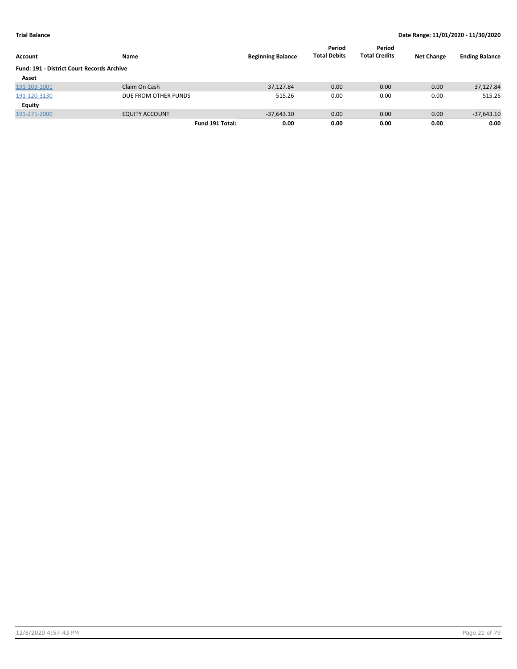| Account                                           | Name                  | <b>Beginning Balance</b> | Period<br><b>Total Debits</b> | Period<br><b>Total Credits</b> | <b>Net Change</b> | <b>Ending Balance</b> |
|---------------------------------------------------|-----------------------|--------------------------|-------------------------------|--------------------------------|-------------------|-----------------------|
| <b>Fund: 191 - District Court Records Archive</b> |                       |                          |                               |                                |                   |                       |
| Asset                                             |                       |                          |                               |                                |                   |                       |
| 191-103-1001                                      | Claim On Cash         | 37,127.84                | 0.00                          | 0.00                           | 0.00              | 37,127.84             |
| 191-120-3130                                      | DUE FROM OTHER FUNDS  | 515.26                   | 0.00                          | 0.00                           | 0.00              | 515.26                |
| Equity                                            |                       |                          |                               |                                |                   |                       |
| 191-271-2000                                      | <b>EQUITY ACCOUNT</b> | $-37,643.10$             | 0.00                          | 0.00                           | 0.00              | $-37,643.10$          |
|                                                   | Fund 191 Total:       | 0.00                     | 0.00                          | 0.00                           | 0.00              | 0.00                  |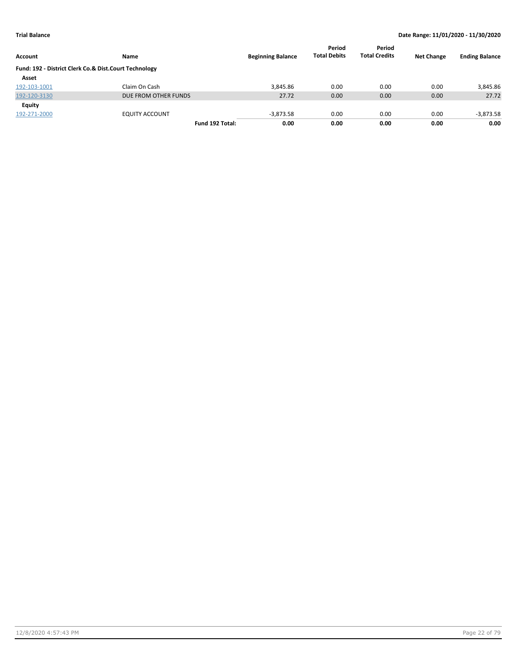| Account                                               | Name                  | <b>Beginning Balance</b> | Period<br><b>Total Debits</b> | Period<br><b>Total Credits</b> | <b>Net Change</b> | <b>Ending Balance</b> |
|-------------------------------------------------------|-----------------------|--------------------------|-------------------------------|--------------------------------|-------------------|-----------------------|
| Fund: 192 - District Clerk Co.& Dist.Court Technology |                       |                          |                               |                                |                   |                       |
| Asset                                                 |                       |                          |                               |                                |                   |                       |
| 192-103-1001                                          | Claim On Cash         | 3.845.86                 | 0.00                          | 0.00                           | 0.00              | 3,845.86              |
| 192-120-3130                                          | DUE FROM OTHER FUNDS  | 27.72                    | 0.00                          | 0.00                           | 0.00              | 27.72                 |
| Equity                                                |                       |                          |                               |                                |                   |                       |
| 192-271-2000                                          | <b>EQUITY ACCOUNT</b> | $-3,873.58$              | 0.00                          | 0.00                           | 0.00              | $-3,873.58$           |
|                                                       | Fund 192 Total:       | 0.00                     | 0.00                          | 0.00                           | 0.00              | 0.00                  |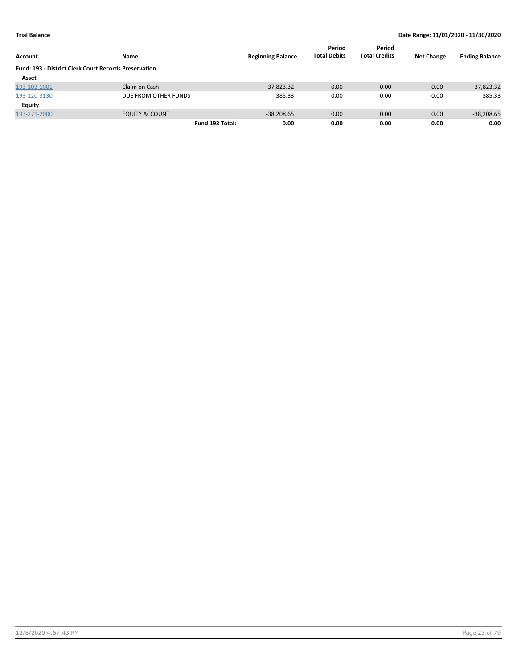| Account                                                      | Name                  | <b>Beginning Balance</b> | Period<br><b>Total Debits</b> | Period<br><b>Total Credits</b> | <b>Net Change</b> | <b>Ending Balance</b> |
|--------------------------------------------------------------|-----------------------|--------------------------|-------------------------------|--------------------------------|-------------------|-----------------------|
| <b>Fund: 193 - District Clerk Court Records Preservation</b> |                       |                          |                               |                                |                   |                       |
| Asset                                                        |                       |                          |                               |                                |                   |                       |
| 193-103-1001                                                 | Claim on Cash         | 37,823.32                | 0.00                          | 0.00                           | 0.00              | 37,823.32             |
| 193-120-3130                                                 | DUE FROM OTHER FUNDS  | 385.33                   | 0.00                          | 0.00                           | 0.00              | 385.33                |
| Equity                                                       |                       |                          |                               |                                |                   |                       |
| 193-271-2000                                                 | <b>EQUITY ACCOUNT</b> | $-38,208.65$             | 0.00                          | 0.00                           | 0.00              | $-38,208.65$          |
|                                                              | Fund 193 Total:       | 0.00                     | 0.00                          | 0.00                           | 0.00              | 0.00                  |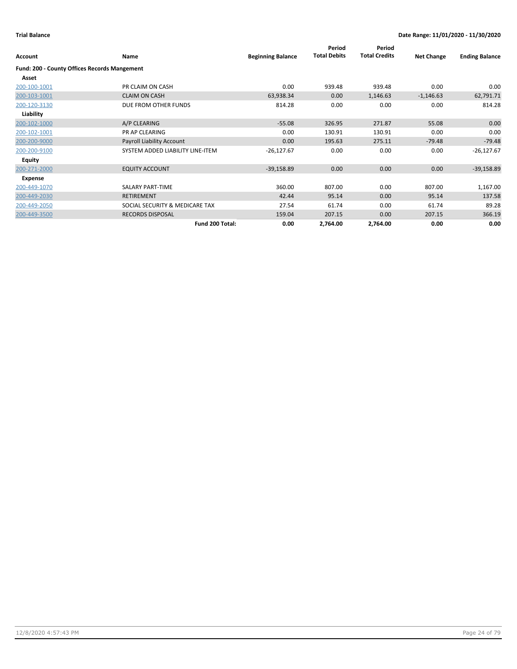| Account                                             | Name                             | <b>Beginning Balance</b> | Period<br><b>Total Debits</b> | Period<br><b>Total Credits</b> | <b>Net Change</b> | <b>Ending Balance</b> |
|-----------------------------------------------------|----------------------------------|--------------------------|-------------------------------|--------------------------------|-------------------|-----------------------|
| <b>Fund: 200 - County Offices Records Mangement</b> |                                  |                          |                               |                                |                   |                       |
| Asset                                               |                                  |                          |                               |                                |                   |                       |
| 200-100-1001                                        | PR CLAIM ON CASH                 | 0.00                     | 939.48                        | 939.48                         | 0.00              | 0.00                  |
| 200-103-1001                                        | <b>CLAIM ON CASH</b>             | 63,938.34                | 0.00                          | 1,146.63                       | $-1,146.63$       | 62,791.71             |
| 200-120-3130                                        | DUE FROM OTHER FUNDS             | 814.28                   | 0.00                          | 0.00                           | 0.00              | 814.28                |
| Liability                                           |                                  |                          |                               |                                |                   |                       |
| 200-102-1000                                        | A/P CLEARING                     | $-55.08$                 | 326.95                        | 271.87                         | 55.08             | 0.00                  |
| 200-102-1001                                        | PR AP CLEARING                   | 0.00                     | 130.91                        | 130.91                         | 0.00              | 0.00                  |
| 200-200-9000                                        | Payroll Liability Account        | 0.00                     | 195.63                        | 275.11                         | $-79.48$          | $-79.48$              |
| 200-200-9100                                        | SYSTEM ADDED LIABILITY LINE-ITEM | $-26,127.67$             | 0.00                          | 0.00                           | 0.00              | $-26,127.67$          |
| Equity                                              |                                  |                          |                               |                                |                   |                       |
| 200-271-2000                                        | <b>EQUITY ACCOUNT</b>            | $-39,158.89$             | 0.00                          | 0.00                           | 0.00              | $-39,158.89$          |
| Expense                                             |                                  |                          |                               |                                |                   |                       |
| 200-449-1070                                        | SALARY PART-TIME                 | 360.00                   | 807.00                        | 0.00                           | 807.00            | 1,167.00              |
| 200-449-2030                                        | <b>RETIREMENT</b>                | 42.44                    | 95.14                         | 0.00                           | 95.14             | 137.58                |
| 200-449-2050                                        | SOCIAL SECURITY & MEDICARE TAX   | 27.54                    | 61.74                         | 0.00                           | 61.74             | 89.28                 |
| 200-449-3500                                        | <b>RECORDS DISPOSAL</b>          | 159.04                   | 207.15                        | 0.00                           | 207.15            | 366.19                |
|                                                     | Fund 200 Total:                  | 0.00                     | 2,764.00                      | 2,764.00                       | 0.00              | 0.00                  |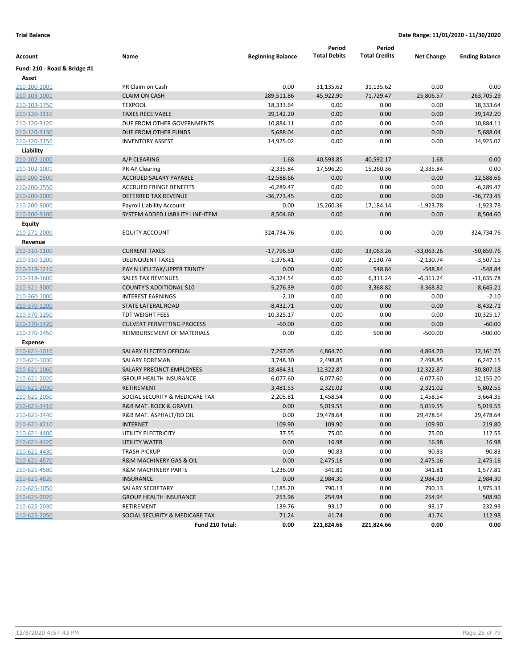| Account                      | Name                                                     | <b>Beginning Balance</b>    | Period<br><b>Total Debits</b> | Period<br><b>Total Credits</b> | <b>Net Change</b>    | <b>Ending Balance</b>       |
|------------------------------|----------------------------------------------------------|-----------------------------|-------------------------------|--------------------------------|----------------------|-----------------------------|
| Fund: 210 - Road & Bridge #1 |                                                          |                             |                               |                                |                      |                             |
| Asset<br>210-100-1001        | PR Claim on Cash                                         | 0.00                        |                               |                                | 0.00                 |                             |
| 210-103-1001                 | <b>CLAIM ON CASH</b>                                     | 289,511.86                  | 31,135.62<br>45,922.90        | 31,135.62                      |                      | 0.00<br>263,705.29          |
| 210-103-1750                 | <b>TEXPOOL</b>                                           | 18,333.64                   | 0.00                          | 71,729.47<br>0.00              | $-25,806.57$<br>0.00 | 18,333.64                   |
|                              |                                                          |                             |                               |                                |                      |                             |
| 210-120-3110                 | <b>TAXES RECEIVABLE</b><br>DUE FROM OTHER GOVERNMENTS    | 39,142.20<br>10,884.11      | 0.00<br>0.00                  | 0.00<br>0.00                   | 0.00<br>0.00         | 39,142.20<br>10,884.11      |
| 210-120-3120<br>210-120-3130 | DUE FROM OTHER FUNDS                                     |                             |                               |                                |                      | 5,688.04                    |
| 210-120-3150                 | <b>INVENTORY ASSEST</b>                                  | 5,688.04<br>14,925.02       | 0.00<br>0.00                  | 0.00<br>0.00                   | 0.00<br>0.00         | 14,925.02                   |
| Liability                    |                                                          |                             |                               |                                |                      |                             |
| 210-102-1000                 | A/P CLEARING                                             | $-1.68$                     | 40,593.85                     | 40,592.17                      | 1.68                 | 0.00                        |
|                              |                                                          |                             |                               |                                |                      | 0.00                        |
| 210-102-1001                 | PR AP Clearing                                           | $-2,335.84$                 | 17,596.20                     | 15,260.36                      | 2,335.84             |                             |
| 210-200-1500                 | ACCRUED SALARY PAYABLE<br><b>ACCRUED FRINGE BENEFITS</b> | $-12,588.66$<br>$-6,289.47$ | 0.00<br>0.00                  | 0.00<br>0.00                   | 0.00<br>0.00         | $-12,588.66$<br>$-6,289.47$ |
| 210-200-1550                 | <b>DEFERRED TAX REVENUE</b>                              |                             |                               |                                |                      |                             |
| 210-200-2000                 |                                                          | $-36,773.45$                | 0.00                          | 0.00                           | 0.00                 | $-36,773.45$                |
| 210-200-9000                 | Payroll Liability Account                                | 0.00                        | 15,260.36                     | 17,184.14                      | $-1,923.78$          | $-1,923.78$                 |
| 210-200-9100                 | SYSTEM ADDED LIABILITY LINE-ITEM                         | 8,504.60                    | 0.00                          | 0.00                           | 0.00                 | 8,504.60                    |
| <b>Equity</b>                |                                                          |                             |                               |                                |                      |                             |
| 210-271-2000                 | <b>EQUITY ACCOUNT</b>                                    | -324,734.76                 | 0.00                          | 0.00                           | 0.00                 | -324,734.76                 |
| Revenue                      |                                                          |                             |                               |                                |                      |                             |
| 210-310-1100                 | <b>CURRENT TAXES</b>                                     | $-17,796.50$                | 0.00                          | 33,063.26                      | $-33,063.26$         | $-50,859.76$                |
| 210-310-1200                 | <b>DELINQUENT TAXES</b>                                  | $-1,376.41$                 | 0.00                          | 2,130.74                       | $-2,130.74$          | $-3,507.15$                 |
| 210-318-1210                 | PAY N LIEU TAX/UPPER TRINITY                             | 0.00                        | 0.00                          | 548.84                         | $-548.84$            | $-548.84$                   |
| 210-318-1600                 | <b>SALES TAX REVENUES</b>                                | $-5,324.54$                 | 0.00                          | 6,311.24                       | $-6,311.24$          | $-11,635.78$                |
| 210-321-3000                 | <b>COUNTY'S ADDITIONAL \$10</b>                          | $-5,276.39$                 | 0.00                          | 3,368.82                       | $-3,368.82$          | $-8,645.21$                 |
| 210-360-1000                 | <b>INTEREST EARNINGS</b>                                 | $-2.10$                     | 0.00                          | 0.00                           | 0.00                 | $-2.10$                     |
| 210-370-1200                 | STATE LATERAL ROAD                                       | $-8,432.71$                 | 0.00                          | 0.00                           | 0.00                 | $-8,432.71$                 |
| 210-370-1250                 | TDT WEIGHT FEES                                          | $-10,325.17$                | 0.00                          | 0.00                           | 0.00                 | $-10,325.17$                |
| 210-370-1420                 | <b>CULVERT PERMITTING PROCESS</b>                        | $-60.00$                    | 0.00                          | 0.00                           | 0.00                 | $-60.00$                    |
| 210-370-1450                 | REIMBURSEMENT OF MATERIALS                               | 0.00                        | 0.00                          | 500.00                         | $-500.00$            | $-500.00$                   |
| Expense                      |                                                          |                             |                               |                                |                      |                             |
| 210-621-1010                 | SALARY ELECTED OFFICIAL                                  | 7,297.05                    | 4,864.70                      | 0.00                           | 4,864.70             | 12,161.75                   |
| 210-621-1030                 | <b>SALARY FOREMAN</b>                                    | 3,748.30                    | 2,498.85                      | 0.00                           | 2,498.85             | 6,247.15                    |
| 210-621-1060                 | SALARY PRECINCT EMPLOYEES                                | 18,484.31                   | 12,322.87                     | 0.00                           | 12,322.87            | 30,807.18                   |
| 210-621-2020                 | <b>GROUP HEALTH INSURANCE</b>                            | 6,077.60                    | 6,077.60                      | 0.00                           | 6,077.60             | 12,155.20                   |
| 210-621-2030                 | <b>RETIREMENT</b>                                        | 3,481.53                    | 2,321.02                      | 0.00                           | 2,321.02             | 5,802.55                    |
| 210-621-2050                 | SOCIAL SECURITY & MEDICARE TAX                           | 2,205.81                    | 1,458.54                      | 0.00                           | 1,458.54             | 3,664.35                    |
| 210-621-3410                 | R&B MAT. ROCK & GRAVEL                                   | 0.00                        | 5,019.55                      | 0.00                           | 5,019.55             | 5,019.55                    |
| 210-621-3440                 | R&B MAT. ASPHALT/RD OIL                                  | 0.00                        | 29,478.64                     | 0.00                           | 29,478.64            | 29,478.64                   |
| 210-621-4210                 | <b>INTERNET</b>                                          | 109.90                      | 109.90                        | 0.00                           | 109.90               | 219.80                      |
| 210-621-4400                 | UTILITY ELECTRICITY                                      | 37.55                       | 75.00                         | 0.00                           | 75.00                | 112.55                      |
| 210-621-4420                 | <b>UTILITY WATER</b>                                     | 0.00                        | 16.98                         | 0.00                           | 16.98                | 16.98                       |
| 210-621-4430                 | <b>TRASH PICKUP</b>                                      | 0.00                        | 90.83                         | 0.00                           | 90.83                | 90.83                       |
| 210-621-4570                 | <b>R&amp;M MACHINERY GAS &amp; OIL</b>                   | 0.00                        | 2,475.16                      | 0.00                           | 2,475.16             | 2,475.16                    |
| 210-621-4580                 | <b>R&amp;M MACHINERY PARTS</b>                           | 1,236.00                    | 341.81                        | 0.00                           | 341.81               | 1,577.81                    |
| 210-621-4820                 | <b>INSURANCE</b>                                         | 0.00                        | 2,984.30                      | 0.00                           | 2,984.30             | 2,984.30                    |
| 210-625-1050                 | SALARY SECRETARY                                         | 1,185.20                    | 790.13                        | 0.00                           | 790.13               | 1,975.33                    |
| 210-625-2020                 | <b>GROUP HEALTH INSURANCE</b>                            | 253.96                      | 254.94                        | 0.00                           | 254.94               | 508.90                      |
| 210-625-2030                 | RETIREMENT                                               | 139.76                      | 93.17                         | 0.00                           | 93.17                | 232.93                      |
| 210-625-2050                 | SOCIAL SECURITY & MEDICARE TAX                           | 71.24                       | 41.74                         | 0.00                           | 41.74                | 112.98                      |
|                              | Fund 210 Total:                                          | 0.00                        | 221,824.66                    | 221,824.66                     | 0.00                 | 0.00                        |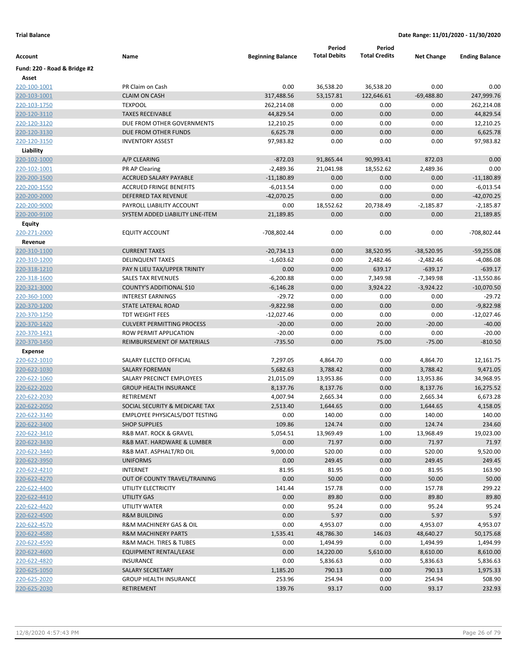| Account                      | Name                                  | <b>Beginning Balance</b> | Period<br><b>Total Debits</b> | Period<br><b>Total Credits</b> | <b>Net Change</b> | <b>Ending Balance</b> |
|------------------------------|---------------------------------------|--------------------------|-------------------------------|--------------------------------|-------------------|-----------------------|
|                              |                                       |                          |                               |                                |                   |                       |
| Fund: 220 - Road & Bridge #2 |                                       |                          |                               |                                |                   |                       |
| Asset                        |                                       |                          |                               |                                |                   |                       |
| 220-100-1001                 | PR Claim on Cash                      | 0.00                     | 36,538.20                     | 36,538.20                      | 0.00              | 0.00                  |
| 220-103-1001                 | <b>CLAIM ON CASH</b>                  | 317,488.56               | 53,157.81                     | 122,646.61                     | $-69,488.80$      | 247,999.76            |
| 220-103-1750                 | <b>TEXPOOL</b>                        | 262,214.08               | 0.00                          | 0.00                           | 0.00              | 262,214.08            |
| 220-120-3110                 | <b>TAXES RECEIVABLE</b>               | 44,829.54                | 0.00                          | 0.00                           | 0.00              | 44,829.54             |
| 220-120-3120                 | DUE FROM OTHER GOVERNMENTS            | 12,210.25                | 0.00                          | 0.00                           | 0.00              | 12,210.25             |
| 220-120-3130                 | DUE FROM OTHER FUNDS                  | 6,625.78                 | 0.00                          | 0.00                           | 0.00              | 6,625.78              |
| 220-120-3150                 | <b>INVENTORY ASSEST</b>               | 97,983.82                | 0.00                          | 0.00                           | 0.00              | 97,983.82             |
| Liability                    |                                       |                          |                               |                                |                   |                       |
| 220-102-1000                 | A/P CLEARING                          | $-872.03$                | 91,865.44                     | 90,993.41                      | 872.03            | 0.00                  |
| 220-102-1001                 | PR AP Clearing                        | $-2,489.36$              | 21,041.98                     | 18,552.62                      | 2,489.36          | 0.00                  |
| 220-200-1500                 | ACCRUED SALARY PAYABLE                | $-11,180.89$             | 0.00                          | 0.00                           | 0.00              | $-11,180.89$          |
| 220-200-1550                 | <b>ACCRUED FRINGE BENEFITS</b>        | $-6,013.54$              | 0.00                          | 0.00                           | 0.00              | $-6,013.54$           |
| 220-200-2000                 | DEFERRED TAX REVENUE                  | $-42,070.25$             | 0.00                          | 0.00                           | 0.00              | $-42,070.25$          |
| 220-200-9000                 | PAYROLL LIABILITY ACCOUNT             | 0.00                     | 18,552.62                     | 20,738.49                      | $-2,185.87$       | $-2,185.87$           |
| 220-200-9100                 | SYSTEM ADDED LIABILITY LINE-ITEM      | 21,189.85                | 0.00                          | 0.00                           | 0.00              | 21,189.85             |
| Equity                       |                                       |                          |                               |                                |                   |                       |
| 220-271-2000                 | EQUITY ACCOUNT                        | -708,802.44              | 0.00                          | 0.00                           | 0.00              | -708,802.44           |
| Revenue                      |                                       |                          |                               |                                |                   |                       |
| 220-310-1100                 | <b>CURRENT TAXES</b>                  | $-20,734.13$             | 0.00                          | 38,520.95                      | $-38,520.95$      | $-59,255.08$          |
| 220-310-1200                 | <b>DELINQUENT TAXES</b>               | $-1,603.62$              | 0.00                          | 2,482.46                       | $-2,482.46$       | $-4,086.08$           |
| 220-318-1210                 | PAY N LIEU TAX/UPPER TRINITY          | 0.00                     | 0.00                          | 639.17                         | $-639.17$         | $-639.17$             |
| 220-318-1600                 | <b>SALES TAX REVENUES</b>             | $-6,200.88$              | 0.00                          | 7,349.98                       | $-7,349.98$       | $-13,550.86$          |
| 220-321-3000                 | COUNTY'S ADDITIONAL \$10              | $-6,146.28$              | 0.00                          | 3,924.22                       | $-3,924.22$       | $-10,070.50$          |
| 220-360-1000                 | <b>INTEREST EARNINGS</b>              | $-29.72$                 | 0.00                          | 0.00                           | 0.00              | $-29.72$              |
| 220-370-1200                 | STATE LATERAL ROAD                    | $-9,822.98$              | 0.00                          | 0.00                           | 0.00              | $-9,822.98$           |
| 220-370-1250                 | <b>TDT WEIGHT FEES</b>                | $-12,027.46$             | 0.00                          | 0.00                           | 0.00              | $-12,027.46$          |
| 220-370-1420                 | <b>CULVERT PERMITTING PROCESS</b>     | $-20.00$                 | 0.00                          | 20.00                          | $-20.00$          | $-40.00$              |
| 220-370-1421                 | ROW PERMIT APPLICATION                | $-20.00$                 | 0.00                          | 0.00                           | 0.00              | $-20.00$              |
| 220-370-1450                 | REIMBURSEMENT OF MATERIALS            | $-735.50$                | 0.00                          | 75.00                          | $-75.00$          | $-810.50$             |
| <b>Expense</b>               |                                       |                          |                               |                                |                   |                       |
| 220-622-1010                 | SALARY ELECTED OFFICIAL               | 7,297.05                 | 4,864.70                      | 0.00                           | 4,864.70          | 12,161.75             |
| 220-622-1030                 | <b>SALARY FOREMAN</b>                 | 5,682.63                 | 3,788.42                      | 0.00                           | 3,788.42          | 9,471.05              |
| 220-622-1060                 | SALARY PRECINCT EMPLOYEES             | 21,015.09                | 13,953.86                     | 0.00                           | 13,953.86         | 34,968.95             |
| 220-622-2020                 | <b>GROUP HEALTH INSURANCE</b>         | 8,137.76                 | 8,137.76                      | 0.00                           | 8,137.76          | 16,275.52             |
| 220-622-2030                 | RETIREMENT                            | 4,007.94                 | 2,665.34                      | 0.00                           | 2,665.34          | 6,673.28              |
| 220-622-2050                 | SOCIAL SECURITY & MEDICARE TAX        | 2,513.40                 | 1,644.65                      | 0.00                           | 1,644.65          | 4,158.05              |
| 220-622-3140                 | <b>EMPLOYEE PHYSICALS/DOT TESTING</b> | 0.00                     | 140.00                        | 0.00                           | 140.00            | 140.00                |
| 220-622-3400                 | <b>SHOP SUPPLIES</b>                  | 109.86                   | 124.74                        | 0.00                           | 124.74            | 234.60                |
| 220-622-3410                 | R&B MAT. ROCK & GRAVEL                | 5,054.51                 | 13,969.49                     | 1.00                           | 13,968.49         | 19,023.00             |
| 220-622-3430                 | R&B MAT. HARDWARE & LUMBER            | 0.00                     | 71.97                         | 0.00                           | 71.97             | 71.97                 |
| 220-622-3440                 | R&B MAT. ASPHALT/RD OIL               | 9,000.00                 | 520.00                        | 0.00                           | 520.00            | 9,520.00              |
| 220-622-3950                 | <b>UNIFORMS</b>                       | 0.00                     | 249.45                        | 0.00                           | 249.45            | 249.45                |
| 220-622-4210                 | <b>INTERNET</b>                       | 81.95                    | 81.95                         | 0.00                           | 81.95             | 163.90                |
| 220-622-4270                 | OUT OF COUNTY TRAVEL/TRAINING         | 0.00                     | 50.00                         | 0.00                           | 50.00             | 50.00                 |
| 220-622-4400                 | UTILITY ELECTRICITY                   | 141.44                   | 157.78                        | 0.00                           | 157.78            | 299.22                |
| 220-622-4410                 | UTILITY GAS                           | 0.00                     | 89.80                         | 0.00                           | 89.80             | 89.80                 |
| 220-622-4420                 | UTILITY WATER                         | 0.00                     | 95.24                         | 0.00                           | 95.24             | 95.24                 |
| 220-622-4500                 | <b>R&amp;M BUILDING</b>               | 0.00                     | 5.97                          | 0.00                           | 5.97              | 5.97                  |
| 220-622-4570                 | R&M MACHINERY GAS & OIL               | 0.00                     | 4,953.07                      | 0.00                           | 4,953.07          | 4,953.07              |
| 220-622-4580                 | <b>R&amp;M MACHINERY PARTS</b>        | 1,535.41                 | 48,786.30                     | 146.03                         | 48,640.27         | 50,175.68             |
| 220-622-4590                 | R&M MACH. TIRES & TUBES               | 0.00                     | 1,494.99                      | 0.00                           | 1,494.99          | 1,494.99              |
| 220-622-4600                 | EQUIPMENT RENTAL/LEASE                | 0.00                     | 14,220.00                     | 5,610.00                       | 8,610.00          | 8,610.00              |
| 220-622-4820                 | <b>INSURANCE</b>                      | 0.00                     | 5,836.63                      | 0.00                           | 5,836.63          | 5,836.63              |
| 220-625-1050                 | SALARY SECRETARY                      | 1,185.20                 | 790.13                        | 0.00                           | 790.13            | 1,975.33              |
| 220-625-2020                 | <b>GROUP HEALTH INSURANCE</b>         | 253.96                   | 254.94                        | 0.00                           | 254.94            | 508.90                |
| 220-625-2030                 | RETIREMENT                            | 139.76                   | 93.17                         | 0.00                           | 93.17             | 232.93                |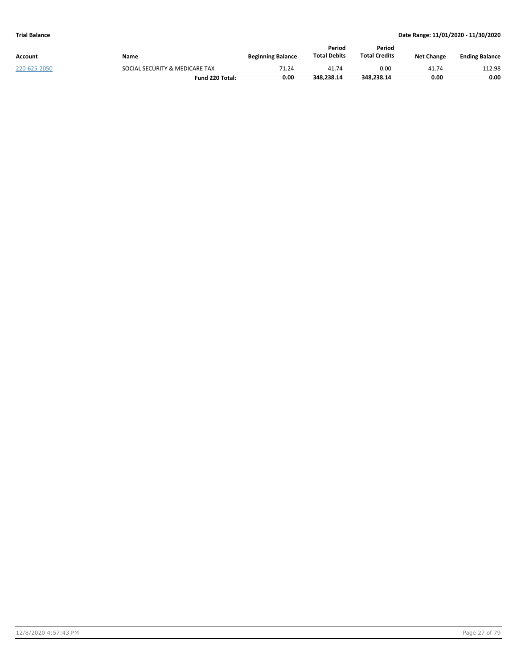|              |                                |                          | Period              | Period               |                   |                       |
|--------------|--------------------------------|--------------------------|---------------------|----------------------|-------------------|-----------------------|
| Account      | Name                           | <b>Beginning Balance</b> | <b>Total Debits</b> | <b>Total Credits</b> | <b>Net Change</b> | <b>Ending Balance</b> |
| 220-625-2050 | SOCIAL SECURITY & MEDICARE TAX | 71.24                    | 41.74               | 0.00                 | 41.74             | 112.98                |
|              | Fund 220 Total:                | 0.00                     | 348.238.14          | 348.238.14           | 0.00              | 0.00                  |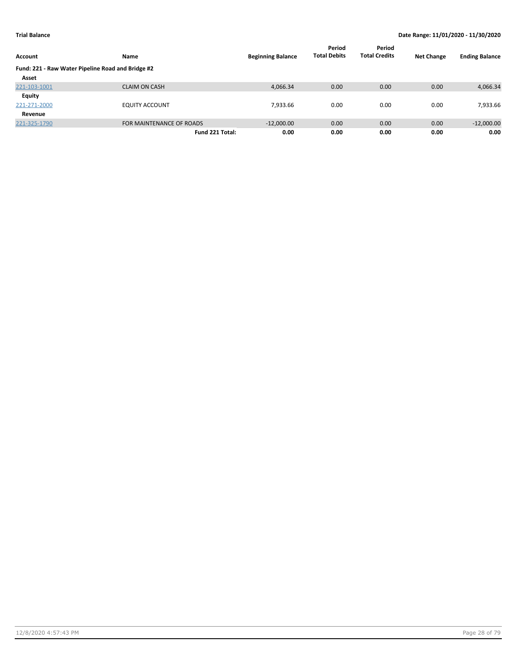| Account      | Name                                              | <b>Beginning Balance</b> | Period<br><b>Total Debits</b> | Period<br><b>Total Credits</b> | <b>Net Change</b> | <b>Ending Balance</b> |  |  |  |  |
|--------------|---------------------------------------------------|--------------------------|-------------------------------|--------------------------------|-------------------|-----------------------|--|--|--|--|
|              | Fund: 221 - Raw Water Pipeline Road and Bridge #2 |                          |                               |                                |                   |                       |  |  |  |  |
| Asset        |                                                   |                          |                               |                                |                   |                       |  |  |  |  |
| 221-103-1001 | <b>CLAIM ON CASH</b>                              | 4,066.34                 | 0.00                          | 0.00                           | 0.00              | 4,066.34              |  |  |  |  |
| Equity       |                                                   |                          |                               |                                |                   |                       |  |  |  |  |
| 221-271-2000 | <b>EQUITY ACCOUNT</b>                             | 7,933.66                 | 0.00                          | 0.00                           | 0.00              | 7,933.66              |  |  |  |  |
| Revenue      |                                                   |                          |                               |                                |                   |                       |  |  |  |  |
| 221-325-1790 | FOR MAINTENANCE OF ROADS                          | $-12,000.00$             | 0.00                          | 0.00                           | 0.00              | $-12,000.00$          |  |  |  |  |
|              | Fund 221 Total:                                   | 0.00                     | 0.00                          | 0.00                           | 0.00              | 0.00                  |  |  |  |  |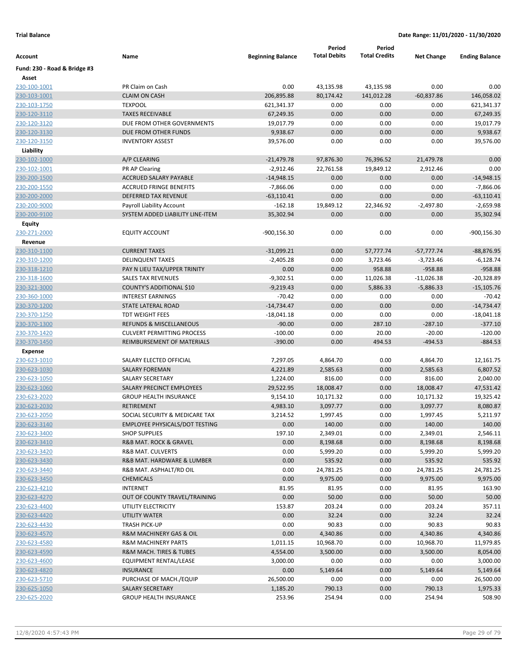|                              |                                   |                          | Period              | Period               |                          |                          |
|------------------------------|-----------------------------------|--------------------------|---------------------|----------------------|--------------------------|--------------------------|
| Account                      | Name                              | <b>Beginning Balance</b> | <b>Total Debits</b> | <b>Total Credits</b> | <b>Net Change</b>        | <b>Ending Balance</b>    |
| Fund: 230 - Road & Bridge #3 |                                   |                          |                     |                      |                          |                          |
| Asset                        |                                   |                          |                     |                      |                          |                          |
| 230-100-1001                 | PR Claim on Cash                  | 0.00                     | 43,135.98           | 43,135.98            | 0.00                     | 0.00                     |
| 230-103-1001                 | <b>CLAIM ON CASH</b>              | 206,895.88               | 80,174.42           | 141,012.28           | $-60,837.86$             | 146,058.02               |
| 230-103-1750                 | <b>TEXPOOL</b>                    | 621,341.37               | 0.00                | 0.00                 | 0.00                     | 621,341.37               |
| 230-120-3110                 | <b>TAXES RECEIVABLE</b>           | 67,249.35                | 0.00                | 0.00                 | 0.00                     | 67,249.35                |
| 230-120-3120                 | DUE FROM OTHER GOVERNMENTS        | 19,017.79                | 0.00                | 0.00                 | 0.00                     | 19,017.79                |
| 230-120-3130                 | DUE FROM OTHER FUNDS              | 9,938.67                 | 0.00                | 0.00                 | 0.00                     | 9,938.67                 |
| 230-120-3150                 | <b>INVENTORY ASSEST</b>           | 39,576.00                | 0.00                | 0.00                 | 0.00                     | 39,576.00                |
| Liability                    |                                   |                          |                     |                      |                          |                          |
| 230-102-1000                 | A/P CLEARING                      | $-21,479.78$             | 97,876.30           | 76,396.52            | 21,479.78                | 0.00                     |
| 230-102-1001                 | PR AP Clearing                    | $-2,912.46$              | 22,761.58           | 19,849.12            | 2,912.46                 | 0.00                     |
| 230-200-1500                 | <b>ACCRUED SALARY PAYABLE</b>     | $-14,948.15$             | 0.00                | 0.00                 | 0.00                     | $-14,948.15$             |
| 230-200-1550                 | <b>ACCRUED FRINGE BENEFITS</b>    | $-7,866.06$              | 0.00                | 0.00                 | 0.00                     | $-7,866.06$              |
| 230-200-2000                 | DEFERRED TAX REVENUE              | $-63,110.41$             | 0.00                | 0.00                 | 0.00                     | $-63,110.41$             |
| 230-200-9000                 | Payroll Liability Account         | $-162.18$                | 19,849.12           | 22,346.92            | $-2,497.80$              | $-2,659.98$              |
| 230-200-9100                 | SYSTEM ADDED LIABILITY LINE-ITEM  | 35,302.94                | 0.00                | 0.00                 | 0.00                     | 35,302.94                |
| Equity                       |                                   | $-900, 156.30$           |                     | 0.00                 |                          |                          |
| 230-271-2000                 | <b>EQUITY ACCOUNT</b>             |                          | 0.00                |                      | 0.00                     | -900,156.30              |
| Revenue<br>230-310-1100      | <b>CURRENT TAXES</b>              | $-31,099.21$             | 0.00                |                      |                          | $-88,876.95$             |
| 230-310-1200                 | <b>DELINQUENT TAXES</b>           |                          | 0.00                | 57,777.74            | $-57,777.74$             |                          |
|                              | PAY N LIEU TAX/UPPER TRINITY      | $-2,405.28$<br>0.00      | 0.00                | 3,723.46<br>958.88   | $-3,723.46$<br>$-958.88$ | $-6,128.74$<br>$-958.88$ |
| 230-318-1210<br>230-318-1600 | <b>SALES TAX REVENUES</b>         | $-9,302.51$              | 0.00                | 11,026.38            | $-11,026.38$             | $-20,328.89$             |
| 230-321-3000                 | COUNTY'S ADDITIONAL \$10          | $-9,219.43$              | 0.00                | 5,886.33             | $-5,886.33$              | $-15,105.76$             |
| 230-360-1000                 | <b>INTEREST EARNINGS</b>          | $-70.42$                 | 0.00                | 0.00                 | 0.00                     | $-70.42$                 |
| 230-370-1200                 | <b>STATE LATERAL ROAD</b>         | $-14,734.47$             | 0.00                | 0.00                 | 0.00                     | $-14,734.47$             |
| 230-370-1250                 | <b>TDT WEIGHT FEES</b>            | $-18,041.18$             | 0.00                | 0.00                 | 0.00                     | $-18,041.18$             |
| 230-370-1300                 | REFUNDS & MISCELLANEOUS           | $-90.00$                 | 0.00                | 287.10               | $-287.10$                | $-377.10$                |
| 230-370-1420                 | <b>CULVERT PERMITTING PROCESS</b> | $-100.00$                | 0.00                | 20.00                | $-20.00$                 | $-120.00$                |
| 230-370-1450                 | REIMBURSEMENT OF MATERIALS        | $-390.00$                | 0.00                | 494.53               | $-494.53$                | $-884.53$                |
| <b>Expense</b>               |                                   |                          |                     |                      |                          |                          |
| 230-623-1010                 | SALARY ELECTED OFFICIAL           | 7,297.05                 | 4,864.70            | 0.00                 | 4,864.70                 | 12,161.75                |
| 230-623-1030                 | <b>SALARY FOREMAN</b>             | 4,221.89                 | 2,585.63            | 0.00                 | 2,585.63                 | 6,807.52                 |
| 230-623-1050                 | SALARY SECRETARY                  | 1,224.00                 | 816.00              | 0.00                 | 816.00                   | 2,040.00                 |
| 230-623-1060                 | SALARY PRECINCT EMPLOYEES         | 29,522.95                | 18,008.47           | 0.00                 | 18,008.47                | 47,531.42                |
| 230-623-2020                 | <b>GROUP HEALTH INSURANCE</b>     | 9,154.10                 | 10,171.32           | 0.00                 | 10,171.32                | 19,325.42                |
| 230-623-2030                 | <b>RETIREMENT</b>                 | 4,983.10                 | 3,097.77            | 0.00                 | 3,097.77                 | 8,080.87                 |
| 230-623-2050                 | SOCIAL SECURITY & MEDICARE TAX    | 3,214.52                 | 1,997.45            | 0.00                 | 1,997.45                 | 5,211.97                 |
| 230-623-3140                 | EMPLOYEE PHYSICALS/DOT TESTING    | 0.00                     | 140.00              | 0.00                 | 140.00                   | 140.00                   |
| 230-623-3400                 | <b>SHOP SUPPLIES</b>              | 197.10                   | 2,349.01            | 0.00                 | 2,349.01                 | 2,546.11                 |
| 230-623-3410                 | R&B MAT. ROCK & GRAVEL            | 0.00                     | 8,198.68            | 0.00                 | 8,198.68                 | 8,198.68                 |
| 230-623-3420                 | <b>R&amp;B MAT. CULVERTS</b>      | 0.00                     | 5,999.20            | 0.00                 | 5,999.20                 | 5,999.20                 |
| 230-623-3430                 | R&B MAT. HARDWARE & LUMBER        | 0.00                     | 535.92              | 0.00                 | 535.92                   | 535.92                   |
| 230-623-3440                 | R&B MAT. ASPHALT/RD OIL           | 0.00                     | 24,781.25           | 0.00                 | 24,781.25                | 24,781.25                |
| 230-623-3450                 | <b>CHEMICALS</b>                  | 0.00                     | 9,975.00            | 0.00                 | 9,975.00                 | 9,975.00                 |
| 230-623-4210                 | <b>INTERNET</b>                   | 81.95                    | 81.95               | 0.00                 | 81.95                    | 163.90                   |
| 230-623-4270                 | OUT OF COUNTY TRAVEL/TRAINING     | 0.00                     | 50.00               | 0.00                 | 50.00                    | 50.00                    |
| 230-623-4400                 | UTILITY ELECTRICITY               | 153.87                   | 203.24              | 0.00                 | 203.24                   | 357.11                   |
| 230-623-4420                 | UTILITY WATER                     | 0.00                     | 32.24               | 0.00                 | 32.24                    | 32.24                    |
| 230-623-4430                 | TRASH PICK-UP                     | 0.00                     | 90.83               | 0.00                 | 90.83                    | 90.83                    |
| 230-623-4570                 | R&M MACHINERY GAS & OIL           | 0.00                     | 4,340.86            | 0.00                 | 4,340.86                 | 4,340.86                 |
| 230-623-4580                 | R&M MACHINERY PARTS               | 1,011.15                 | 10,968.70           | 0.00                 | 10,968.70                | 11,979.85                |
| 230-623-4590                 | R&M MACH. TIRES & TUBES           | 4,554.00                 | 3,500.00            | 0.00                 | 3,500.00                 | 8,054.00                 |
| 230-623-4600                 | EQUIPMENT RENTAL/LEASE            | 3,000.00                 | 0.00                | 0.00                 | 0.00                     | 3,000.00                 |
| 230-623-4820                 | <b>INSURANCE</b>                  | 0.00                     | 5,149.64            | 0.00                 | 5,149.64                 | 5,149.64                 |
| 230-623-5710                 | PURCHASE OF MACH./EQUIP           | 26,500.00                | 0.00                | 0.00                 | 0.00                     | 26,500.00                |
| 230-625-1050                 | SALARY SECRETARY                  | 1,185.20                 | 790.13              | 0.00                 | 790.13                   | 1,975.33                 |
| 230-625-2020                 | <b>GROUP HEALTH INSURANCE</b>     | 253.96                   | 254.94              | 0.00                 | 254.94                   | 508.90                   |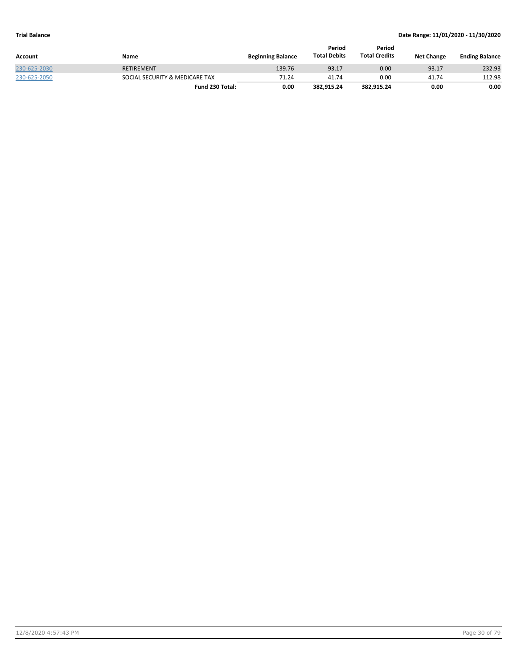| Account      | Name                           | <b>Beginning Balance</b> | Period<br><b>Total Debits</b> | Period<br><b>Total Credits</b> | <b>Net Change</b> | <b>Ending Balance</b> |
|--------------|--------------------------------|--------------------------|-------------------------------|--------------------------------|-------------------|-----------------------|
| 230-625-2030 | <b>RETIREMENT</b>              | 139.76                   | 93.17                         | 0.00                           | 93.17             | 232.93                |
| 230-625-2050 | SOCIAL SECURITY & MEDICARE TAX | 71.24                    | 41.74                         | 0.00                           | 41.74             | 112.98                |
|              | Fund 230 Total:                | 0.00                     | 382.915.24                    | 382.915.24                     | 0.00              | 0.00                  |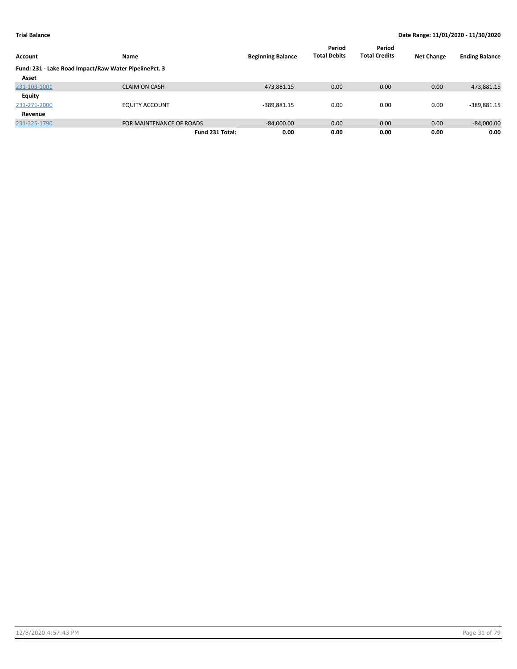|              |                                                       |                          | Period              | Period               |                   |                       |  |  |  |  |
|--------------|-------------------------------------------------------|--------------------------|---------------------|----------------------|-------------------|-----------------------|--|--|--|--|
| Account      | <b>Name</b>                                           | <b>Beginning Balance</b> | <b>Total Debits</b> | <b>Total Credits</b> | <b>Net Change</b> | <b>Ending Balance</b> |  |  |  |  |
|              | Fund: 231 - Lake Road Impact/Raw Water PipelinePct. 3 |                          |                     |                      |                   |                       |  |  |  |  |
| Asset        |                                                       |                          |                     |                      |                   |                       |  |  |  |  |
| 231-103-1001 | <b>CLAIM ON CASH</b>                                  | 473,881.15               | 0.00                | 0.00                 | 0.00              | 473,881.15            |  |  |  |  |
| Equity       |                                                       |                          |                     |                      |                   |                       |  |  |  |  |
| 231-271-2000 | <b>EQUITY ACCOUNT</b>                                 | $-389,881.15$            | 0.00                | 0.00                 | 0.00              | $-389,881.15$         |  |  |  |  |
| Revenue      |                                                       |                          |                     |                      |                   |                       |  |  |  |  |
| 231-325-1790 | FOR MAINTENANCE OF ROADS                              | $-84,000.00$             | 0.00                | 0.00                 | 0.00              | $-84,000.00$          |  |  |  |  |
|              | Fund 231 Total:                                       | 0.00                     | 0.00                | 0.00                 | 0.00              | 0.00                  |  |  |  |  |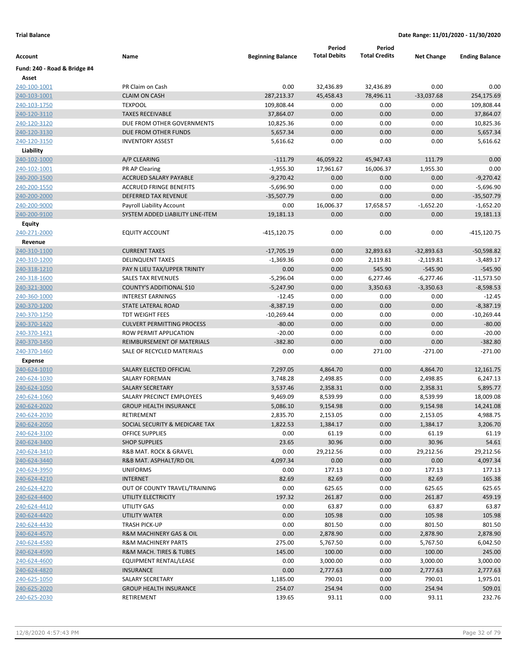|                              |                                   |                          | Period              | Period               |                   |                       |
|------------------------------|-----------------------------------|--------------------------|---------------------|----------------------|-------------------|-----------------------|
| Account                      | Name                              | <b>Beginning Balance</b> | <b>Total Debits</b> | <b>Total Credits</b> | <b>Net Change</b> | <b>Ending Balance</b> |
| Fund: 240 - Road & Bridge #4 |                                   |                          |                     |                      |                   |                       |
| Asset                        |                                   |                          |                     |                      |                   |                       |
| 240-100-1001                 | PR Claim on Cash                  | 0.00                     | 32,436.89           | 32,436.89            | 0.00              | 0.00                  |
| 240-103-1001                 | <b>CLAIM ON CASH</b>              | 287,213.37               | 45,458.43           | 78,496.11            | $-33,037.68$      | 254,175.69            |
| 240-103-1750                 | <b>TEXPOOL</b>                    | 109,808.44               | 0.00                | 0.00                 | 0.00              | 109,808.44            |
| 240-120-3110                 | <b>TAXES RECEIVABLE</b>           | 37,864.07                | 0.00                | 0.00                 | 0.00              | 37,864.07             |
| 240-120-3120                 | DUE FROM OTHER GOVERNMENTS        | 10,825.36                | 0.00                | 0.00                 | 0.00              | 10,825.36             |
| 240-120-3130                 | DUE FROM OTHER FUNDS              | 5,657.34                 | 0.00                | 0.00                 | 0.00              | 5,657.34              |
| 240-120-3150                 | <b>INVENTORY ASSEST</b>           | 5,616.62                 | 0.00                | 0.00                 | 0.00              | 5,616.62              |
| Liability                    |                                   |                          |                     |                      |                   |                       |
| 240-102-1000                 | A/P CLEARING                      | $-111.79$                | 46,059.22           | 45,947.43            | 111.79            | 0.00                  |
| 240-102-1001                 | PR AP Clearing                    | $-1,955.30$              | 17,961.67           | 16,006.37            | 1,955.30          | 0.00                  |
| 240-200-1500                 | <b>ACCRUED SALARY PAYABLE</b>     | $-9,270.42$              | 0.00                | 0.00                 | 0.00              | $-9,270.42$           |
| 240-200-1550                 | <b>ACCRUED FRINGE BENEFITS</b>    | $-5,696.90$              | 0.00                | 0.00                 | 0.00              | $-5,696.90$           |
| 240-200-2000                 | DEFERRED TAX REVENUE              | $-35,507.79$             | 0.00                | 0.00                 | 0.00              | $-35,507.79$          |
| 240-200-9000                 | Payroll Liability Account         | 0.00                     | 16,006.37           | 17,658.57            | $-1,652.20$       | $-1,652.20$           |
| 240-200-9100                 | SYSTEM ADDED LIABILITY LINE-ITEM  | 19,181.13                | 0.00                | 0.00                 | 0.00              | 19,181.13             |
| Equity                       |                                   |                          |                     |                      |                   |                       |
| 240-271-2000                 | <b>EQUITY ACCOUNT</b>             | $-415, 120.75$           | 0.00                | 0.00                 | 0.00              | -415,120.75           |
| Revenue                      |                                   |                          |                     |                      |                   |                       |
| 240-310-1100                 | <b>CURRENT TAXES</b>              | $-17,705.19$             | 0.00                | 32,893.63            | $-32,893.63$      | $-50,598.82$          |
| 240-310-1200                 | <b>DELINQUENT TAXES</b>           | $-1,369.36$              | 0.00                | 2,119.81             | $-2,119.81$       | $-3,489.17$           |
| 240-318-1210                 | PAY N LIEU TAX/UPPER TRINITY      | 0.00                     | 0.00                | 545.90               | $-545.90$         | $-545.90$             |
| 240-318-1600                 | <b>SALES TAX REVENUES</b>         | $-5,296.04$              | 0.00                | 6,277.46             | $-6,277.46$       | $-11,573.50$          |
| 240-321-3000                 | COUNTY'S ADDITIONAL \$10          | $-5,247.90$              | 0.00                | 3,350.63             | $-3,350.63$       | $-8,598.53$           |
| 240-360-1000                 | <b>INTEREST EARNINGS</b>          | $-12.45$                 | 0.00                | 0.00                 | 0.00              | $-12.45$              |
| 240-370-1200                 | <b>STATE LATERAL ROAD</b>         | $-8,387.19$              | 0.00                | 0.00                 | 0.00              | $-8,387.19$           |
| 240-370-1250                 | <b>TDT WEIGHT FEES</b>            | $-10,269.44$             | 0.00                | 0.00                 | 0.00              | $-10,269.44$          |
| 240-370-1420                 | <b>CULVERT PERMITTING PROCESS</b> | $-80.00$                 | 0.00                | 0.00                 | 0.00              | $-80.00$              |
| 240-370-1421                 | ROW PERMIT APPLICATION            | $-20.00$                 | 0.00                | 0.00                 | 0.00              | $-20.00$              |
| 240-370-1450                 | REIMBURSEMENT OF MATERIALS        | $-382.80$                | 0.00                | 0.00                 | 0.00              | $-382.80$             |
| 240-370-1460                 | SALE OF RECYCLED MATERIALS        | 0.00                     | 0.00                | 271.00               | $-271.00$         | $-271.00$             |
| <b>Expense</b>               |                                   |                          |                     |                      |                   |                       |
| 240-624-1010                 | SALARY ELECTED OFFICIAL           | 7,297.05                 | 4,864.70            | 0.00                 | 4,864.70          | 12,161.75             |
| 240-624-1030                 | SALARY FOREMAN                    | 3,748.28                 | 2,498.85            | 0.00                 | 2,498.85          | 6,247.13              |
| 240-624-1050                 | <b>SALARY SECRETARY</b>           | 3,537.46                 | 2,358.31            | 0.00                 | 2,358.31          | 5,895.77              |
| 240-624-1060                 | SALARY PRECINCT EMPLOYEES         | 9,469.09                 | 8,539.99            | 0.00                 | 8,539.99          | 18,009.08             |
| 240-624-2020                 | <b>GROUP HEALTH INSURANCE</b>     | 5,086.10                 | 9,154.98            | 0.00                 | 9,154.98          | 14,241.08             |
| 240-624-2030                 | RETIREMENT                        | 2,835.70                 | 2,153.05            | 0.00                 | 2,153.05          | 4,988.75              |
| 240-624-2050                 | SOCIAL SECURITY & MEDICARE TAX    | 1,822.53                 | 1,384.17            | 0.00                 | 1,384.17          | 3,206.70              |
| 240-624-3100                 | OFFICE SUPPLIES                   | 0.00                     | 61.19               | 0.00                 | 61.19             | 61.19                 |
| 240-624-3400                 | <b>SHOP SUPPLIES</b>              | 23.65                    | 30.96               | 0.00                 | 30.96             | 54.61                 |
| 240-624-3410                 | R&B MAT. ROCK & GRAVEL            | 0.00                     | 29,212.56           | 0.00                 | 29,212.56         | 29,212.56             |
| 240-624-3440                 | R&B MAT. ASPHALT/RD OIL           | 4,097.34                 | 0.00                | 0.00                 | 0.00              | 4,097.34              |
| 240-624-3950                 | <b>UNIFORMS</b>                   | 0.00                     | 177.13              | 0.00                 | 177.13            | 177.13                |
| 240-624-4210                 | <b>INTERNET</b>                   | 82.69                    | 82.69               | 0.00                 | 82.69             | 165.38                |
| 240-624-4270                 | OUT OF COUNTY TRAVEL/TRAINING     | 0.00                     | 625.65              | 0.00                 | 625.65            | 625.65                |
| 240-624-4400                 | UTILITY ELECTRICITY               | 197.32                   | 261.87              | 0.00                 | 261.87            | 459.19                |
| 240-624-4410                 | UTILITY GAS                       | 0.00                     | 63.87               | 0.00                 | 63.87             | 63.87                 |
| 240-624-4420                 | UTILITY WATER                     | 0.00                     | 105.98              | 0.00                 | 105.98            | 105.98                |
| 240-624-4430                 | TRASH PICK-UP                     | 0.00                     | 801.50              | 0.00                 | 801.50            | 801.50                |
| 240-624-4570                 | R&M MACHINERY GAS & OIL           | 0.00                     | 2,878.90            | 0.00                 | 2,878.90          | 2,878.90              |
| 240-624-4580                 | R&M MACHINERY PARTS               | 275.00                   | 5,767.50            | 0.00                 | 5,767.50          | 6,042.50              |
| 240-624-4590                 | R&M MACH. TIRES & TUBES           | 145.00                   | 100.00              | 0.00                 | 100.00            | 245.00                |
| 240-624-4600                 | EQUIPMENT RENTAL/LEASE            | 0.00                     | 3,000.00            | 0.00                 | 3,000.00          | 3,000.00              |
| 240-624-4820                 | <b>INSURANCE</b>                  | 0.00                     | 2,777.63            | 0.00                 | 2,777.63          | 2,777.63              |
| 240-625-1050                 | SALARY SECRETARY                  | 1,185.00                 | 790.01              | 0.00                 | 790.01            | 1,975.01              |
| 240-625-2020                 | <b>GROUP HEALTH INSURANCE</b>     | 254.07                   | 254.94              | 0.00                 | 254.94            | 509.01                |
| 240-625-2030                 | RETIREMENT                        | 139.65                   | 93.11               | 0.00                 | 93.11             | 232.76                |
|                              |                                   |                          |                     |                      |                   |                       |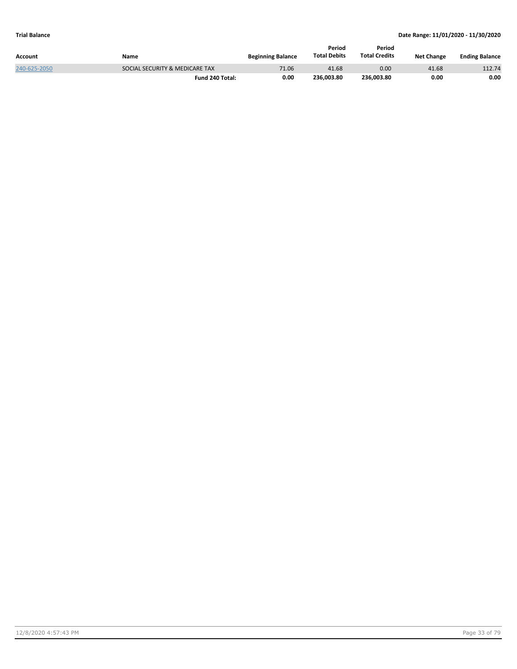| Account      | Name                           | <b>Beginning Balance</b> | Period<br><b>Total Debits</b> | Period<br><b>Total Credits</b> | <b>Net Change</b> | <b>Ending Balance</b> |
|--------------|--------------------------------|--------------------------|-------------------------------|--------------------------------|-------------------|-----------------------|
| 240-625-2050 | SOCIAL SECURITY & MEDICARE TAX | 71.06                    | 41.68                         | 0.00                           | 41.68             | 112.74                |
|              | Fund 240 Total:                | 0.00                     | 236.003.80                    | 236.003.80                     | 0.00              | 0.00                  |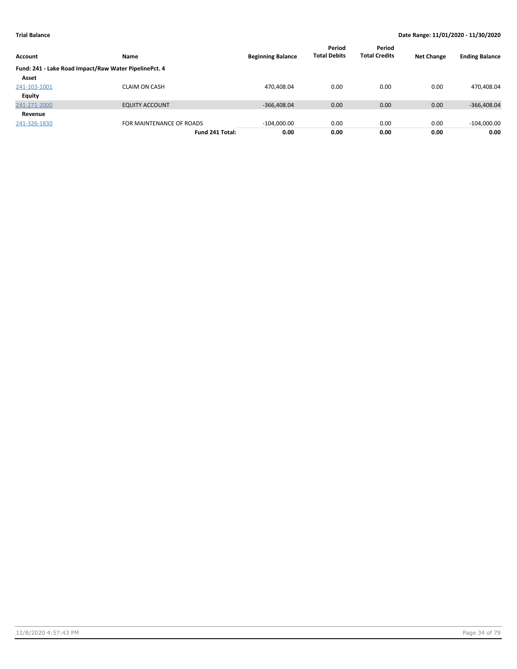| Account       | Name                                                  | <b>Beginning Balance</b> | Period<br><b>Total Debits</b> | Period<br><b>Total Credits</b> | <b>Net Change</b> | <b>Ending Balance</b> |
|---------------|-------------------------------------------------------|--------------------------|-------------------------------|--------------------------------|-------------------|-----------------------|
|               | Fund: 241 - Lake Road Impact/Raw Water PipelinePct. 4 |                          |                               |                                |                   |                       |
| Asset         |                                                       |                          |                               |                                |                   |                       |
| 241-103-1001  | <b>CLAIM ON CASH</b>                                  | 470,408.04               | 0.00                          | 0.00                           | 0.00              | 470,408.04            |
| <b>Equity</b> |                                                       |                          |                               |                                |                   |                       |
| 241-271-2000  | <b>EQUITY ACCOUNT</b>                                 | $-366,408.04$            | 0.00                          | 0.00                           | 0.00              | $-366,408.04$         |
| Revenue       |                                                       |                          |                               |                                |                   |                       |
| 241-326-1830  | FOR MAINTENANCE OF ROADS                              | $-104,000.00$            | 0.00                          | 0.00                           | 0.00              | $-104,000.00$         |
|               | Fund 241 Total:                                       | 0.00                     | 0.00                          | 0.00                           | 0.00              | 0.00                  |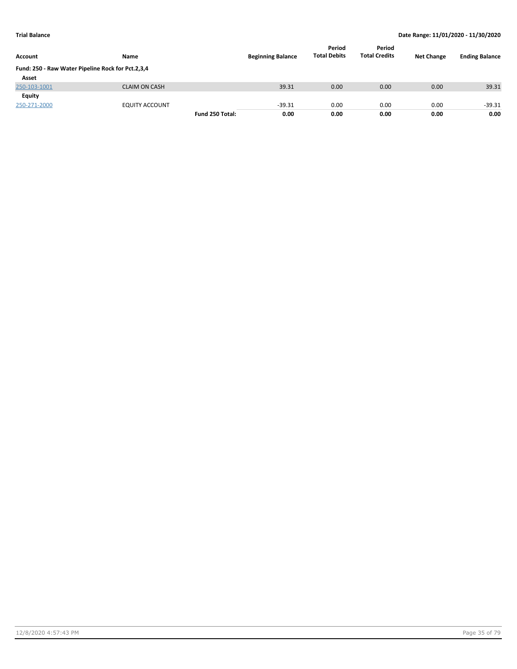| <b>Account</b>                                    | <b>Name</b>           |                 | <b>Beginning Balance</b> | Period<br><b>Total Debits</b> | Period<br><b>Total Credits</b> | <b>Net Change</b> | <b>Ending Balance</b> |
|---------------------------------------------------|-----------------------|-----------------|--------------------------|-------------------------------|--------------------------------|-------------------|-----------------------|
| Fund: 250 - Raw Water Pipeline Rock for Pct.2,3,4 |                       |                 |                          |                               |                                |                   |                       |
| Asset                                             |                       |                 |                          |                               |                                |                   |                       |
| 250-103-1001                                      | <b>CLAIM ON CASH</b>  |                 | 39.31                    | 0.00                          | 0.00                           | 0.00              | 39.31                 |
| <b>Equity</b>                                     |                       |                 |                          |                               |                                |                   |                       |
| 250-271-2000                                      | <b>EQUITY ACCOUNT</b> |                 | $-39.31$                 | 0.00                          | 0.00                           | 0.00              | $-39.31$              |
|                                                   |                       | Fund 250 Total: | 0.00                     | 0.00                          | 0.00                           | 0.00              | 0.00                  |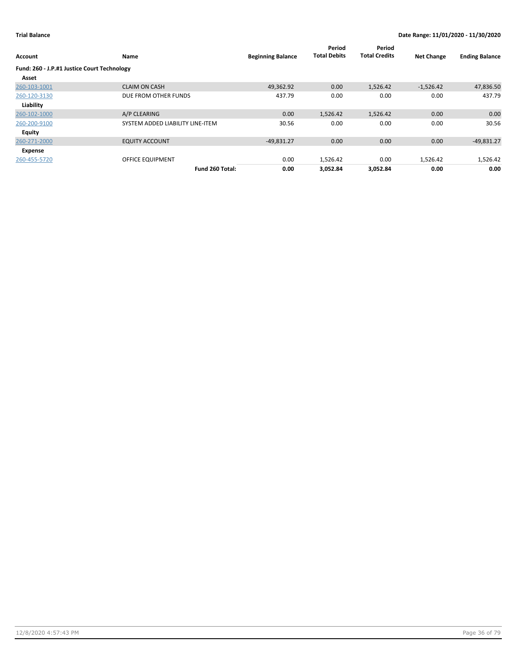| Account                                     | Name                             | <b>Beginning Balance</b> | Period<br><b>Total Debits</b> | Period<br><b>Total Credits</b> | <b>Net Change</b> | <b>Ending Balance</b> |
|---------------------------------------------|----------------------------------|--------------------------|-------------------------------|--------------------------------|-------------------|-----------------------|
| Fund: 260 - J.P.#1 Justice Court Technology |                                  |                          |                               |                                |                   |                       |
| Asset                                       |                                  |                          |                               |                                |                   |                       |
| 260-103-1001                                | <b>CLAIM ON CASH</b>             | 49,362.92                | 0.00                          | 1,526.42                       | $-1,526.42$       | 47,836.50             |
| 260-120-3130                                | DUE FROM OTHER FUNDS             | 437.79                   | 0.00                          | 0.00                           | 0.00              | 437.79                |
| Liability                                   |                                  |                          |                               |                                |                   |                       |
| 260-102-1000                                | A/P CLEARING                     | 0.00                     | 1,526.42                      | 1,526.42                       | 0.00              | 0.00                  |
| 260-200-9100                                | SYSTEM ADDED LIABILITY LINE-ITEM | 30.56                    | 0.00                          | 0.00                           | 0.00              | 30.56                 |
| Equity                                      |                                  |                          |                               |                                |                   |                       |
| 260-271-2000                                | <b>EQUITY ACCOUNT</b>            | $-49,831.27$             | 0.00                          | 0.00                           | 0.00              | $-49,831.27$          |
| Expense                                     |                                  |                          |                               |                                |                   |                       |
| 260-455-5720                                | <b>OFFICE EQUIPMENT</b>          | 0.00                     | 1,526.42                      | 0.00                           | 1,526.42          | 1,526.42              |
|                                             | Fund 260 Total:                  | 0.00                     | 3,052.84                      | 3,052.84                       | 0.00              | 0.00                  |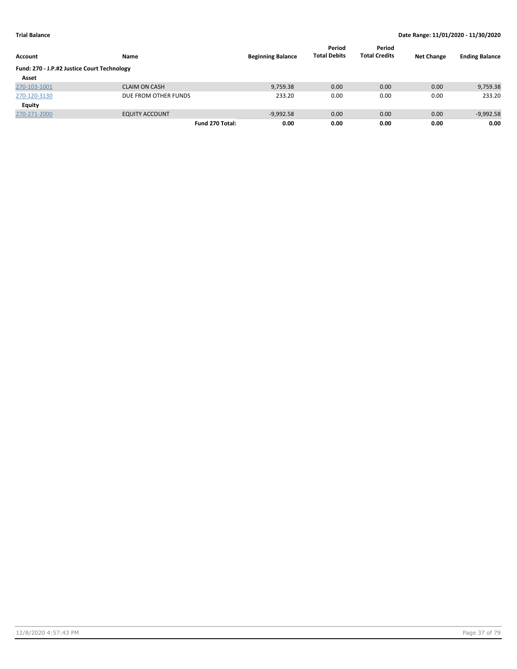| Account                                     | Name                  | <b>Beginning Balance</b> | Period<br><b>Total Debits</b> | Period<br><b>Total Credits</b> | <b>Net Change</b> | <b>Ending Balance</b> |
|---------------------------------------------|-----------------------|--------------------------|-------------------------------|--------------------------------|-------------------|-----------------------|
| Fund: 270 - J.P.#2 Justice Court Technology |                       |                          |                               |                                |                   |                       |
| Asset                                       |                       |                          |                               |                                |                   |                       |
| 270-103-1001                                | <b>CLAIM ON CASH</b>  | 9,759.38                 | 0.00                          | 0.00                           | 0.00              | 9,759.38              |
| 270-120-3130                                | DUE FROM OTHER FUNDS  | 233.20                   | 0.00                          | 0.00                           | 0.00              | 233.20                |
| Equity                                      |                       |                          |                               |                                |                   |                       |
| 270-271-2000                                | <b>EQUITY ACCOUNT</b> | $-9,992.58$              | 0.00                          | 0.00                           | 0.00              | $-9,992.58$           |
|                                             | Fund 270 Total:       | 0.00                     | 0.00                          | 0.00                           | 0.00              | 0.00                  |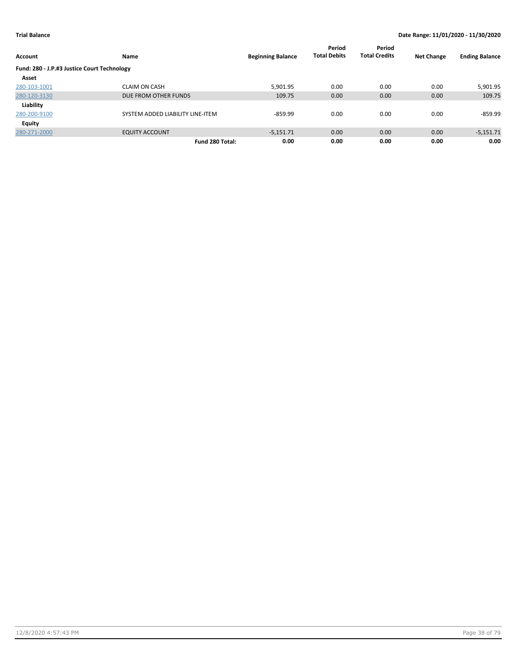| Account                                     | Name                             | <b>Beginning Balance</b> | Period<br><b>Total Debits</b> | Period<br><b>Total Credits</b> | <b>Net Change</b> | <b>Ending Balance</b> |
|---------------------------------------------|----------------------------------|--------------------------|-------------------------------|--------------------------------|-------------------|-----------------------|
| Fund: 280 - J.P.#3 Justice Court Technology |                                  |                          |                               |                                |                   |                       |
| Asset                                       |                                  |                          |                               |                                |                   |                       |
| 280-103-1001                                | <b>CLAIM ON CASH</b>             | 5,901.95                 | 0.00                          | 0.00                           | 0.00              | 5,901.95              |
| 280-120-3130                                | DUE FROM OTHER FUNDS             | 109.75                   | 0.00                          | 0.00                           | 0.00              | 109.75                |
| Liability                                   |                                  |                          |                               |                                |                   |                       |
| 280-200-9100                                | SYSTEM ADDED LIABILITY LINE-ITEM | $-859.99$                | 0.00                          | 0.00                           | 0.00              | $-859.99$             |
| Equity                                      |                                  |                          |                               |                                |                   |                       |
| 280-271-2000                                | <b>EQUITY ACCOUNT</b>            | $-5.151.71$              | 0.00                          | 0.00                           | 0.00              | $-5,151.71$           |
|                                             | Fund 280 Total:                  | 0.00                     | 0.00                          | 0.00                           | 0.00              | 0.00                  |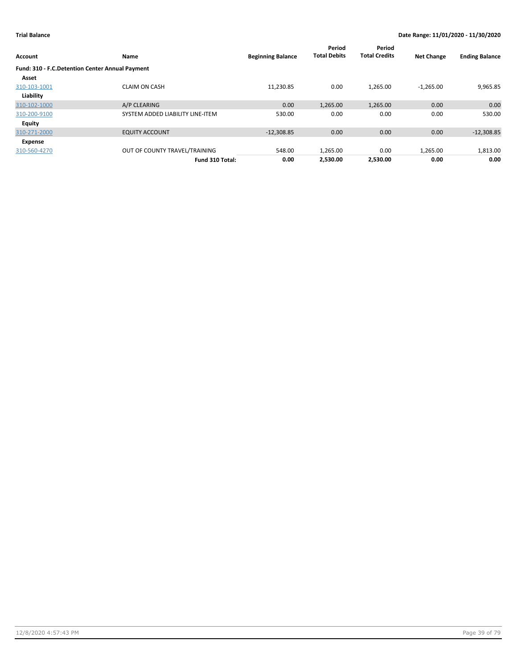| <b>Account</b>                                  | Name                             | <b>Beginning Balance</b> | Period<br><b>Total Debits</b> | Period<br><b>Total Credits</b> | <b>Net Change</b> | <b>Ending Balance</b> |
|-------------------------------------------------|----------------------------------|--------------------------|-------------------------------|--------------------------------|-------------------|-----------------------|
| Fund: 310 - F.C.Detention Center Annual Payment |                                  |                          |                               |                                |                   |                       |
| Asset                                           |                                  |                          |                               |                                |                   |                       |
| 310-103-1001                                    | <b>CLAIM ON CASH</b>             | 11,230.85                | 0.00                          | 1,265.00                       | $-1,265.00$       | 9,965.85              |
| Liability                                       |                                  |                          |                               |                                |                   |                       |
| 310-102-1000                                    | A/P CLEARING                     | 0.00                     | 1,265.00                      | 1,265.00                       | 0.00              | 0.00                  |
| 310-200-9100                                    | SYSTEM ADDED LIABILITY LINE-ITEM | 530.00                   | 0.00                          | 0.00                           | 0.00              | 530.00                |
| Equity                                          |                                  |                          |                               |                                |                   |                       |
| 310-271-2000                                    | <b>EQUITY ACCOUNT</b>            | $-12,308.85$             | 0.00                          | 0.00                           | 0.00              | $-12,308.85$          |
| Expense                                         |                                  |                          |                               |                                |                   |                       |
| 310-560-4270                                    | OUT OF COUNTY TRAVEL/TRAINING    | 548.00                   | 1,265.00                      | 0.00                           | 1,265.00          | 1,813.00              |
|                                                 | Fund 310 Total:                  | 0.00                     | 2.530.00                      | 2.530.00                       | 0.00              | 0.00                  |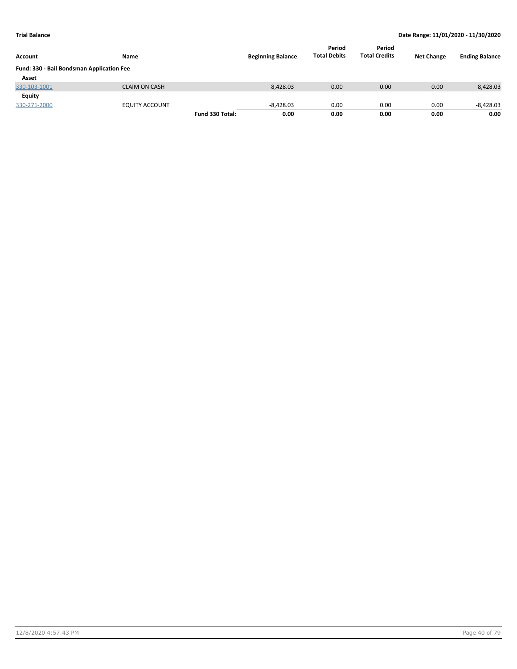| Account                                   | Name                 |                 | <b>Beginning Balance</b> | Period<br><b>Total Debits</b> | Period<br><b>Total Credits</b> | <b>Net Change</b> | <b>Ending Balance</b> |
|-------------------------------------------|----------------------|-----------------|--------------------------|-------------------------------|--------------------------------|-------------------|-----------------------|
| Fund: 330 - Bail Bondsman Application Fee |                      |                 |                          |                               |                                |                   |                       |
| Asset                                     |                      |                 |                          |                               |                                |                   |                       |
| 330-103-1001                              | <b>CLAIM ON CASH</b> |                 | 8,428.03                 | 0.00                          | 0.00                           | 0.00              | 8,428.03              |
| Equity                                    |                      |                 |                          |                               |                                |                   |                       |
| 330-271-2000                              | EQUITY ACCOUNT       |                 | $-8.428.03$              | 0.00                          | 0.00                           | 0.00              | -8,428.03             |
|                                           |                      | Fund 330 Total: | 0.00                     | 0.00                          | 0.00                           | 0.00              | 0.00                  |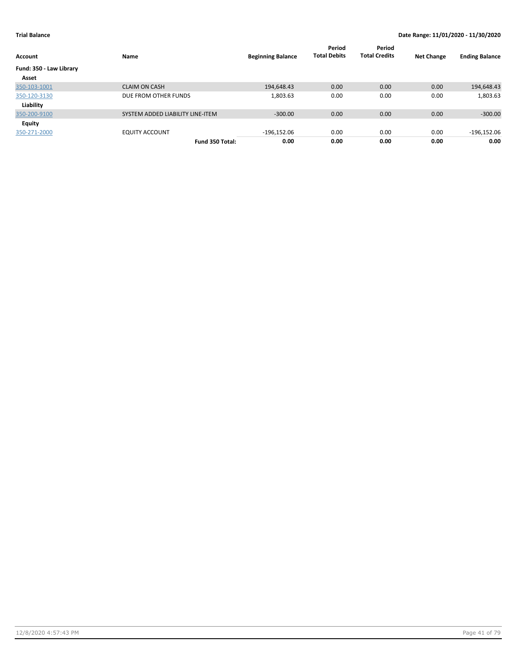| Account                 | Name                             | <b>Beginning Balance</b> | Period<br><b>Total Debits</b> | Period<br><b>Total Credits</b> | <b>Net Change</b> | <b>Ending Balance</b> |
|-------------------------|----------------------------------|--------------------------|-------------------------------|--------------------------------|-------------------|-----------------------|
| Fund: 350 - Law Library |                                  |                          |                               |                                |                   |                       |
| Asset                   |                                  |                          |                               |                                |                   |                       |
| 350-103-1001            | <b>CLAIM ON CASH</b>             | 194,648.43               | 0.00                          | 0.00                           | 0.00              | 194,648.43            |
| 350-120-3130            | DUE FROM OTHER FUNDS             | 1,803.63                 | 0.00                          | 0.00                           | 0.00              | 1,803.63              |
| Liability               |                                  |                          |                               |                                |                   |                       |
| 350-200-9100            | SYSTEM ADDED LIABILITY LINE-ITEM | $-300.00$                | 0.00                          | 0.00                           | 0.00              | $-300.00$             |
| <b>Equity</b>           |                                  |                          |                               |                                |                   |                       |
| 350-271-2000            | <b>EQUITY ACCOUNT</b>            | $-196,152.06$            | 0.00                          | 0.00                           | 0.00              | $-196,152.06$         |
|                         | Fund 350 Total:                  | 0.00                     | 0.00                          | 0.00                           | 0.00              | 0.00                  |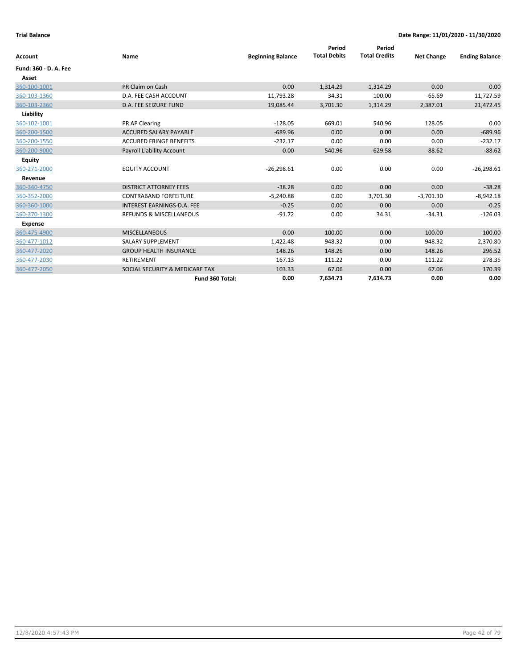| Account               | Name                               | <b>Beginning Balance</b> | Period<br><b>Total Debits</b> | Period<br><b>Total Credits</b> | <b>Net Change</b> | <b>Ending Balance</b> |
|-----------------------|------------------------------------|--------------------------|-------------------------------|--------------------------------|-------------------|-----------------------|
| Fund: 360 - D. A. Fee |                                    |                          |                               |                                |                   |                       |
| Asset                 |                                    |                          |                               |                                |                   |                       |
| 360-100-1001          | PR Claim on Cash                   | 0.00                     | 1,314.29                      | 1,314.29                       | 0.00              | 0.00                  |
| 360-103-1360          | D.A. FEE CASH ACCOUNT              | 11,793.28                | 34.31                         | 100.00                         | $-65.69$          | 11,727.59             |
| 360-103-2360          | D.A. FEE SEIZURE FUND              | 19,085.44                | 3,701.30                      | 1,314.29                       | 2,387.01          | 21,472.45             |
| Liability             |                                    |                          |                               |                                |                   |                       |
| 360-102-1001          | PR AP Clearing                     | $-128.05$                | 669.01                        | 540.96                         | 128.05            | 0.00                  |
| 360-200-1500          | <b>ACCURED SALARY PAYABLE</b>      | $-689.96$                | 0.00                          | 0.00                           | 0.00              | $-689.96$             |
| 360-200-1550          | <b>ACCURED FRINGE BENEFITS</b>     | $-232.17$                | 0.00                          | 0.00                           | 0.00              | $-232.17$             |
| 360-200-9000          | Payroll Liability Account          | 0.00                     | 540.96                        | 629.58                         | $-88.62$          | $-88.62$              |
| <b>Equity</b>         |                                    |                          |                               |                                |                   |                       |
| 360-271-2000          | <b>EQUITY ACCOUNT</b>              | $-26,298.61$             | 0.00                          | 0.00                           | 0.00              | $-26,298.61$          |
| Revenue               |                                    |                          |                               |                                |                   |                       |
| 360-340-4750          | <b>DISTRICT ATTORNEY FEES</b>      | $-38.28$                 | 0.00                          | 0.00                           | 0.00              | $-38.28$              |
| 360-352-2000          | <b>CONTRABAND FORFEITURE</b>       | $-5,240.88$              | 0.00                          | 3,701.30                       | $-3,701.30$       | $-8,942.18$           |
| 360-360-1000          | <b>INTEREST EARNINGS-D.A. FEE</b>  | $-0.25$                  | 0.00                          | 0.00                           | 0.00              | $-0.25$               |
| 360-370-1300          | <b>REFUNDS &amp; MISCELLANEOUS</b> | $-91.72$                 | 0.00                          | 34.31                          | $-34.31$          | $-126.03$             |
| <b>Expense</b>        |                                    |                          |                               |                                |                   |                       |
| 360-475-4900          | <b>MISCELLANEOUS</b>               | 0.00                     | 100.00                        | 0.00                           | 100.00            | 100.00                |
| 360-477-1012          | <b>SALARY SUPPLEMENT</b>           | 1,422.48                 | 948.32                        | 0.00                           | 948.32            | 2,370.80              |
| 360-477-2020          | <b>GROUP HEALTH INSURANCE</b>      | 148.26                   | 148.26                        | 0.00                           | 148.26            | 296.52                |
| 360-477-2030          | <b>RETIREMENT</b>                  | 167.13                   | 111.22                        | 0.00                           | 111.22            | 278.35                |
| 360-477-2050          | SOCIAL SECURITY & MEDICARE TAX     | 103.33                   | 67.06                         | 0.00                           | 67.06             | 170.39                |
|                       | Fund 360 Total:                    | 0.00                     | 7,634.73                      | 7,634.73                       | 0.00              | 0.00                  |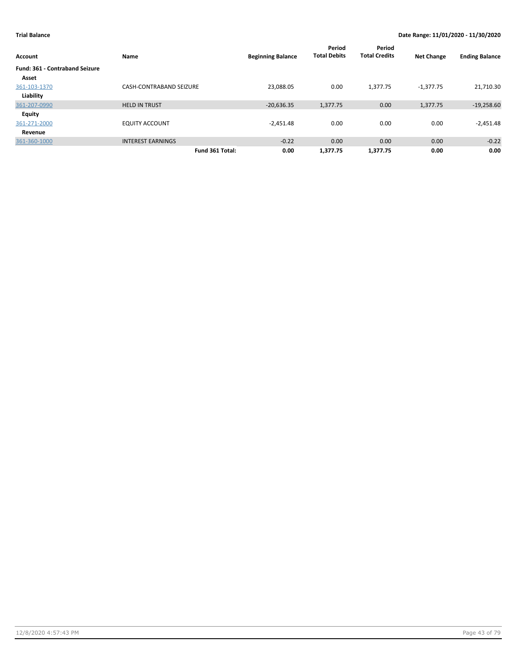| Account                               | Name                           | <b>Beginning Balance</b> | Period<br><b>Total Debits</b> | Period<br><b>Total Credits</b> | <b>Net Change</b> | <b>Ending Balance</b> |
|---------------------------------------|--------------------------------|--------------------------|-------------------------------|--------------------------------|-------------------|-----------------------|
| <b>Fund: 361 - Contraband Seizure</b> |                                |                          |                               |                                |                   |                       |
| Asset                                 |                                |                          |                               |                                |                   |                       |
| 361-103-1370                          | <b>CASH-CONTRABAND SEIZURE</b> | 23,088.05                | 0.00                          | 1,377.75                       | $-1,377.75$       | 21,710.30             |
| Liability                             |                                |                          |                               |                                |                   |                       |
| 361-207-0990                          | <b>HELD IN TRUST</b>           | $-20,636.35$             | 1.377.75                      | 0.00                           | 1,377.75          | $-19,258.60$          |
| Equity                                |                                |                          |                               |                                |                   |                       |
| 361-271-2000                          | <b>EQUITY ACCOUNT</b>          | $-2,451.48$              | 0.00                          | 0.00                           | 0.00              | $-2,451.48$           |
| Revenue                               |                                |                          |                               |                                |                   |                       |
| 361-360-1000                          | <b>INTEREST EARNINGS</b>       | $-0.22$                  | 0.00                          | 0.00                           | 0.00              | $-0.22$               |
|                                       | Fund 361 Total:                | 0.00                     | 1,377.75                      | 1.377.75                       | 0.00              | 0.00                  |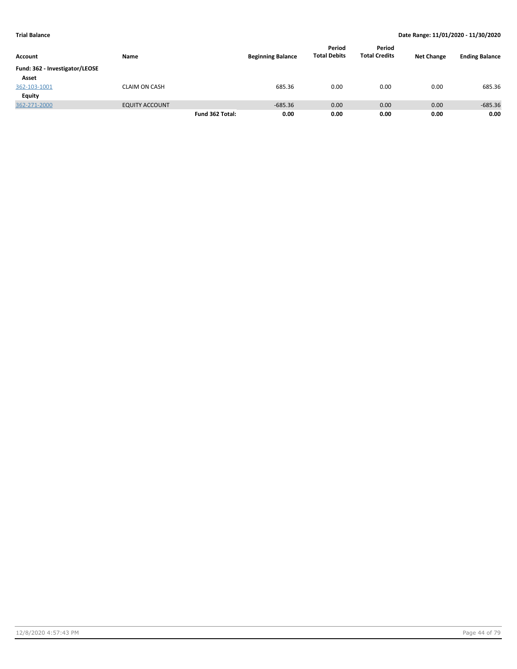| Account                        | Name                  |                 | <b>Beginning Balance</b> | Period<br><b>Total Debits</b> | Period<br><b>Total Credits</b> | <b>Net Change</b> | <b>Ending Balance</b> |
|--------------------------------|-----------------------|-----------------|--------------------------|-------------------------------|--------------------------------|-------------------|-----------------------|
| Fund: 362 - Investigator/LEOSE |                       |                 |                          |                               |                                |                   |                       |
| Asset                          |                       |                 |                          |                               |                                |                   |                       |
| 362-103-1001                   | <b>CLAIM ON CASH</b>  |                 | 685.36                   | 0.00                          | 0.00                           | 0.00              | 685.36                |
| Equity                         |                       |                 |                          |                               |                                |                   |                       |
| 362-271-2000                   | <b>EQUITY ACCOUNT</b> |                 | $-685.36$                | 0.00                          | 0.00                           | 0.00              | $-685.36$             |
|                                |                       | Fund 362 Total: | 0.00                     | 0.00                          | 0.00                           | 0.00              | 0.00                  |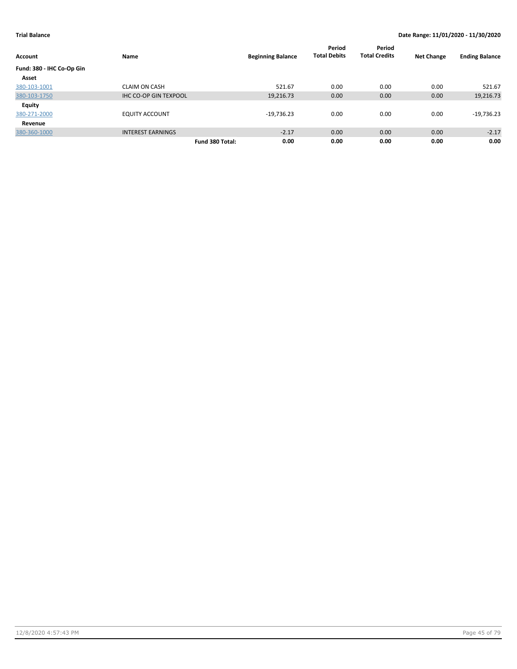| Account                   | Name                         | <b>Beginning Balance</b> |              | Period<br><b>Total Debits</b> | Period<br><b>Total Credits</b> | <b>Net Change</b> | <b>Ending Balance</b> |
|---------------------------|------------------------------|--------------------------|--------------|-------------------------------|--------------------------------|-------------------|-----------------------|
| Fund: 380 - IHC Co-Op Gin |                              |                          |              |                               |                                |                   |                       |
| Asset                     |                              |                          |              |                               |                                |                   |                       |
| 380-103-1001              | <b>CLAIM ON CASH</b>         |                          | 521.67       | 0.00                          | 0.00                           | 0.00              | 521.67                |
| 380-103-1750              | <b>IHC CO-OP GIN TEXPOOL</b> |                          | 19,216.73    | 0.00                          | 0.00                           | 0.00              | 19,216.73             |
| Equity                    |                              |                          |              |                               |                                |                   |                       |
| 380-271-2000              | <b>EQUITY ACCOUNT</b>        |                          | $-19,736.23$ | 0.00                          | 0.00                           | 0.00              | $-19,736.23$          |
| Revenue                   |                              |                          |              |                               |                                |                   |                       |
| 380-360-1000              | <b>INTEREST EARNINGS</b>     |                          | $-2.17$      | 0.00                          | 0.00                           | 0.00              | $-2.17$               |
|                           |                              | Fund 380 Total:          | 0.00         | 0.00                          | 0.00                           | 0.00              | 0.00                  |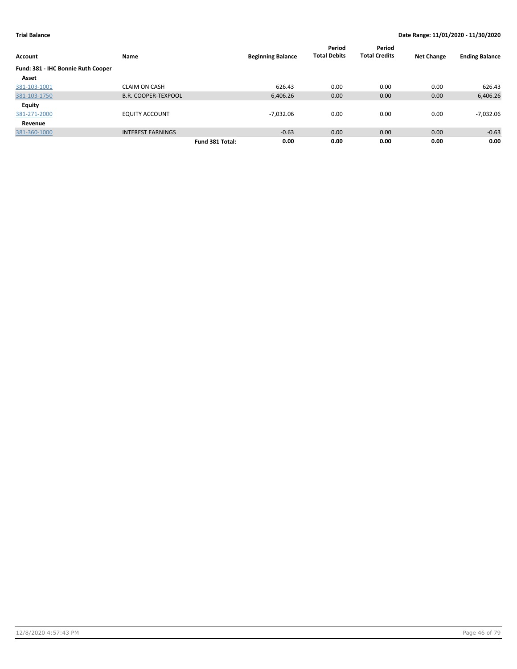| Account                            | Name                       |                 | <b>Beginning Balance</b> | Period<br><b>Total Debits</b> | Period<br><b>Total Credits</b> | <b>Net Change</b> | <b>Ending Balance</b> |
|------------------------------------|----------------------------|-----------------|--------------------------|-------------------------------|--------------------------------|-------------------|-----------------------|
| Fund: 381 - IHC Bonnie Ruth Cooper |                            |                 |                          |                               |                                |                   |                       |
| Asset                              |                            |                 |                          |                               |                                |                   |                       |
| 381-103-1001                       | <b>CLAIM ON CASH</b>       |                 | 626.43                   | 0.00                          | 0.00                           | 0.00              | 626.43                |
| 381-103-1750                       | <b>B.R. COOPER-TEXPOOL</b> |                 | 6,406.26                 | 0.00                          | 0.00                           | 0.00              | 6,406.26              |
| <b>Equity</b>                      |                            |                 |                          |                               |                                |                   |                       |
| 381-271-2000                       | <b>EQUITY ACCOUNT</b>      |                 | $-7,032.06$              | 0.00                          | 0.00                           | 0.00              | -7,032.06             |
| Revenue                            |                            |                 |                          |                               |                                |                   |                       |
| 381-360-1000                       | <b>INTEREST EARNINGS</b>   |                 | $-0.63$                  | 0.00                          | 0.00                           | 0.00              | $-0.63$               |
|                                    |                            | Fund 381 Total: | 0.00                     | 0.00                          | 0.00                           | 0.00              | 0.00                  |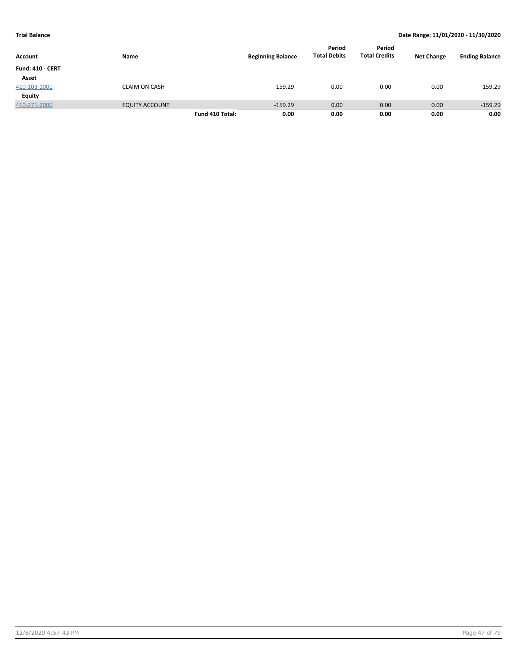|                         |                       |                 |                          | Period              | Period               |                   |                       |
|-------------------------|-----------------------|-----------------|--------------------------|---------------------|----------------------|-------------------|-----------------------|
| <b>Account</b>          | Name                  |                 | <b>Beginning Balance</b> | <b>Total Debits</b> | <b>Total Credits</b> | <b>Net Change</b> | <b>Ending Balance</b> |
| <b>Fund: 410 - CERT</b> |                       |                 |                          |                     |                      |                   |                       |
| Asset                   |                       |                 |                          |                     |                      |                   |                       |
| 410-103-1001            | <b>CLAIM ON CASH</b>  |                 | 159.29                   | 0.00                | 0.00                 | 0.00              | 159.29                |
| <b>Equity</b>           |                       |                 |                          |                     |                      |                   |                       |
| 410-271-2000            | <b>EQUITY ACCOUNT</b> |                 | $-159.29$                | 0.00                | 0.00                 | 0.00              | $-159.29$             |
|                         |                       | Fund 410 Total: | 0.00                     | 0.00                | 0.00                 | 0.00              | 0.00                  |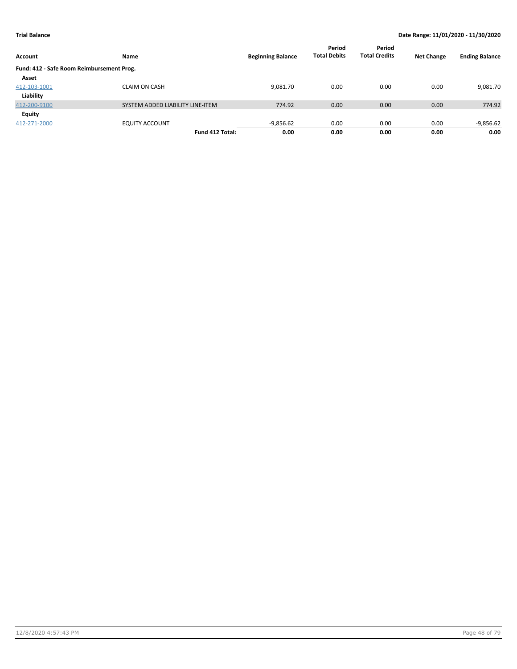| Account                                   | Name                             | <b>Beginning Balance</b> | Period<br><b>Total Debits</b> | Period<br><b>Total Credits</b> | <b>Net Change</b> | <b>Ending Balance</b> |
|-------------------------------------------|----------------------------------|--------------------------|-------------------------------|--------------------------------|-------------------|-----------------------|
| Fund: 412 - Safe Room Reimbursement Prog. |                                  |                          |                               |                                |                   |                       |
| Asset                                     |                                  |                          |                               |                                |                   |                       |
| 412-103-1001                              | <b>CLAIM ON CASH</b>             | 9,081.70                 | 0.00                          | 0.00                           | 0.00              | 9,081.70              |
| Liability                                 |                                  |                          |                               |                                |                   |                       |
| 412-200-9100                              | SYSTEM ADDED LIABILITY LINE-ITEM | 774.92                   | 0.00                          | 0.00                           | 0.00              | 774.92                |
| Equity                                    |                                  |                          |                               |                                |                   |                       |
| 412-271-2000                              | <b>EQUITY ACCOUNT</b>            | $-9,856.62$              | 0.00                          | 0.00                           | 0.00              | $-9,856.62$           |
|                                           | Fund 412 Total:                  | 0.00                     | 0.00                          | 0.00                           | 0.00              | 0.00                  |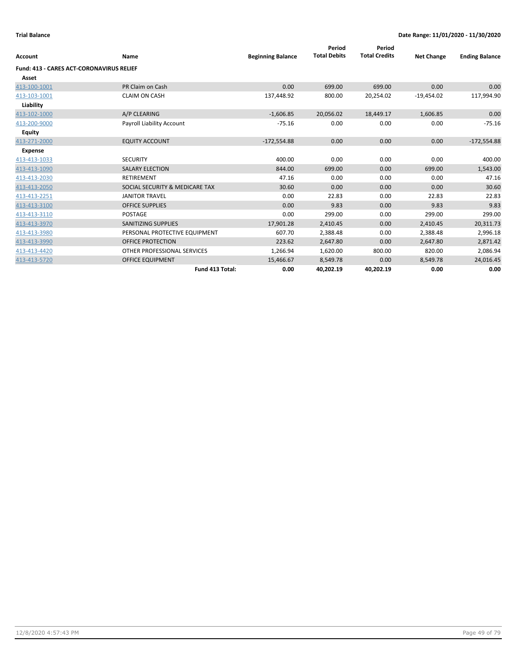| <b>Account</b>                                  | <b>Name</b>                    | <b>Beginning Balance</b> | Period<br><b>Total Debits</b> | Period<br><b>Total Credits</b> | <b>Net Change</b> | <b>Ending Balance</b> |
|-------------------------------------------------|--------------------------------|--------------------------|-------------------------------|--------------------------------|-------------------|-----------------------|
| <b>Fund: 413 - CARES ACT-CORONAVIRUS RELIEF</b> |                                |                          |                               |                                |                   |                       |
| Asset                                           |                                |                          |                               |                                |                   |                       |
| 413-100-1001                                    | PR Claim on Cash               | 0.00                     | 699.00                        | 699.00                         | 0.00              | 0.00                  |
| 413-103-1001                                    | <b>CLAIM ON CASH</b>           | 137,448.92               | 800.00                        | 20,254.02                      | $-19,454.02$      | 117,994.90            |
| Liability                                       |                                |                          |                               |                                |                   |                       |
| 413-102-1000                                    | A/P CLEARING                   | $-1,606.85$              | 20,056.02                     | 18,449.17                      | 1,606.85          | 0.00                  |
| 413-200-9000                                    | Payroll Liability Account      | $-75.16$                 | 0.00                          | 0.00                           | 0.00              | $-75.16$              |
| Equity                                          |                                |                          |                               |                                |                   |                       |
| 413-271-2000                                    | <b>EQUITY ACCOUNT</b>          | $-172,554.88$            | 0.00                          | 0.00                           | 0.00              | $-172,554.88$         |
| <b>Expense</b>                                  |                                |                          |                               |                                |                   |                       |
| 413-413-1033                                    | <b>SECURITY</b>                | 400.00                   | 0.00                          | 0.00                           | 0.00              | 400.00                |
| 413-413-1090                                    | <b>SALARY ELECTION</b>         | 844.00                   | 699.00                        | 0.00                           | 699.00            | 1,543.00              |
| 413-413-2030                                    | <b>RETIREMENT</b>              | 47.16                    | 0.00                          | 0.00                           | 0.00              | 47.16                 |
| 413-413-2050                                    | SOCIAL SECURITY & MEDICARE TAX | 30.60                    | 0.00                          | 0.00                           | 0.00              | 30.60                 |
| 413-413-2251                                    | <b>JANITOR TRAVEL</b>          | 0.00                     | 22.83                         | 0.00                           | 22.83             | 22.83                 |
| 413-413-3100                                    | <b>OFFICE SUPPLIES</b>         | 0.00                     | 9.83                          | 0.00                           | 9.83              | 9.83                  |
| 413-413-3110                                    | <b>POSTAGE</b>                 | 0.00                     | 299.00                        | 0.00                           | 299.00            | 299.00                |
| 413-413-3970                                    | <b>SANITIZING SUPPLIES</b>     | 17,901.28                | 2,410.45                      | 0.00                           | 2,410.45          | 20,311.73             |
| 413-413-3980                                    | PERSONAL PROTECTIVE EQUIPMENT  | 607.70                   | 2,388.48                      | 0.00                           | 2,388.48          | 2,996.18              |
| 413-413-3990                                    | <b>OFFICE PROTECTION</b>       | 223.62                   | 2,647.80                      | 0.00                           | 2,647.80          | 2,871.42              |
| 413-413-4420                                    | OTHER PROFESSIONAL SERVICES    | 1,266.94                 | 1,620.00                      | 800.00                         | 820.00            | 2,086.94              |
| 413-413-5720                                    | <b>OFFICE EQUIPMENT</b>        | 15,466.67                | 8,549.78                      | 0.00                           | 8,549.78          | 24,016.45             |
|                                                 | Fund 413 Total:                | 0.00                     | 40,202.19                     | 40,202.19                      | 0.00              | 0.00                  |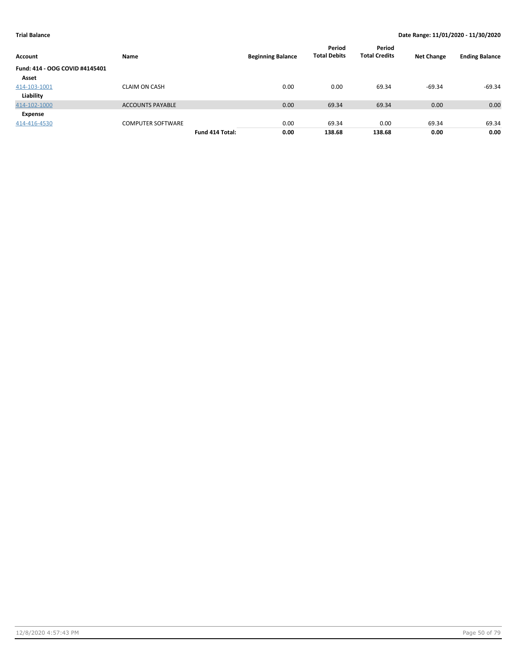| Account                        | Name                     | <b>Beginning Balance</b> | Period<br><b>Total Debits</b> | Period<br><b>Total Credits</b> | <b>Net Change</b> | <b>Ending Balance</b> |
|--------------------------------|--------------------------|--------------------------|-------------------------------|--------------------------------|-------------------|-----------------------|
| Fund: 414 - OOG COVID #4145401 |                          |                          |                               |                                |                   |                       |
| Asset                          |                          |                          |                               |                                |                   |                       |
| 414-103-1001                   | <b>CLAIM ON CASH</b>     | 0.00                     | 0.00                          | 69.34                          | $-69.34$          | $-69.34$              |
| Liability                      |                          |                          |                               |                                |                   |                       |
| 414-102-1000                   | <b>ACCOUNTS PAYABLE</b>  | 0.00                     | 69.34                         | 69.34                          | 0.00              | 0.00                  |
| Expense                        |                          |                          |                               |                                |                   |                       |
| 414-416-4530                   | <b>COMPUTER SOFTWARE</b> | 0.00                     | 69.34                         | 0.00                           | 69.34             | 69.34                 |
|                                | Fund 414 Total:          | 0.00                     | 138.68                        | 138.68                         | 0.00              | 0.00                  |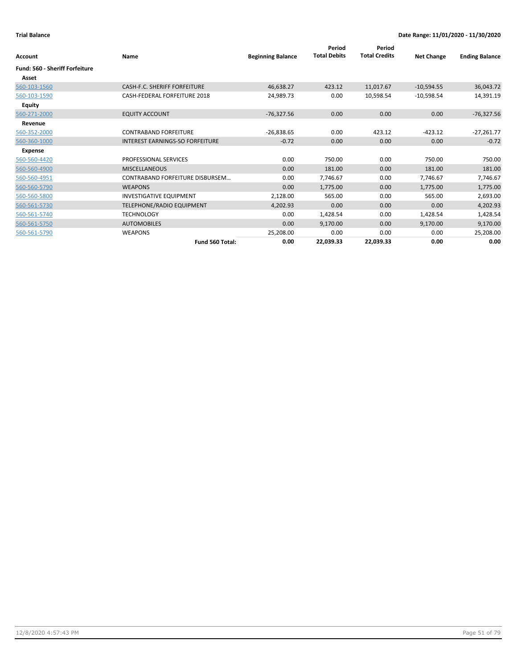| Account                        | Name                                   | <b>Beginning Balance</b> | Period<br><b>Total Debits</b> | Period<br><b>Total Credits</b> | <b>Net Change</b> | <b>Ending Balance</b> |
|--------------------------------|----------------------------------------|--------------------------|-------------------------------|--------------------------------|-------------------|-----------------------|
| Fund: 560 - Sheriff Forfeiture |                                        |                          |                               |                                |                   |                       |
| Asset                          |                                        |                          |                               |                                |                   |                       |
| 560-103-1560                   | <b>CASH-F.C. SHERIFF FORFEITURE</b>    | 46,638.27                | 423.12                        | 11,017.67                      | $-10,594.55$      | 36,043.72             |
| 560-103-1590                   | CASH-FEDERAL FORFEITURE 2018           | 24,989.73                | 0.00                          | 10,598.54                      | $-10,598.54$      | 14,391.19             |
| <b>Equity</b>                  |                                        |                          |                               |                                |                   |                       |
| 560-271-2000                   | <b>EQUITY ACCOUNT</b>                  | $-76,327.56$             | 0.00                          | 0.00                           | 0.00              | $-76,327.56$          |
| Revenue                        |                                        |                          |                               |                                |                   |                       |
| 560-352-2000                   | <b>CONTRABAND FORFEITURE</b>           | $-26,838.65$             | 0.00                          | 423.12                         | $-423.12$         | $-27,261.77$          |
| 560-360-1000                   | <b>INTEREST EARNINGS-SO FORFEITURE</b> | $-0.72$                  | 0.00                          | 0.00                           | 0.00              | $-0.72$               |
| Expense                        |                                        |                          |                               |                                |                   |                       |
| 560-560-4420                   | PROFESSIONAL SERVICES                  | 0.00                     | 750.00                        | 0.00                           | 750.00            | 750.00                |
| 560-560-4900                   | <b>MISCELLANEOUS</b>                   | 0.00                     | 181.00                        | 0.00                           | 181.00            | 181.00                |
| 560-560-4951                   | CONTRABAND FORFEITURE DISBURSEM        | 0.00                     | 7,746.67                      | 0.00                           | 7,746.67          | 7,746.67              |
| 560-560-5790                   | <b>WEAPONS</b>                         | 0.00                     | 1,775.00                      | 0.00                           | 1,775.00          | 1,775.00              |
| 560-560-5800                   | <b>INVESTIGATIVE EQUIPMENT</b>         | 2,128.00                 | 565.00                        | 0.00                           | 565.00            | 2,693.00              |
| 560-561-5730                   | TELEPHONE/RADIO EQUIPMENT              | 4,202.93                 | 0.00                          | 0.00                           | 0.00              | 4,202.93              |
| 560-561-5740                   | <b>TECHNOLOGY</b>                      | 0.00                     | 1,428.54                      | 0.00                           | 1,428.54          | 1,428.54              |
| 560-561-5750                   | <b>AUTOMOBILES</b>                     | 0.00                     | 9,170.00                      | 0.00                           | 9,170.00          | 9,170.00              |
| 560-561-5790                   | <b>WEAPONS</b>                         | 25,208.00                | 0.00                          | 0.00                           | 0.00              | 25,208.00             |
|                                | Fund 560 Total:                        | 0.00                     | 22,039.33                     | 22,039.33                      | 0.00              | 0.00                  |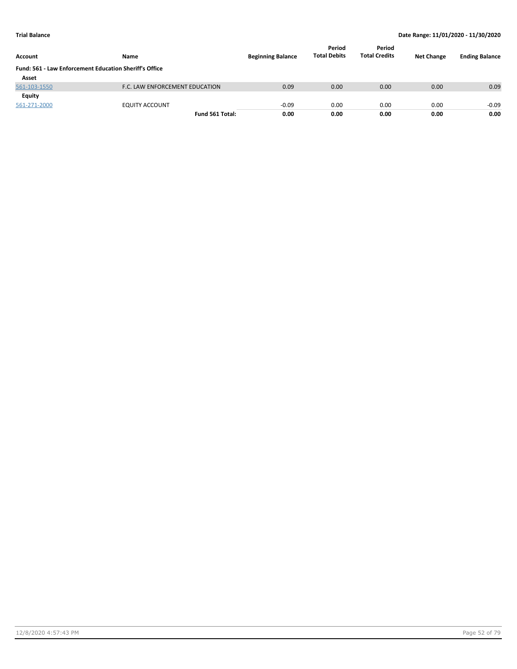| Account                                                       | Name                           | <b>Beginning Balance</b> | Period<br><b>Total Debits</b> | Period<br><b>Total Credits</b> | <b>Net Change</b> | <b>Ending Balance</b> |
|---------------------------------------------------------------|--------------------------------|--------------------------|-------------------------------|--------------------------------|-------------------|-----------------------|
| <b>Fund: 561 - Law Enforcement Education Sheriff's Office</b> |                                |                          |                               |                                |                   |                       |
| Asset                                                         |                                |                          |                               |                                |                   |                       |
| 561-103-1550                                                  | F.C. LAW ENFORCEMENT EDUCATION | 0.09                     | 0.00                          | 0.00                           | 0.00              | 0.09                  |
| Equity                                                        |                                |                          |                               |                                |                   |                       |
| 561-271-2000                                                  | <b>EQUITY ACCOUNT</b>          | $-0.09$                  | 0.00                          | 0.00                           | 0.00              | $-0.09$               |
|                                                               | Fund 561 Total:                | 0.00                     | 0.00                          | 0.00                           | 0.00              | 0.00                  |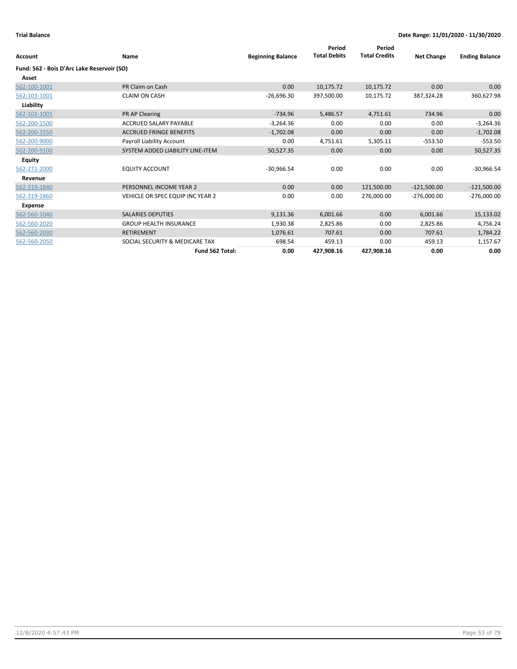| <b>Account</b>                             | <b>Name</b>                             | <b>Beginning Balance</b> | Period<br><b>Total Debits</b> | Period<br><b>Total Credits</b> | <b>Net Change</b> | <b>Ending Balance</b> |
|--------------------------------------------|-----------------------------------------|--------------------------|-------------------------------|--------------------------------|-------------------|-----------------------|
| Fund: 562 - Bois D'Arc Lake Reservoir (SO) |                                         |                          |                               |                                |                   |                       |
| Asset                                      |                                         |                          |                               |                                |                   |                       |
| 562-100-1001                               | PR Claim on Cash                        | 0.00                     | 10,175.72                     | 10,175.72                      | 0.00              | 0.00                  |
| 562-103-1001                               | <b>CLAIM ON CASH</b>                    | $-26,696.30$             | 397,500.00                    | 10,175.72                      | 387,324.28        | 360,627.98            |
| Liability                                  |                                         |                          |                               |                                |                   |                       |
| 562-102-1001                               | PR AP Clearing                          | $-734.96$                | 5,486.57                      | 4,751.61                       | 734.96            | 0.00                  |
| 562-200-1500                               | ACCRUED SALARY PAYABLE                  | $-3,264.36$              | 0.00                          | 0.00                           | 0.00              | $-3,264.36$           |
| 562-200-1550                               | <b>ACCRUED FRINGE BENEFITS</b>          | $-1,702.08$              | 0.00                          | 0.00                           | 0.00              | $-1,702.08$           |
| 562-200-9000                               | <b>Payroll Liability Account</b>        | 0.00                     | 4,751.61                      | 5,305.11                       | $-553.50$         | $-553.50$             |
| 562-200-9100                               | SYSTEM ADDED LIABILITY LINE-ITEM        | 50,527.35                | 0.00                          | 0.00                           | 0.00              | 50,527.35             |
| Equity                                     |                                         |                          |                               |                                |                   |                       |
| 562-271-2000                               | <b>EQUITY ACCOUNT</b>                   | $-30,966.54$             | 0.00                          | 0.00                           | 0.00              | $-30,966.54$          |
| Revenue                                    |                                         |                          |                               |                                |                   |                       |
| 562-319-1840                               | PERSONNEL INCOME YEAR 2                 | 0.00                     | 0.00                          | 121,500.00                     | $-121,500.00$     | $-121,500.00$         |
| 562-319-1860                               | <b>VEHICLE OR SPEC EQUIP INC YEAR 2</b> | 0.00                     | 0.00                          | 276,000.00                     | $-276,000.00$     | $-276,000.00$         |
| <b>Expense</b>                             |                                         |                          |                               |                                |                   |                       |
| 562-560-1040                               | <b>SALARIES DEPUTIES</b>                | 9,131.36                 | 6,001.66                      | 0.00                           | 6,001.66          | 15,133.02             |
| 562-560-2020                               | <b>GROUP HEALTH INSURANCE</b>           | 1,930.38                 | 2,825.86                      | 0.00                           | 2,825.86          | 4,756.24              |
| 562-560-2030                               | <b>RETIREMENT</b>                       | 1,076.61                 | 707.61                        | 0.00                           | 707.61            | 1,784.22              |
| 562-560-2050                               | SOCIAL SECURITY & MEDICARE TAX          | 698.54                   | 459.13                        | 0.00                           | 459.13            | 1,157.67              |
|                                            | Fund 562 Total:                         | 0.00                     | 427,908.16                    | 427,908.16                     | 0.00              | 0.00                  |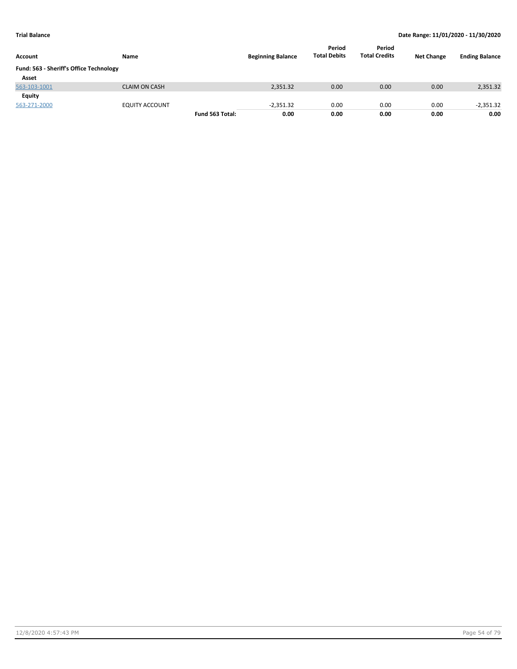| Account                                 | Name                  |                 | <b>Beginning Balance</b> | Period<br><b>Total Debits</b> | Period<br><b>Total Credits</b> | <b>Net Change</b> | <b>Ending Balance</b> |
|-----------------------------------------|-----------------------|-----------------|--------------------------|-------------------------------|--------------------------------|-------------------|-----------------------|
| Fund: 563 - Sheriff's Office Technology |                       |                 |                          |                               |                                |                   |                       |
| Asset                                   |                       |                 |                          |                               |                                |                   |                       |
| 563-103-1001                            | <b>CLAIM ON CASH</b>  |                 | 2,351.32                 | 0.00                          | 0.00                           | 0.00              | 2,351.32              |
| Equity                                  |                       |                 |                          |                               |                                |                   |                       |
| 563-271-2000                            | <b>EQUITY ACCOUNT</b> |                 | $-2,351.32$              | 0.00                          | 0.00                           | 0.00              | $-2,351.32$           |
|                                         |                       | Fund 563 Total: | 0.00                     | 0.00                          | 0.00                           | 0.00              | 0.00                  |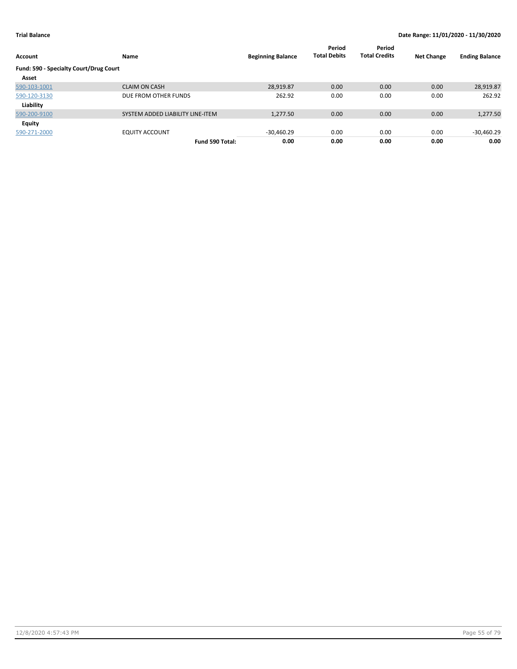| Account                                       | Name                             | <b>Beginning Balance</b> | Period<br><b>Total Debits</b> | Period<br><b>Total Credits</b> | <b>Net Change</b> | <b>Ending Balance</b> |
|-----------------------------------------------|----------------------------------|--------------------------|-------------------------------|--------------------------------|-------------------|-----------------------|
| <b>Fund: 590 - Specialty Court/Drug Court</b> |                                  |                          |                               |                                |                   |                       |
| Asset                                         |                                  |                          |                               |                                |                   |                       |
| 590-103-1001                                  | <b>CLAIM ON CASH</b>             | 28,919.87                | 0.00                          | 0.00                           | 0.00              | 28,919.87             |
| 590-120-3130                                  | DUE FROM OTHER FUNDS             | 262.92                   | 0.00                          | 0.00                           | 0.00              | 262.92                |
| Liability                                     |                                  |                          |                               |                                |                   |                       |
| 590-200-9100                                  | SYSTEM ADDED LIABILITY LINE-ITEM | 1,277.50                 | 0.00                          | 0.00                           | 0.00              | 1,277.50              |
| Equity                                        |                                  |                          |                               |                                |                   |                       |
| 590-271-2000                                  | <b>EQUITY ACCOUNT</b>            | $-30,460.29$             | 0.00                          | 0.00                           | 0.00              | -30,460.29            |
|                                               | Fund 590 Total:                  | 0.00                     | 0.00                          | 0.00                           | 0.00              | 0.00                  |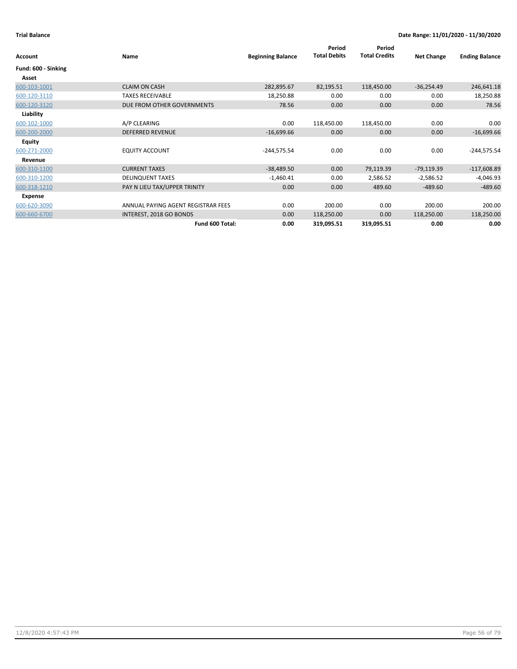| Account             | Name                               | <b>Beginning Balance</b> | Period<br><b>Total Debits</b> | Period<br><b>Total Credits</b> | <b>Net Change</b> | <b>Ending Balance</b> |
|---------------------|------------------------------------|--------------------------|-------------------------------|--------------------------------|-------------------|-----------------------|
| Fund: 600 - Sinking |                                    |                          |                               |                                |                   |                       |
| Asset               |                                    |                          |                               |                                |                   |                       |
| 600-103-1001        | <b>CLAIM ON CASH</b>               | 282,895.67               | 82,195.51                     | 118,450.00                     | $-36,254.49$      | 246,641.18            |
| 600-120-3110        | <b>TAXES RECEIVABLE</b>            |                          | 0.00                          | 0.00                           | 0.00              |                       |
|                     |                                    | 18,250.88                |                               |                                |                   | 18,250.88             |
| 600-120-3120        | DUE FROM OTHER GOVERNMENTS         | 78.56                    | 0.00                          | 0.00                           | 0.00              | 78.56                 |
| Liability           |                                    |                          |                               |                                |                   |                       |
| 600-102-1000        | A/P CLEARING                       | 0.00                     | 118,450.00                    | 118,450.00                     | 0.00              | 0.00                  |
| 600-200-2000        | <b>DEFERRED REVENUE</b>            | $-16,699.66$             | 0.00                          | 0.00                           | 0.00              | $-16,699.66$          |
| Equity              |                                    |                          |                               |                                |                   |                       |
| 600-271-2000        | <b>EQUITY ACCOUNT</b>              | $-244,575.54$            | 0.00                          | 0.00                           | 0.00              | $-244,575.54$         |
| Revenue             |                                    |                          |                               |                                |                   |                       |
| 600-310-1100        | <b>CURRENT TAXES</b>               | $-38,489.50$             | 0.00                          | 79,119.39                      | $-79,119.39$      | $-117,608.89$         |
| 600-310-1200        | <b>DELINQUENT TAXES</b>            | $-1,460.41$              | 0.00                          | 2,586.52                       | $-2,586.52$       | $-4,046.93$           |
| 600-318-1210        | PAY N LIEU TAX/UPPER TRINITY       | 0.00                     | 0.00                          | 489.60                         | $-489.60$         | $-489.60$             |
| Expense             |                                    |                          |                               |                                |                   |                       |
| 600-620-3090        | ANNUAL PAYING AGENT REGISTRAR FEES | 0.00                     | 200.00                        | 0.00                           | 200.00            | 200.00                |
| 600-660-6700        | INTEREST, 2018 GO BONDS            | 0.00                     | 118,250.00                    | 0.00                           | 118,250.00        | 118,250.00            |
|                     | Fund 600 Total:                    | 0.00                     | 319,095.51                    | 319,095.51                     | 0.00              | 0.00                  |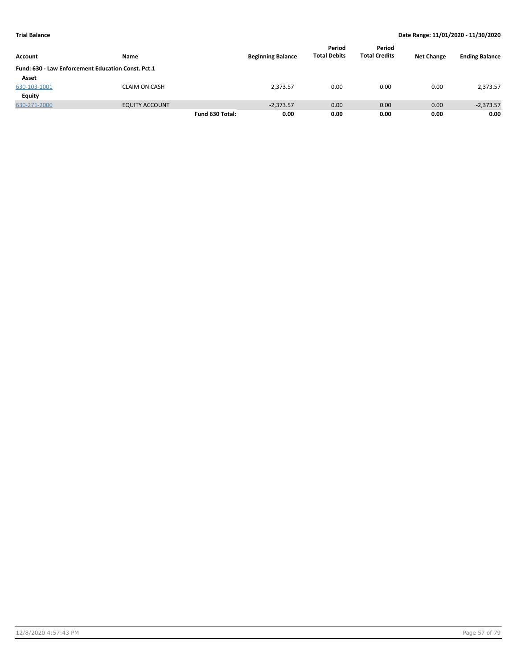| Account                                            | Name                  |                 | <b>Beginning Balance</b> | Period<br><b>Total Debits</b> | Period<br><b>Total Credits</b> | <b>Net Change</b> | <b>Ending Balance</b> |
|----------------------------------------------------|-----------------------|-----------------|--------------------------|-------------------------------|--------------------------------|-------------------|-----------------------|
| Fund: 630 - Law Enforcement Education Const. Pct.1 |                       |                 |                          |                               |                                |                   |                       |
| Asset                                              |                       |                 |                          |                               |                                |                   |                       |
| 630-103-1001                                       | <b>CLAIM ON CASH</b>  |                 | 2,373.57                 | 0.00                          | 0.00                           | 0.00              | 2,373.57              |
| Equity                                             |                       |                 |                          |                               |                                |                   |                       |
| 630-271-2000                                       | <b>EQUITY ACCOUNT</b> |                 | $-2,373.57$              | 0.00                          | 0.00                           | 0.00              | $-2,373.57$           |
|                                                    |                       | Fund 630 Total: | 0.00                     | 0.00                          | 0.00                           | 0.00              | 0.00                  |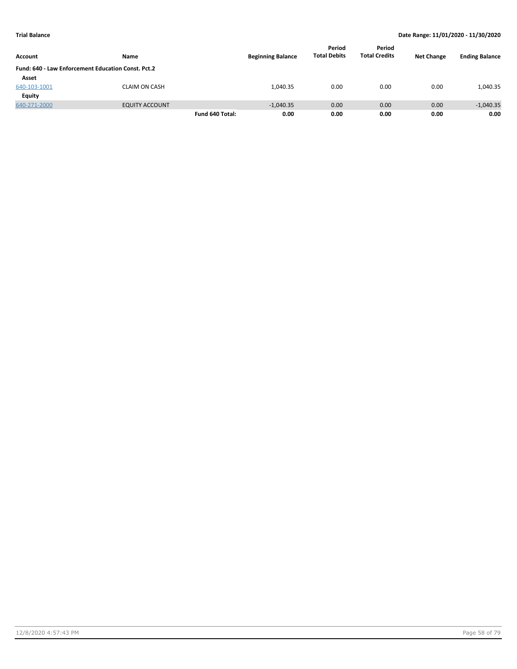| Account                                            | Name                  |                 | <b>Beginning Balance</b> | Period<br><b>Total Debits</b> | Period<br><b>Total Credits</b> | <b>Net Change</b> | <b>Ending Balance</b> |
|----------------------------------------------------|-----------------------|-----------------|--------------------------|-------------------------------|--------------------------------|-------------------|-----------------------|
| Fund: 640 - Law Enforcement Education Const. Pct.2 |                       |                 |                          |                               |                                |                   |                       |
| Asset                                              |                       |                 |                          |                               |                                |                   |                       |
| 640-103-1001                                       | <b>CLAIM ON CASH</b>  |                 | 1,040.35                 | 0.00                          | 0.00                           | 0.00              | 1,040.35              |
| Equity                                             |                       |                 |                          |                               |                                |                   |                       |
| 640-271-2000                                       | <b>EQUITY ACCOUNT</b> |                 | $-1,040.35$              | 0.00                          | 0.00                           | 0.00              | $-1,040.35$           |
|                                                    |                       | Fund 640 Total: | 0.00                     | 0.00                          | 0.00                           | 0.00              | 0.00                  |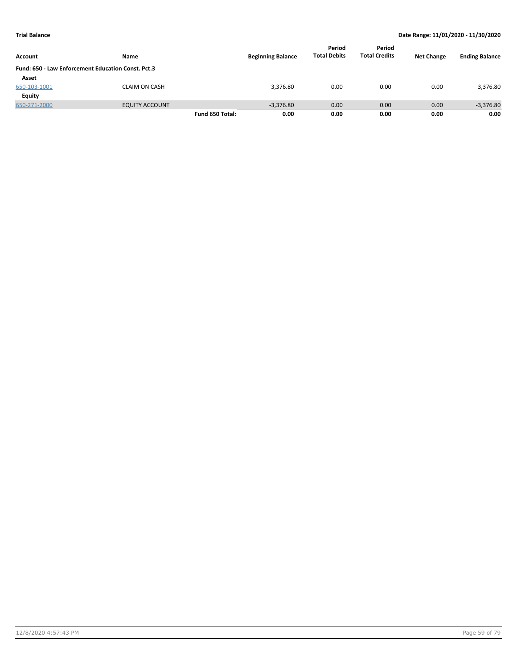| Account                                            | Name                  |                 | <b>Beginning Balance</b> | Period<br><b>Total Debits</b> | Period<br><b>Total Credits</b> | <b>Net Change</b> | <b>Ending Balance</b> |
|----------------------------------------------------|-----------------------|-----------------|--------------------------|-------------------------------|--------------------------------|-------------------|-----------------------|
| Fund: 650 - Law Enforcement Education Const. Pct.3 |                       |                 |                          |                               |                                |                   |                       |
| Asset                                              |                       |                 |                          |                               |                                |                   |                       |
| 650-103-1001                                       | <b>CLAIM ON CASH</b>  |                 | 3,376.80                 | 0.00                          | 0.00                           | 0.00              | 3,376.80              |
| Equity                                             |                       |                 |                          |                               |                                |                   |                       |
| 650-271-2000                                       | <b>EQUITY ACCOUNT</b> |                 | $-3.376.80$              | 0.00                          | 0.00                           | 0.00              | $-3,376.80$           |
|                                                    |                       | Fund 650 Total: | 0.00                     | 0.00                          | 0.00                           | 0.00              | 0.00                  |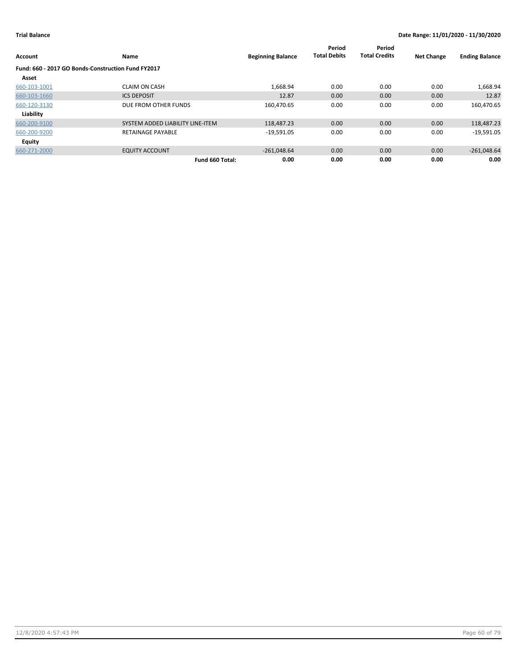| Account                                            | Name                             | <b>Beginning Balance</b> | Period<br><b>Total Debits</b> | Period<br><b>Total Credits</b> | <b>Net Change</b> | <b>Ending Balance</b> |
|----------------------------------------------------|----------------------------------|--------------------------|-------------------------------|--------------------------------|-------------------|-----------------------|
| Fund: 660 - 2017 GO Bonds-Construction Fund FY2017 |                                  |                          |                               |                                |                   |                       |
| Asset                                              |                                  |                          |                               |                                |                   |                       |
| 660-103-1001                                       | <b>CLAIM ON CASH</b>             | 1,668.94                 | 0.00                          | 0.00                           | 0.00              | 1,668.94              |
| 660-103-1660                                       | <b>ICS DEPOSIT</b>               | 12.87                    | 0.00                          | 0.00                           | 0.00              | 12.87                 |
| 660-120-3130                                       | DUE FROM OTHER FUNDS             | 160,470.65               | 0.00                          | 0.00                           | 0.00              | 160,470.65            |
| Liability                                          |                                  |                          |                               |                                |                   |                       |
| 660-200-9100                                       | SYSTEM ADDED LIABILITY LINE-ITEM | 118,487.23               | 0.00                          | 0.00                           | 0.00              | 118,487.23            |
| 660-200-9200                                       | <b>RETAINAGE PAYABLE</b>         | $-19,591.05$             | 0.00                          | 0.00                           | 0.00              | $-19,591.05$          |
| <b>Equity</b>                                      |                                  |                          |                               |                                |                   |                       |
| 660-271-2000                                       | <b>EQUITY ACCOUNT</b>            | $-261,048.64$            | 0.00                          | 0.00                           | 0.00              | $-261,048.64$         |
|                                                    | Fund 660 Total:                  | 0.00                     | 0.00                          | 0.00                           | 0.00              | 0.00                  |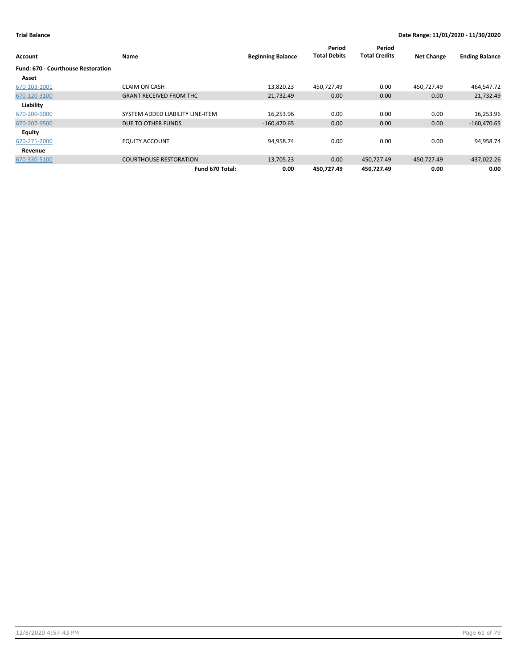| Account                                   | Name                             | <b>Beginning Balance</b> | Period<br><b>Total Debits</b> | Period<br><b>Total Credits</b> | <b>Net Change</b> | <b>Ending Balance</b> |
|-------------------------------------------|----------------------------------|--------------------------|-------------------------------|--------------------------------|-------------------|-----------------------|
| <b>Fund: 670 - Courthouse Restoration</b> |                                  |                          |                               |                                |                   |                       |
| Asset                                     |                                  |                          |                               |                                |                   |                       |
| 670-103-1001                              | <b>CLAIM ON CASH</b>             | 13,820.23                | 450,727.49                    | 0.00                           | 450,727.49        | 464,547.72            |
| 670-120-3100                              | <b>GRANT RECEIVED FROM THC</b>   | 21,732.49                | 0.00                          | 0.00                           | 0.00              | 21,732.49             |
| Liability                                 |                                  |                          |                               |                                |                   |                       |
| 670-200-9000                              | SYSTEM ADDED LIABILITY LINE-ITEM | 16,253.96                | 0.00                          | 0.00                           | 0.00              | 16,253.96             |
| 670-207-9500                              | DUE TO OTHER FUNDS               | $-160,470.65$            | 0.00                          | 0.00                           | 0.00              | $-160,470.65$         |
| <b>Equity</b>                             |                                  |                          |                               |                                |                   |                       |
| 670-271-2000                              | <b>EQUITY ACCOUNT</b>            | 94,958.74                | 0.00                          | 0.00                           | 0.00              | 94,958.74             |
| Revenue                                   |                                  |                          |                               |                                |                   |                       |
| 670-330-5100                              | <b>COURTHOUSE RESTORATION</b>    | 13,705.23                | 0.00                          | 450,727.49                     | -450,727.49       | -437,022.26           |
|                                           | Fund 670 Total:                  | 0.00                     | 450,727.49                    | 450.727.49                     | 0.00              | 0.00                  |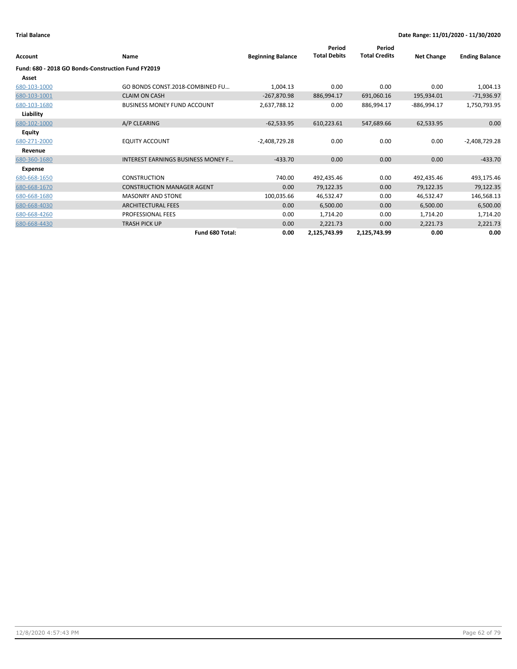| Account                                            | Name                                      | <b>Beginning Balance</b> | Period<br><b>Total Debits</b> | Period<br><b>Total Credits</b> | <b>Net Change</b> | <b>Ending Balance</b> |
|----------------------------------------------------|-------------------------------------------|--------------------------|-------------------------------|--------------------------------|-------------------|-----------------------|
| Fund: 680 - 2018 GO Bonds-Construction Fund FY2019 |                                           |                          |                               |                                |                   |                       |
| Asset                                              |                                           |                          |                               |                                |                   |                       |
| 680-103-1000                                       | GO BONDS CONST.2018-COMBINED FU           | 1,004.13                 | 0.00                          | 0.00                           | 0.00              | 1,004.13              |
| 680-103-1001                                       | <b>CLAIM ON CASH</b>                      | $-267,870.98$            | 886,994.17                    | 691,060.16                     | 195,934.01        | $-71,936.97$          |
| 680-103-1680                                       | <b>BUSINESS MONEY FUND ACCOUNT</b>        | 2,637,788.12             | 0.00                          | 886,994.17                     | $-886,994.17$     | 1,750,793.95          |
| Liability                                          |                                           |                          |                               |                                |                   |                       |
| 680-102-1000                                       | A/P CLEARING                              | $-62,533.95$             | 610,223.61                    | 547,689.66                     | 62,533.95         | 0.00                  |
| <b>Equity</b>                                      |                                           |                          |                               |                                |                   |                       |
| 680-271-2000                                       | <b>EQUITY ACCOUNT</b>                     | $-2,408,729.28$          | 0.00                          | 0.00                           | 0.00              | $-2,408,729.28$       |
| Revenue                                            |                                           |                          |                               |                                |                   |                       |
| 680-360-1680                                       | <b>INTEREST EARNINGS BUSINESS MONEY F</b> | $-433.70$                | 0.00                          | 0.00                           | 0.00              | $-433.70$             |
| Expense                                            |                                           |                          |                               |                                |                   |                       |
| 680-668-1650                                       | <b>CONSTRUCTION</b>                       | 740.00                   | 492,435.46                    | 0.00                           | 492,435.46        | 493,175.46            |
| 680-668-1670                                       | <b>CONSTRUCTION MANAGER AGENT</b>         | 0.00                     | 79,122.35                     | 0.00                           | 79,122.35         | 79,122.35             |
| 680-668-1680                                       | <b>MASONRY AND STONE</b>                  | 100,035.66               | 46,532.47                     | 0.00                           | 46,532.47         | 146,568.13            |
| 680-668-4030                                       | <b>ARCHITECTURAL FEES</b>                 | 0.00                     | 6,500.00                      | 0.00                           | 6,500.00          | 6,500.00              |
| 680-668-4260                                       | PROFESSIONAL FEES                         | 0.00                     | 1,714.20                      | 0.00                           | 1,714.20          | 1,714.20              |
| 680-668-4430                                       | <b>TRASH PICK UP</b>                      | 0.00                     | 2,221.73                      | 0.00                           | 2,221.73          | 2,221.73              |
|                                                    | Fund 680 Total:                           | 0.00                     | 2,125,743.99                  | 2,125,743.99                   | 0.00              | 0.00                  |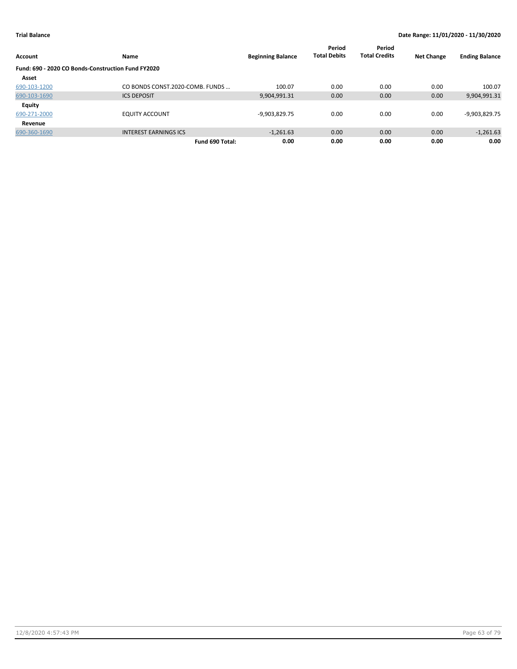| <b>Account</b>                                     | Name                            | <b>Beginning Balance</b> | Period<br><b>Total Debits</b> | Period<br><b>Total Credits</b> | <b>Net Change</b> | <b>Ending Balance</b> |
|----------------------------------------------------|---------------------------------|--------------------------|-------------------------------|--------------------------------|-------------------|-----------------------|
| Fund: 690 - 2020 CO Bonds-Construction Fund FY2020 |                                 |                          |                               |                                |                   |                       |
| Asset                                              |                                 |                          |                               |                                |                   |                       |
| 690-103-1200                                       | CO BONDS CONST.2020-COMB. FUNDS | 100.07                   | 0.00                          | 0.00                           | 0.00              | 100.07                |
| 690-103-1690                                       | <b>ICS DEPOSIT</b>              | 9,904,991.31             | 0.00                          | 0.00                           | 0.00              | 9,904,991.31          |
| <b>Equity</b>                                      |                                 |                          |                               |                                |                   |                       |
| 690-271-2000                                       | <b>EQUITY ACCOUNT</b>           | -9,903,829.75            | 0.00                          | 0.00                           | 0.00              | -9,903,829.75         |
| Revenue                                            |                                 |                          |                               |                                |                   |                       |
| 690-360-1690                                       | <b>INTEREST EARNINGS ICS</b>    | $-1,261.63$              | 0.00                          | 0.00                           | 0.00              | $-1,261.63$           |
|                                                    | Fund 690 Total:                 | 0.00                     | 0.00                          | 0.00                           | 0.00              | 0.00                  |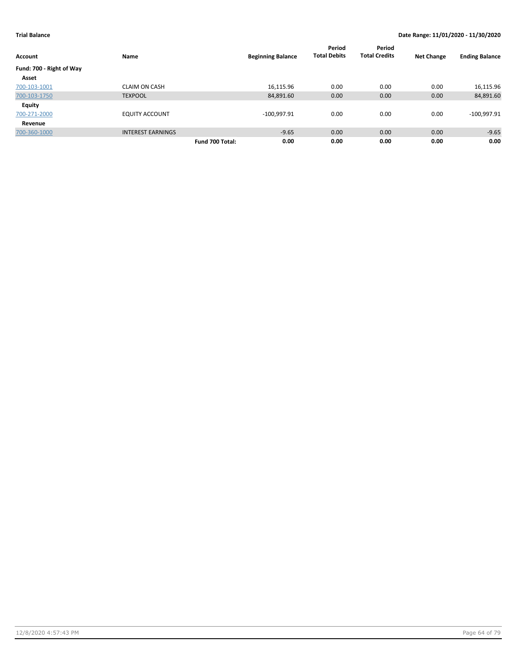|                          |                          |                          | Period              | Period               |                   |                       |
|--------------------------|--------------------------|--------------------------|---------------------|----------------------|-------------------|-----------------------|
| <b>Account</b>           | Name                     | <b>Beginning Balance</b> | <b>Total Debits</b> | <b>Total Credits</b> | <b>Net Change</b> | <b>Ending Balance</b> |
| Fund: 700 - Right of Way |                          |                          |                     |                      |                   |                       |
| Asset                    |                          |                          |                     |                      |                   |                       |
| 700-103-1001             | <b>CLAIM ON CASH</b>     | 16,115.96                | 0.00                | 0.00                 | 0.00              | 16,115.96             |
| 700-103-1750             | <b>TEXPOOL</b>           | 84,891.60                | 0.00                | 0.00                 | 0.00              | 84,891.60             |
| <b>Equity</b>            |                          |                          |                     |                      |                   |                       |
| 700-271-2000             | <b>EQUITY ACCOUNT</b>    | $-100,997.91$            | 0.00                | 0.00                 | 0.00              | $-100,997.91$         |
| Revenue                  |                          |                          |                     |                      |                   |                       |
| 700-360-1000             | <b>INTEREST EARNINGS</b> | $-9.65$                  | 0.00                | 0.00                 | 0.00              | $-9.65$               |
|                          | Fund 700 Total:          | 0.00                     | 0.00                | 0.00                 | 0.00              | 0.00                  |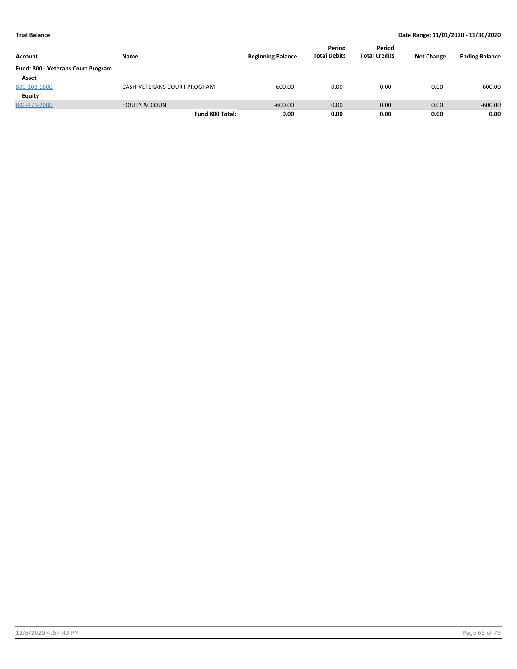| Account                            | Name                        | <b>Beginning Balance</b> | Period<br><b>Total Debits</b> | Period<br><b>Total Credits</b> | <b>Net Change</b> | <b>Ending Balance</b> |
|------------------------------------|-----------------------------|--------------------------|-------------------------------|--------------------------------|-------------------|-----------------------|
|                                    |                             |                          |                               |                                |                   |                       |
| Fund: 800 - Veterans Court Program |                             |                          |                               |                                |                   |                       |
| Asset                              |                             |                          |                               |                                |                   |                       |
| 800-103-1800                       | CASH-VETERANS COURT PROGRAM | 600.00                   | 0.00                          | 0.00                           | 0.00              | 600.00                |
| Equity                             |                             |                          |                               |                                |                   |                       |
| 800-271-2000                       | <b>EQUITY ACCOUNT</b>       | $-600.00$                | 0.00                          | 0.00                           | 0.00              | $-600.00$             |
|                                    | Fund 800 Total:             | 0.00                     | 0.00                          | 0.00                           | 0.00              | 0.00                  |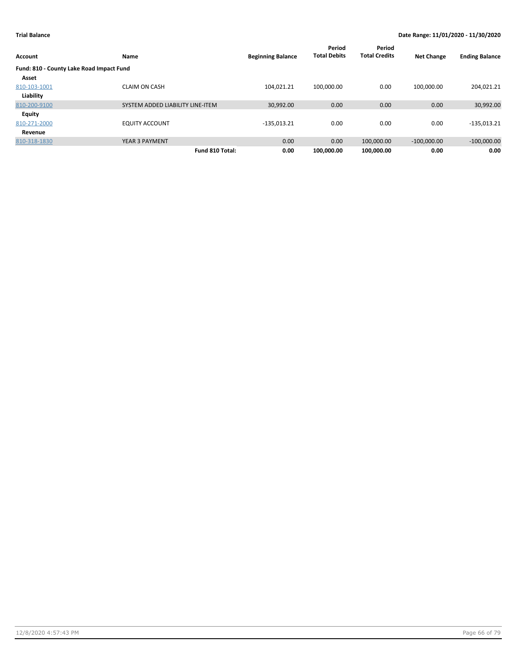| Account                                  | <b>Name</b>                      | <b>Beginning Balance</b> | Period<br><b>Total Debits</b> | Period<br><b>Total Credits</b> | <b>Net Change</b> | <b>Ending Balance</b> |
|------------------------------------------|----------------------------------|--------------------------|-------------------------------|--------------------------------|-------------------|-----------------------|
| Fund: 810 - County Lake Road Impact Fund |                                  |                          |                               |                                |                   |                       |
| Asset                                    |                                  |                          |                               |                                |                   |                       |
| 810-103-1001                             | <b>CLAIM ON CASH</b>             | 104.021.21               | 100,000.00                    | 0.00                           | 100.000.00        | 204,021.21            |
| Liability                                |                                  |                          |                               |                                |                   |                       |
| 810-200-9100                             | SYSTEM ADDED LIABILITY LINE-ITEM | 30.992.00                | 0.00                          | 0.00                           | 0.00              | 30,992.00             |
| <b>Equity</b>                            |                                  |                          |                               |                                |                   |                       |
| 810-271-2000                             | <b>EQUITY ACCOUNT</b>            | $-135,013.21$            | 0.00                          | 0.00                           | 0.00              | $-135,013.21$         |
| Revenue                                  |                                  |                          |                               |                                |                   |                       |
| 810-318-1830                             | YEAR 3 PAYMENT                   | 0.00                     | 0.00                          | 100,000.00                     | $-100,000.00$     | $-100,000.00$         |
|                                          | Fund 810 Total:                  | 0.00                     | 100.000.00                    | 100,000.00                     | 0.00              | 0.00                  |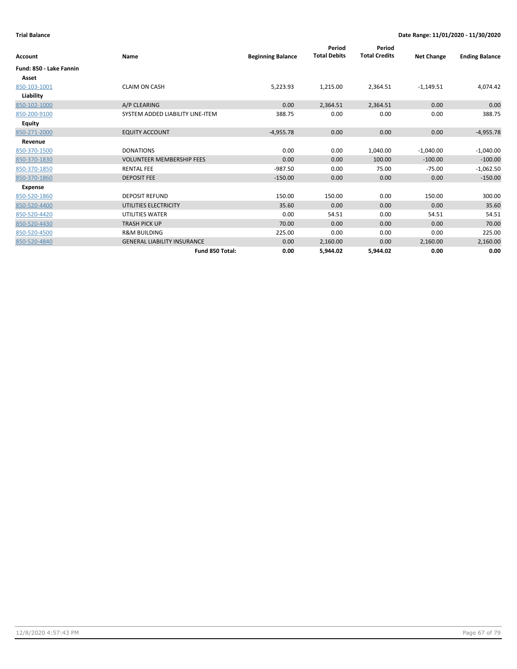| Account                 | Name                               | <b>Beginning Balance</b> | Period<br><b>Total Debits</b> | Period<br><b>Total Credits</b> | <b>Net Change</b> | <b>Ending Balance</b> |
|-------------------------|------------------------------------|--------------------------|-------------------------------|--------------------------------|-------------------|-----------------------|
| Fund: 850 - Lake Fannin |                                    |                          |                               |                                |                   |                       |
| Asset                   |                                    |                          |                               |                                |                   |                       |
| 850-103-1001            | <b>CLAIM ON CASH</b>               | 5,223.93                 | 1,215.00                      | 2,364.51                       | $-1,149.51$       | 4,074.42              |
| Liability               |                                    |                          |                               |                                |                   |                       |
| 850-102-1000            | A/P CLEARING                       | 0.00                     | 2,364.51                      | 2,364.51                       | 0.00              | 0.00                  |
| 850-200-9100            | SYSTEM ADDED LIABILITY LINE-ITEM   | 388.75                   | 0.00                          | 0.00                           | 0.00              | 388.75                |
| <b>Equity</b>           |                                    |                          |                               |                                |                   |                       |
| 850-271-2000            | <b>EQUITY ACCOUNT</b>              | $-4,955.78$              | 0.00                          | 0.00                           | 0.00              | $-4,955.78$           |
| Revenue                 |                                    |                          |                               |                                |                   |                       |
| 850-370-1500            | <b>DONATIONS</b>                   | 0.00                     | 0.00                          | 1,040.00                       | $-1,040.00$       | $-1,040.00$           |
| 850-370-1830            | <b>VOLUNTEER MEMBERSHIP FEES</b>   | 0.00                     | 0.00                          | 100.00                         | $-100.00$         | $-100.00$             |
| 850-370-1850            | <b>RENTAL FEE</b>                  | $-987.50$                | 0.00                          | 75.00                          | $-75.00$          | $-1,062.50$           |
| 850-370-1860            | <b>DEPOSIT FEE</b>                 | $-150.00$                | 0.00                          | 0.00                           | 0.00              | $-150.00$             |
| <b>Expense</b>          |                                    |                          |                               |                                |                   |                       |
| 850-520-1860            | <b>DEPOSIT REFUND</b>              | 150.00                   | 150.00                        | 0.00                           | 150.00            | 300.00                |
| 850-520-4400            | UTILITIES ELECTRICITY              | 35.60                    | 0.00                          | 0.00                           | 0.00              | 35.60                 |
| 850-520-4420            | <b>UTILITIES WATER</b>             | 0.00                     | 54.51                         | 0.00                           | 54.51             | 54.51                 |
| 850-520-4430            | <b>TRASH PICK UP</b>               | 70.00                    | 0.00                          | 0.00                           | 0.00              | 70.00                 |
| 850-520-4500            | <b>R&amp;M BUILDING</b>            | 225.00                   | 0.00                          | 0.00                           | 0.00              | 225.00                |
| 850-520-4840            | <b>GENERAL LIABILITY INSURANCE</b> | 0.00                     | 2,160.00                      | 0.00                           | 2,160.00          | 2,160.00              |
|                         | Fund 850 Total:                    | 0.00                     | 5,944.02                      | 5,944.02                       | 0.00              | 0.00                  |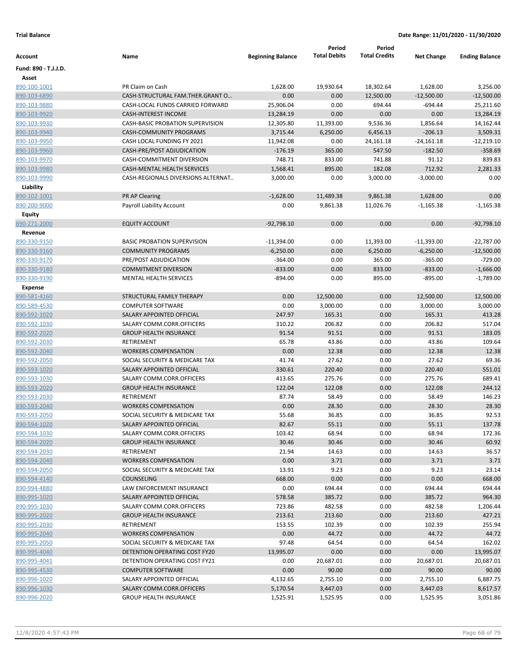|                      |                                    |                          | Period              | Period               |                   |                       |
|----------------------|------------------------------------|--------------------------|---------------------|----------------------|-------------------|-----------------------|
| Account              | Name                               | <b>Beginning Balance</b> | <b>Total Debits</b> | <b>Total Credits</b> | <b>Net Change</b> | <b>Ending Balance</b> |
| Fund: 890 - T.J.J.D. |                                    |                          |                     |                      |                   |                       |
| Asset                |                                    |                          |                     |                      |                   |                       |
| 890-100-1001         | PR Claim on Cash                   | 1,628.00                 | 19,930.64           | 18,302.64            | 1,628.00          | 3,256.00              |
| 890-103-6890         | CASH-STRUCTURAL FAM.THER.GRANT O   | 0.00                     | 0.00                | 12,500.00            | $-12,500.00$      | $-12,500.00$          |
| 890-103-9880         | CASH-LOCAL FUNDS CARRIED FORWARD   | 25,906.04                | 0.00                | 694.44               | $-694.44$         | 25,211.60             |
| 890-103-9920         | <b>CASH-INTEREST INCOME</b>        | 13,284.19                | 0.00                | 0.00                 | 0.00              | 13,284.19             |
| 890-103-9930         | CASH-BASIC PROBATION SUPERVISION   | 12,305.80                | 11,393.00           | 9,536.36             | 1,856.64          | 14,162.44             |
| 890-103-9940         | <b>CASH-COMMUNITY PROGRAMS</b>     | 3,715.44                 | 6,250.00            | 6,456.13             | $-206.13$         | 3,509.31              |
| 890-103-9950         | CASH LOCAL FUNDING FY 2021         | 11,942.08                | 0.00                | 24,161.18            | $-24,161.18$      | $-12,219.10$          |
| 890-103-9960         | CASH-PRE/POST ADJUDICATION         | $-176.19$                | 365.00              | 547.50               | $-182.50$         | $-358.69$             |
| 890-103-9970         | CASH-COMMITMENT DIVERSION          | 748.71                   | 833.00              | 741.88               | 91.12             | 839.83                |
| 890-103-9980         | <b>CASH-MENTAL HEALTH SERVICES</b> | 1,568.41                 | 895.00              | 182.08               | 712.92            | 2,281.33              |
| 890-103-9990         | CASH-REGIONALS DIVERSIONS ALTERNAT | 3,000.00                 | 0.00                | 3,000.00             | $-3,000.00$       | 0.00                  |
| Liability            |                                    |                          |                     |                      |                   |                       |
| 890-102-1001         | PR AP Clearing                     | $-1,628.00$              | 11,489.38           | 9,861.38             | 1,628.00          | 0.00                  |
| 890-200-9000         | Payroll Liability Account          | 0.00                     | 9,861.38            | 11,026.76            | $-1,165.38$       | $-1,165.38$           |
| Equity               |                                    |                          |                     |                      |                   |                       |
| 890-271-2000         | <b>EQUITY ACCOUNT</b>              | $-92,798.10$             | 0.00                | 0.00                 | 0.00              | $-92,798.10$          |
| Revenue              |                                    |                          |                     |                      |                   |                       |
| 890-330-9150         | <b>BASIC PROBATION SUPERVISION</b> | $-11,394.00$             | 0.00                | 11,393.00            | $-11,393.00$      | $-22,787.00$          |
| 890-330-9160         | <b>COMMUNITY PROGRAMS</b>          | $-6,250.00$              | 0.00                | 6,250.00             | $-6,250.00$       | $-12,500.00$          |
| 890-330-9170         | PRE/POST ADJUDICATION              | $-364.00$                | 0.00                | 365.00               | $-365.00$         | $-729.00$             |
| 890-330-9180         | <b>COMMITMENT DIVERSION</b>        | $-833.00$                | 0.00                | 833.00               | $-833.00$         | $-1,666.00$           |
| 890-330-9190         | MENTAL HEALTH SERVICES             | $-894.00$                | 0.00                | 895.00               | $-895.00$         | $-1,789.00$           |
| <b>Expense</b>       |                                    |                          |                     |                      |                   |                       |
| 890-581-4160         | STRUCTURAL FAMILY THERAPY          | 0.00                     | 12,500.00           | 0.00                 | 12,500.00         | 12,500.00             |
| 890-589-4530         | <b>COMPUTER SOFTWARE</b>           | 0.00                     | 3,000.00            | 0.00                 | 3,000.00          | 3,000.00              |
| 890-592-1020         | SALARY APPOINTED OFFICIAL          | 247.97                   | 165.31              | 0.00                 | 165.31            | 413.28                |
| 890-592-1030         | SALARY COMM.CORR.OFFICERS          | 310.22                   | 206.82              | 0.00                 | 206.82            | 517.04                |
| 890-592-2020         | <b>GROUP HEALTH INSURANCE</b>      | 91.54                    | 91.51               | 0.00                 | 91.51             | 183.05                |
| 890-592-2030         | RETIREMENT                         | 65.78                    | 43.86               | 0.00                 | 43.86             | 109.64                |
| 890-592-2040         | <b>WORKERS COMPENSATION</b>        | 0.00                     | 12.38               | 0.00                 | 12.38             | 12.38                 |
| 890-592-2050         | SOCIAL SECURITY & MEDICARE TAX     | 41.74                    | 27.62               | 0.00                 | 27.62             | 69.36                 |
| 890-593-1020         | SALARY APPOINTED OFFICIAL          | 330.61                   | 220.40              | 0.00                 | 220.40            | 551.01                |
| 890-593-1030         | SALARY COMM.CORR.OFFICERS          | 413.65                   | 275.76              | 0.00                 | 275.76            | 689.41                |
| 890-593-2020         | <b>GROUP HEALTH INSURANCE</b>      | 122.04                   | 122.08              | 0.00                 | 122.08            | 244.12                |
| 890-593-2030         | RETIREMENT                         | 87.74                    | 58.49               | 0.00                 | 58.49             | 146.23                |
| 890-593-2040         | <b>WORKERS COMPENSATION</b>        | 0.00                     | 28.30               | 0.00                 | 28.30             | 28.30                 |
| 890-593-2050         | SOCIAL SECURITY & MEDICARE TAX     | 55.68                    | 36.85               | 0.00                 | 36.85             | 92.53                 |
| 890-594-1020         | SALARY APPOINTED OFFICIAL          | 82.67                    | 55.11               | 0.00                 | 55.11             | 137.78                |
| 890-594-1030         | SALARY COMM.CORR.OFFICERS          | 103.42                   | 68.94               | 0.00                 | 68.94             | 172.36                |
| 890-594-2020         | <b>GROUP HEALTH INSURANCE</b>      | 30.46                    | 30.46               | 0.00                 | 30.46             | 60.92                 |
| 890-594-2030         | RETIREMENT                         | 21.94                    | 14.63               | 0.00                 | 14.63             | 36.57                 |
| 890-594-2040         | <b>WORKERS COMPENSATION</b>        | 0.00                     | 3.71                | 0.00                 | 3.71              | 3.71                  |
| 890-594-2050         | SOCIAL SECURITY & MEDICARE TAX     | 13.91                    | 9.23                | 0.00                 | 9.23              | 23.14                 |
| 890-594-4140         | <b>COUNSELING</b>                  | 668.00                   | 0.00                | 0.00                 | 0.00              | 668.00                |
| 890-994-4880         | LAW ENFORCEMENT INSURANCE          | 0.00                     | 694.44              | 0.00                 | 694.44            | 694.44                |
| 890-995-1020         | SALARY APPOINTED OFFICIAL          | 578.58                   | 385.72              | 0.00                 | 385.72            | 964.30<br>1,206.44    |
| 890-995-1030         | SALARY COMM.CORR.OFFICERS          | 723.86                   | 482.58<br>213.60    | 0.00                 | 482.58            |                       |
| 890-995-2020         | <b>GROUP HEALTH INSURANCE</b>      | 213.61                   |                     | 0.00                 | 213.60            | 427.21                |
| 890-995-2030         | RETIREMENT                         | 153.55                   | 102.39              | 0.00                 | 102.39            | 255.94                |
| 890-995-2040         | <b>WORKERS COMPENSATION</b>        | 0.00                     | 44.72               | 0.00                 | 44.72             | 44.72                 |
| 890-995-2050         | SOCIAL SECURITY & MEDICARE TAX     | 97.48                    | 64.54               | 0.00                 | 64.54             | 162.02                |
| 890-995-4040         | DETENTION OPERATING COST FY20      | 13,995.07                | 0.00                | 0.00                 | 0.00              | 13,995.07             |
| 890-995-4041         | DETENTION OPERATING COST FY21      | 0.00                     | 20,687.01           | 0.00                 | 20,687.01         | 20,687.01             |
| 890-995-4530         | <b>COMPUTER SOFTWARE</b>           | 0.00                     | 90.00               | 0.00                 | 90.00             | 90.00                 |
| 890-996-1020         | SALARY APPOINTED OFFICIAL          | 4,132.65                 | 2,755.10            | 0.00                 | 2,755.10          | 6,887.75              |
| 890-996-1030         | SALARY COMM.CORR.OFFICERS          | 5,170.54                 | 3,447.03            | 0.00                 | 3,447.03          | 8,617.57              |
| 890-996-2020         | <b>GROUP HEALTH INSURANCE</b>      | 1,525.91                 | 1,525.95            | 0.00                 | 1,525.95          | 3,051.86              |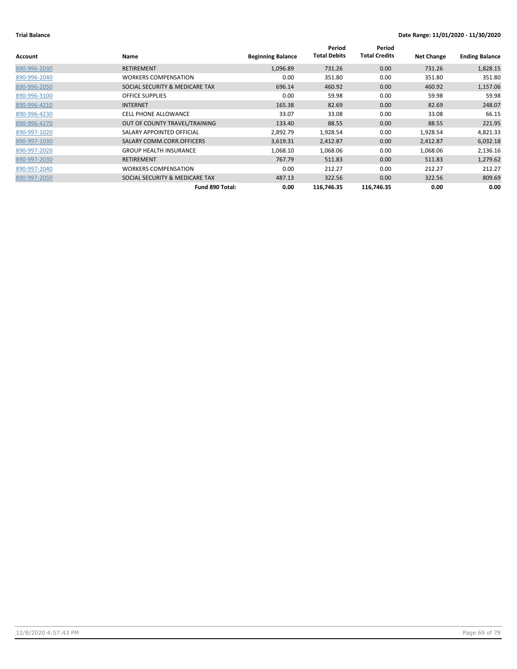| 1,096.89<br>0.00<br><b>RETIREMENT</b><br>731.26<br>731.26<br>890-996-2030<br>351.80<br>0.00<br>351.80<br>0.00<br>890-996-2040<br><b>WORKERS COMPENSATION</b><br>SOCIAL SECURITY & MEDICARE TAX<br>0.00<br>696.14<br>460.92<br>460.92<br>890-996-2050<br>0.00<br>59.98<br>0.00<br>59.98<br>890-996-3100<br><b>OFFICE SUPPLIES</b><br>165.38<br>82.69<br>0.00<br>82.69<br><b>INTERNET</b><br>890-996-4210<br>0.00<br><b>CELL PHONE ALLOWANCE</b><br>33.07<br>33.08<br>33.08<br>890-996-4230<br>OUT OF COUNTY TRAVEL/TRAINING<br>133.40<br>88.55<br>0.00<br>88.55<br>890-996-4270<br>890-997-1020<br>SALARY APPOINTED OFFICIAL<br>2,892.79<br>1,928.54<br>0.00<br>1,928.54<br>3,619.31<br>2,412.87<br>0.00<br>2,412.87<br>SALARY COMM.CORR.OFFICERS<br>890-997-1030<br>1,068.10<br>890-997-2020<br>1,068.06<br>0.00<br>1,068.06<br><b>GROUP HEALTH INSURANCE</b><br>767.79<br>0.00<br>511.83<br>511.83<br>890-997-2030<br><b>RETIREMENT</b><br>0.00<br>212.27<br>0.00<br>212.27<br>890-997-2040<br><b>WORKERS COMPENSATION</b><br>SOCIAL SECURITY & MEDICARE TAX<br>0.00<br>890-997-2050<br>487.13<br>322.56<br>322.56<br>0.00<br>0.00<br>116,746.35<br>116,746.35<br>Fund 890 Total: | Account | Name | <b>Beginning Balance</b> | Period<br><b>Total Debits</b> | Period<br><b>Total Credits</b> | <b>Net Change</b> | <b>Ending Balance</b> |
|------------------------------------------------------------------------------------------------------------------------------------------------------------------------------------------------------------------------------------------------------------------------------------------------------------------------------------------------------------------------------------------------------------------------------------------------------------------------------------------------------------------------------------------------------------------------------------------------------------------------------------------------------------------------------------------------------------------------------------------------------------------------------------------------------------------------------------------------------------------------------------------------------------------------------------------------------------------------------------------------------------------------------------------------------------------------------------------------------------------------------------------------------------------------------------|---------|------|--------------------------|-------------------------------|--------------------------------|-------------------|-----------------------|
|                                                                                                                                                                                                                                                                                                                                                                                                                                                                                                                                                                                                                                                                                                                                                                                                                                                                                                                                                                                                                                                                                                                                                                                    |         |      |                          |                               |                                |                   | 1,828.15              |
|                                                                                                                                                                                                                                                                                                                                                                                                                                                                                                                                                                                                                                                                                                                                                                                                                                                                                                                                                                                                                                                                                                                                                                                    |         |      |                          |                               |                                |                   | 351.80                |
|                                                                                                                                                                                                                                                                                                                                                                                                                                                                                                                                                                                                                                                                                                                                                                                                                                                                                                                                                                                                                                                                                                                                                                                    |         |      |                          |                               |                                |                   | 1,157.06              |
|                                                                                                                                                                                                                                                                                                                                                                                                                                                                                                                                                                                                                                                                                                                                                                                                                                                                                                                                                                                                                                                                                                                                                                                    |         |      |                          |                               |                                |                   | 59.98                 |
|                                                                                                                                                                                                                                                                                                                                                                                                                                                                                                                                                                                                                                                                                                                                                                                                                                                                                                                                                                                                                                                                                                                                                                                    |         |      |                          |                               |                                |                   | 248.07                |
|                                                                                                                                                                                                                                                                                                                                                                                                                                                                                                                                                                                                                                                                                                                                                                                                                                                                                                                                                                                                                                                                                                                                                                                    |         |      |                          |                               |                                |                   | 66.15                 |
|                                                                                                                                                                                                                                                                                                                                                                                                                                                                                                                                                                                                                                                                                                                                                                                                                                                                                                                                                                                                                                                                                                                                                                                    |         |      |                          |                               |                                |                   | 221.95                |
|                                                                                                                                                                                                                                                                                                                                                                                                                                                                                                                                                                                                                                                                                                                                                                                                                                                                                                                                                                                                                                                                                                                                                                                    |         |      |                          |                               |                                |                   | 4,821.33              |
|                                                                                                                                                                                                                                                                                                                                                                                                                                                                                                                                                                                                                                                                                                                                                                                                                                                                                                                                                                                                                                                                                                                                                                                    |         |      |                          |                               |                                |                   | 6,032.18              |
|                                                                                                                                                                                                                                                                                                                                                                                                                                                                                                                                                                                                                                                                                                                                                                                                                                                                                                                                                                                                                                                                                                                                                                                    |         |      |                          |                               |                                |                   | 2,136.16              |
|                                                                                                                                                                                                                                                                                                                                                                                                                                                                                                                                                                                                                                                                                                                                                                                                                                                                                                                                                                                                                                                                                                                                                                                    |         |      |                          |                               |                                |                   | 1,279.62              |
|                                                                                                                                                                                                                                                                                                                                                                                                                                                                                                                                                                                                                                                                                                                                                                                                                                                                                                                                                                                                                                                                                                                                                                                    |         |      |                          |                               |                                |                   | 212.27                |
|                                                                                                                                                                                                                                                                                                                                                                                                                                                                                                                                                                                                                                                                                                                                                                                                                                                                                                                                                                                                                                                                                                                                                                                    |         |      |                          |                               |                                |                   | 809.69                |
|                                                                                                                                                                                                                                                                                                                                                                                                                                                                                                                                                                                                                                                                                                                                                                                                                                                                                                                                                                                                                                                                                                                                                                                    |         |      |                          |                               |                                |                   | 0.00                  |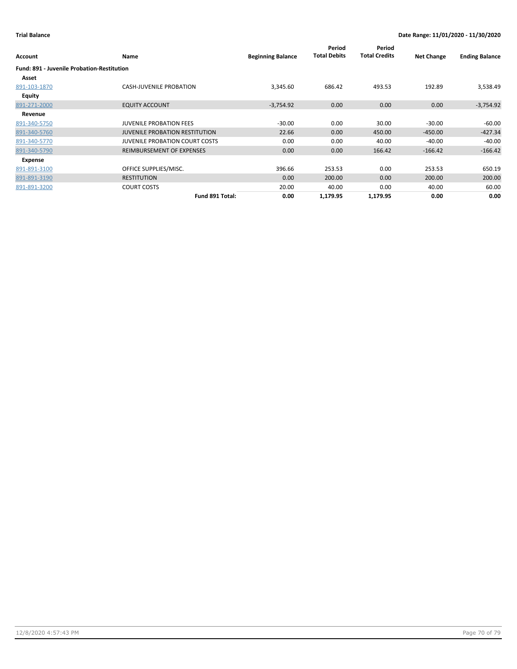| Account                                           | <b>Name</b>                           | <b>Beginning Balance</b> | Period<br><b>Total Debits</b> | Period<br><b>Total Credits</b> | <b>Net Change</b> | <b>Ending Balance</b> |
|---------------------------------------------------|---------------------------------------|--------------------------|-------------------------------|--------------------------------|-------------------|-----------------------|
| <b>Fund: 891 - Juvenile Probation-Restitution</b> |                                       |                          |                               |                                |                   |                       |
| Asset                                             |                                       |                          |                               |                                |                   |                       |
| 891-103-1870                                      | <b>CASH-JUVENILE PROBATION</b>        | 3,345.60                 | 686.42                        | 493.53                         | 192.89            | 3,538.49              |
| Equity                                            |                                       |                          |                               |                                |                   |                       |
| 891-271-2000                                      | <b>EQUITY ACCOUNT</b>                 | $-3,754.92$              | 0.00                          | 0.00                           | 0.00              | $-3,754.92$           |
| Revenue                                           |                                       |                          |                               |                                |                   |                       |
| 891-340-5750                                      | <b>JUVENILE PROBATION FEES</b>        | $-30.00$                 | 0.00                          | 30.00                          | $-30.00$          | $-60.00$              |
| 891-340-5760                                      | <b>JUVENILE PROBATION RESTITUTION</b> | 22.66                    | 0.00                          | 450.00                         | $-450.00$         | $-427.34$             |
| 891-340-5770                                      | <b>JUVENILE PROBATION COURT COSTS</b> | 0.00                     | 0.00                          | 40.00                          | $-40.00$          | $-40.00$              |
| 891-340-5790                                      | REIMBURSEMENT OF EXPENSES             | 0.00                     | 0.00 <sub>1</sub>             | 166.42                         | $-166.42$         | $-166.42$             |
| Expense                                           |                                       |                          |                               |                                |                   |                       |
| 891-891-3100                                      | OFFICE SUPPLIES/MISC.                 | 396.66                   | 253.53                        | 0.00                           | 253.53            | 650.19                |
| 891-891-3190                                      | <b>RESTITUTION</b>                    | 0.00                     | 200.00                        | 0.00                           | 200.00            | 200.00                |
| 891-891-3200                                      | <b>COURT COSTS</b>                    | 20.00                    | 40.00                         | 0.00                           | 40.00             | 60.00                 |
|                                                   | Fund 891 Total:                       | 0.00                     | 1,179.95                      | 1,179.95                       | 0.00              | 0.00                  |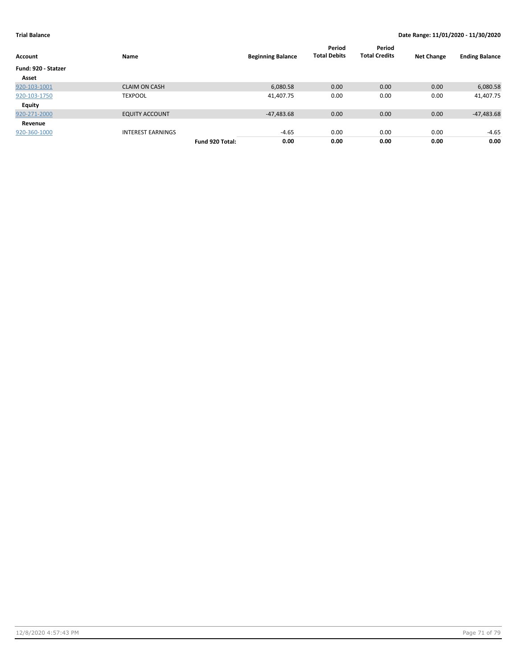| <b>Account</b>      | Name                     |                 | <b>Beginning Balance</b> | Period<br><b>Total Debits</b> | Period<br><b>Total Credits</b> | <b>Net Change</b> | <b>Ending Balance</b> |
|---------------------|--------------------------|-----------------|--------------------------|-------------------------------|--------------------------------|-------------------|-----------------------|
| Fund: 920 - Statzer |                          |                 |                          |                               |                                |                   |                       |
| Asset               |                          |                 |                          |                               |                                |                   |                       |
| 920-103-1001        | <b>CLAIM ON CASH</b>     |                 | 6,080.58                 | 0.00                          | 0.00                           | 0.00              | 6,080.58              |
| 920-103-1750        | <b>TEXPOOL</b>           |                 | 41,407.75                | 0.00                          | 0.00                           | 0.00              | 41,407.75             |
| Equity              |                          |                 |                          |                               |                                |                   |                       |
| 920-271-2000        | <b>EQUITY ACCOUNT</b>    |                 | $-47,483.68$             | 0.00                          | 0.00                           | 0.00              | $-47,483.68$          |
| Revenue             |                          |                 |                          |                               |                                |                   |                       |
| 920-360-1000        | <b>INTEREST EARNINGS</b> |                 | $-4.65$                  | 0.00                          | 0.00                           | 0.00              | $-4.65$               |
|                     |                          | Fund 920 Total: | 0.00                     | 0.00                          | 0.00                           | 0.00              | 0.00                  |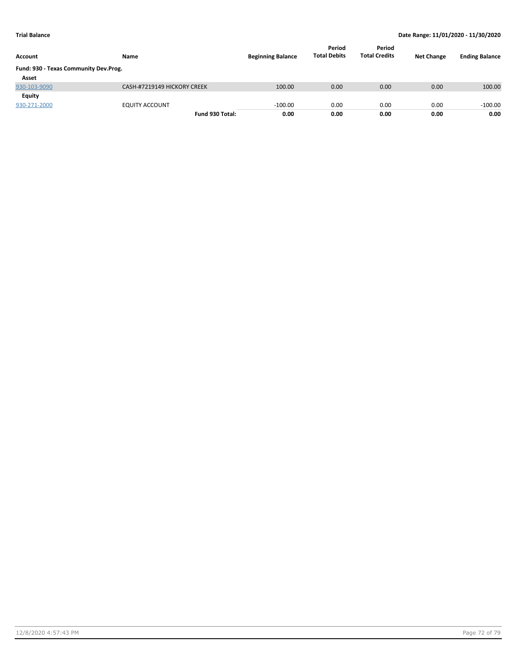| Account<br>Fund: 930 - Texas Community Dev.Prog. | Name                        | <b>Beginning Balance</b> | Period<br><b>Total Debits</b> | Period<br><b>Total Credits</b> | <b>Net Change</b> | <b>Ending Balance</b> |
|--------------------------------------------------|-----------------------------|--------------------------|-------------------------------|--------------------------------|-------------------|-----------------------|
| Asset<br>930-103-9090                            | CASH-#7219149 HICKORY CREEK | 100.00                   | 0.00                          | 0.00                           | 0.00              | 100.00                |
| Equity                                           |                             |                          |                               |                                |                   |                       |
| 930-271-2000                                     | <b>EQUITY ACCOUNT</b>       | $-100.00$                | 0.00                          | 0.00                           | 0.00              | $-100.00$             |
|                                                  | Fund 930 Total:             | 0.00                     | 0.00                          | 0.00                           | 0.00              | 0.00                  |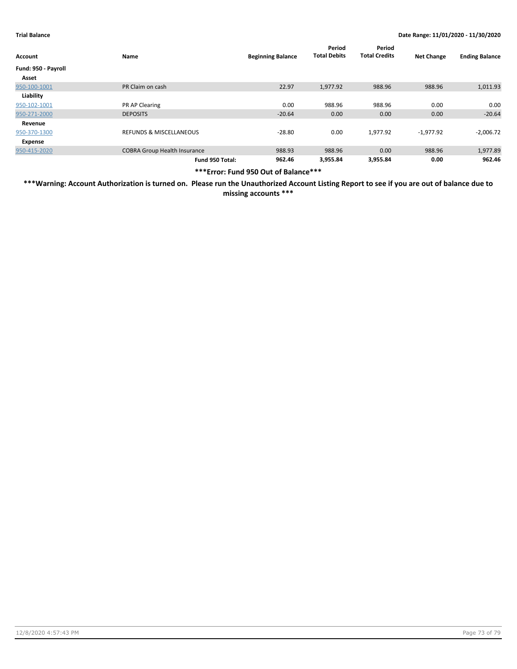| Account             | Name                                | <b>Beginning Balance</b> | Period<br><b>Total Debits</b> | Period<br><b>Total Credits</b> | <b>Net Change</b> | <b>Ending Balance</b> |
|---------------------|-------------------------------------|--------------------------|-------------------------------|--------------------------------|-------------------|-----------------------|
| Fund: 950 - Payroll |                                     |                          |                               |                                |                   |                       |
| Asset               |                                     |                          |                               |                                |                   |                       |
| 950-100-1001        | PR Claim on cash                    | 22.97                    | 1,977.92                      | 988.96                         | 988.96            | 1,011.93              |
| Liability           |                                     |                          |                               |                                |                   |                       |
| 950-102-1001        | PR AP Clearing                      | 0.00                     | 988.96                        | 988.96                         | 0.00              | 0.00                  |
| 950-271-2000        | <b>DEPOSITS</b>                     | $-20.64$                 | 0.00                          | 0.00                           | 0.00              | $-20.64$              |
| Revenue             |                                     |                          |                               |                                |                   |                       |
| 950-370-1300        | <b>REFUNDS &amp; MISCELLANEOUS</b>  | $-28.80$                 | 0.00                          | 1,977.92                       | $-1,977.92$       | $-2,006.72$           |
| Expense             |                                     |                          |                               |                                |                   |                       |
| 950-415-2020        | <b>COBRA Group Health Insurance</b> | 988.93                   | 988.96                        | 0.00                           | 988.96            | 1,977.89              |
|                     | Fund 950 Total:                     | 962.46                   | 3,955.84                      | 3.955.84                       | 0.00              | 962.46                |

**\*\*\*Error: Fund 950 Out of Balance\*\*\***

**\*\*\*Warning: Account Authorization is turned on. Please run the Unauthorized Account Listing Report to see if you are out of balance due to missing accounts \*\*\***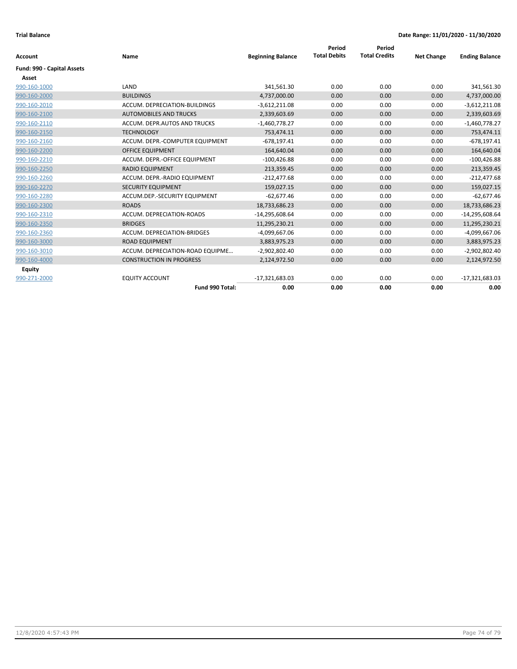|                            |                                  |                          | Period              | Period               |                   |                       |
|----------------------------|----------------------------------|--------------------------|---------------------|----------------------|-------------------|-----------------------|
| Account                    | Name                             | <b>Beginning Balance</b> | <b>Total Debits</b> | <b>Total Credits</b> | <b>Net Change</b> | <b>Ending Balance</b> |
| Fund: 990 - Capital Assets |                                  |                          |                     |                      |                   |                       |
| Asset                      |                                  |                          |                     |                      |                   |                       |
| 990-160-1000               | LAND                             | 341,561.30               | 0.00                | 0.00                 | 0.00              | 341,561.30            |
| 990-160-2000               | <b>BUILDINGS</b>                 | 4,737,000.00             | 0.00                | 0.00                 | 0.00              | 4,737,000.00          |
| 990-160-2010               | ACCUM. DEPRECIATION-BUILDINGS    | $-3,612,211.08$          | 0.00                | 0.00                 | 0.00              | $-3,612,211.08$       |
| 990-160-2100               | <b>AUTOMOBILES AND TRUCKS</b>    | 2,339,603.69             | 0.00                | 0.00                 | 0.00              | 2,339,603.69          |
| 990-160-2110               | ACCUM. DEPR.AUTOS AND TRUCKS     | $-1,460,778.27$          | 0.00                | 0.00                 | 0.00              | $-1,460,778.27$       |
| 990-160-2150               | <b>TECHNOLOGY</b>                | 753,474.11               | 0.00                | 0.00                 | 0.00              | 753,474.11            |
| 990-160-2160               | ACCUM. DEPR.-COMPUTER EQUIPMENT  | $-678,197.41$            | 0.00                | 0.00                 | 0.00              | $-678, 197.41$        |
| 990-160-2200               | <b>OFFICE EQUIPMENT</b>          | 164,640.04               | 0.00                | 0.00                 | 0.00              | 164,640.04            |
| 990-160-2210               | ACCUM. DEPR.-OFFICE EQUIPMENT    | $-100,426.88$            | 0.00                | 0.00                 | 0.00              | $-100,426.88$         |
| 990-160-2250               | <b>RADIO EQUIPMENT</b>           | 213,359.45               | 0.00                | 0.00                 | 0.00              | 213,359.45            |
| 990-160-2260               | ACCUM. DEPR.-RADIO EQUIPMENT     | $-212,477.68$            | 0.00                | 0.00                 | 0.00              | $-212,477.68$         |
| 990-160-2270               | <b>SECURITY EQUIPMENT</b>        | 159,027.15               | 0.00                | 0.00                 | 0.00              | 159,027.15            |
| 990-160-2280               | ACCUM.DEP.-SECURITY EQUIPMENT    | $-62,677.46$             | 0.00                | 0.00                 | 0.00              | $-62,677.46$          |
| 990-160-2300               | <b>ROADS</b>                     | 18,733,686.23            | 0.00                | 0.00                 | 0.00              | 18,733,686.23         |
| 990-160-2310               | ACCUM. DEPRECIATION-ROADS        | $-14,295,608.64$         | 0.00                | 0.00                 | 0.00              | $-14,295,608.64$      |
| 990-160-2350               | <b>BRIDGES</b>                   | 11,295,230.21            | 0.00                | 0.00                 | 0.00              | 11,295,230.21         |
| 990-160-2360               | ACCUM. DEPRECIATION-BRIDGES      | $-4,099,667.06$          | 0.00                | 0.00                 | 0.00              | -4,099,667.06         |
| 990-160-3000               | <b>ROAD EQUIPMENT</b>            | 3,883,975.23             | 0.00                | 0.00                 | 0.00              | 3,883,975.23          |
| 990-160-3010               | ACCUM. DEPRECIATION-ROAD EQUIPME | -2,902,802.40            | 0.00                | 0.00                 | 0.00              | $-2,902,802.40$       |
| 990-160-4000               | <b>CONSTRUCTION IN PROGRESS</b>  | 2,124,972.50             | 0.00                | 0.00                 | 0.00              | 2,124,972.50          |
| <b>Equity</b>              |                                  |                          |                     |                      |                   |                       |
| 990-271-2000               | <b>EQUITY ACCOUNT</b>            | $-17,321,683.03$         | 0.00                | 0.00                 | 0.00              | $-17,321,683.03$      |
|                            | Fund 990 Total:                  | 0.00                     | 0.00                | 0.00                 | 0.00              | 0.00                  |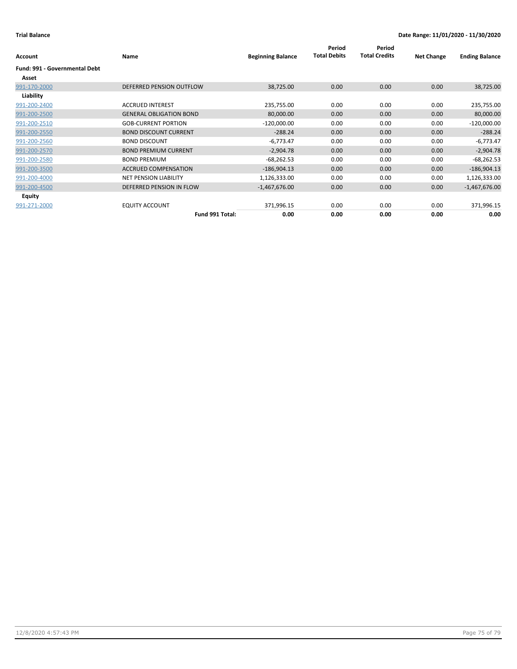| Account                       | Name                           | <b>Beginning Balance</b> | Period<br><b>Total Debits</b> | Period<br><b>Total Credits</b> | <b>Net Change</b> | <b>Ending Balance</b> |
|-------------------------------|--------------------------------|--------------------------|-------------------------------|--------------------------------|-------------------|-----------------------|
| Fund: 991 - Governmental Debt |                                |                          |                               |                                |                   |                       |
| Asset                         |                                |                          |                               |                                |                   |                       |
| 991-170-2000                  | DEFERRED PENSION OUTFLOW       | 38,725.00                | 0.00                          | 0.00                           | 0.00              | 38,725.00             |
| Liability                     |                                |                          |                               |                                |                   |                       |
| 991-200-2400                  | <b>ACCRUED INTEREST</b>        | 235,755.00               | 0.00                          | 0.00                           | 0.00              | 235,755.00            |
| 991-200-2500                  | <b>GENERAL OBLIGATION BOND</b> | 80,000.00                | 0.00                          | 0.00                           | 0.00              | 80,000.00             |
| 991-200-2510                  | <b>GOB-CURRENT PORTION</b>     | $-120,000.00$            | 0.00                          | 0.00                           | 0.00              | $-120,000.00$         |
| 991-200-2550                  | <b>BOND DISCOUNT CURRENT</b>   | $-288.24$                | 0.00                          | 0.00                           | 0.00              | $-288.24$             |
| 991-200-2560                  | <b>BOND DISCOUNT</b>           | $-6,773.47$              | 0.00                          | 0.00                           | 0.00              | $-6,773.47$           |
| 991-200-2570                  | <b>BOND PREMIUM CURRENT</b>    | $-2,904.78$              | 0.00                          | 0.00                           | 0.00              | $-2,904.78$           |
| 991-200-2580                  | <b>BOND PREMIUM</b>            | $-68,262.53$             | 0.00                          | 0.00                           | 0.00              | $-68,262.53$          |
| 991-200-3500                  | <b>ACCRUED COMPENSATION</b>    | $-186,904.13$            | 0.00                          | 0.00                           | 0.00              | $-186,904.13$         |
| 991-200-4000                  | <b>NET PENSION LIABILITY</b>   | 1,126,333.00             | 0.00                          | 0.00                           | 0.00              | 1,126,333.00          |
| 991-200-4500                  | DEFERRED PENSION IN FLOW       | $-1,467,676.00$          | 0.00                          | 0.00                           | 0.00              | $-1,467,676.00$       |
| Equity                        |                                |                          |                               |                                |                   |                       |
| 991-271-2000                  | <b>EQUITY ACCOUNT</b>          | 371,996.15               | 0.00                          | 0.00                           | 0.00              | 371,996.15            |
|                               | Fund 991 Total:                | 0.00                     | 0.00                          | 0.00                           | 0.00              | 0.00                  |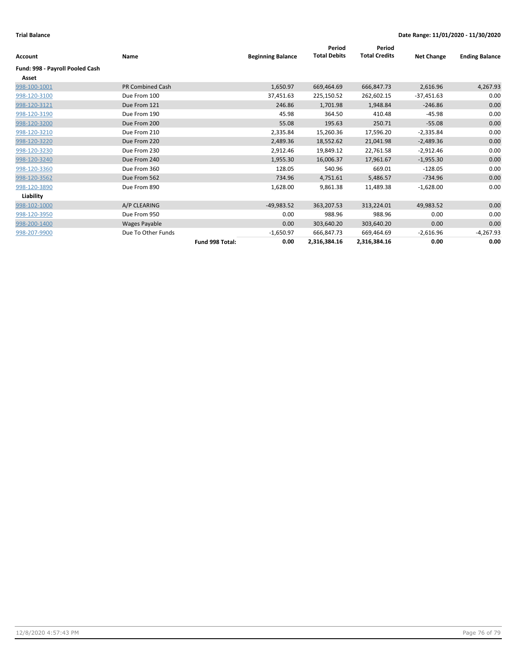| Account                         | Name                    |                 | <b>Beginning Balance</b> | Period<br><b>Total Debits</b> | Period<br><b>Total Credits</b> | <b>Net Change</b> | <b>Ending Balance</b> |
|---------------------------------|-------------------------|-----------------|--------------------------|-------------------------------|--------------------------------|-------------------|-----------------------|
| Fund: 998 - Payroll Pooled Cash |                         |                 |                          |                               |                                |                   |                       |
| Asset                           |                         |                 |                          |                               |                                |                   |                       |
| 998-100-1001                    | <b>PR Combined Cash</b> |                 | 1,650.97                 | 669,464.69                    | 666,847.73                     | 2,616.96          | 4,267.93              |
| 998-120-3100                    | Due From 100            |                 | 37,451.63                | 225,150.52                    | 262,602.15                     | $-37,451.63$      | 0.00                  |
| 998-120-3121                    | Due From 121            |                 | 246.86                   | 1,701.98                      | 1,948.84                       | $-246.86$         | 0.00                  |
| 998-120-3190                    | Due From 190            |                 | 45.98                    | 364.50                        | 410.48                         | $-45.98$          | 0.00                  |
| 998-120-3200                    | Due From 200            |                 | 55.08                    | 195.63                        | 250.71                         | $-55.08$          | 0.00                  |
| 998-120-3210                    | Due From 210            |                 | 2,335.84                 | 15,260.36                     | 17,596.20                      | $-2,335.84$       | 0.00                  |
| 998-120-3220                    | Due From 220            |                 | 2,489.36                 | 18,552.62                     | 21,041.98                      | $-2,489.36$       | 0.00                  |
| 998-120-3230                    | Due From 230            |                 | 2,912.46                 | 19,849.12                     | 22,761.58                      | $-2,912.46$       | 0.00                  |
| 998-120-3240                    | Due From 240            |                 | 1,955.30                 | 16,006.37                     | 17,961.67                      | $-1,955.30$       | 0.00                  |
| 998-120-3360                    | Due From 360            |                 | 128.05                   | 540.96                        | 669.01                         | $-128.05$         | 0.00                  |
| 998-120-3562                    | Due From 562            |                 | 734.96                   | 4,751.61                      | 5,486.57                       | $-734.96$         | 0.00                  |
| 998-120-3890                    | Due From 890            |                 | 1,628.00                 | 9,861.38                      | 11,489.38                      | $-1,628.00$       | 0.00                  |
| Liability                       |                         |                 |                          |                               |                                |                   |                       |
| 998-102-1000                    | A/P CLEARING            |                 | $-49,983.52$             | 363,207.53                    | 313,224.01                     | 49,983.52         | 0.00                  |
| 998-120-3950                    | Due From 950            |                 | 0.00                     | 988.96                        | 988.96                         | 0.00              | 0.00                  |
| 998-200-1400                    | <b>Wages Payable</b>    |                 | 0.00                     | 303,640.20                    | 303,640.20                     | 0.00              | 0.00                  |
| 998-207-9900                    | Due To Other Funds      |                 | $-1,650.97$              | 666,847.73                    | 669,464.69                     | $-2,616.96$       | $-4,267.93$           |
|                                 |                         | Fund 998 Total: | 0.00                     | 2,316,384.16                  | 2,316,384.16                   | 0.00              | 0.00                  |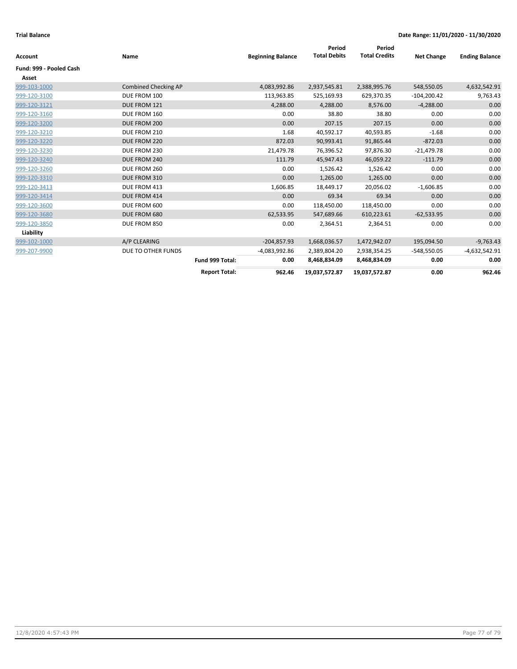| Account                 | Name                        |                      | <b>Beginning Balance</b> | Period<br><b>Total Debits</b> | Period<br><b>Total Credits</b> | <b>Net Change</b> | <b>Ending Balance</b> |
|-------------------------|-----------------------------|----------------------|--------------------------|-------------------------------|--------------------------------|-------------------|-----------------------|
| Fund: 999 - Pooled Cash |                             |                      |                          |                               |                                |                   |                       |
| Asset                   |                             |                      |                          |                               |                                |                   |                       |
| 999-103-1000            | <b>Combined Checking AP</b> |                      | 4,083,992.86             | 2,937,545.81                  | 2,388,995.76                   | 548,550.05        | 4,632,542.91          |
| 999-120-3100            | DUE FROM 100                |                      | 113,963.85               | 525,169.93                    | 629,370.35                     | $-104,200.42$     | 9,763.43              |
| 999-120-3121            | DUE FROM 121                |                      | 4,288.00                 | 4,288.00                      | 8,576.00                       | $-4,288.00$       | 0.00                  |
| 999-120-3160            | DUE FROM 160                |                      | 0.00                     | 38.80                         | 38.80                          | 0.00              | 0.00                  |
| 999-120-3200            | DUE FROM 200                |                      | 0.00                     | 207.15                        | 207.15                         | 0.00              | 0.00                  |
| 999-120-3210            | DUE FROM 210                |                      | 1.68                     | 40,592.17                     | 40,593.85                      | $-1.68$           | 0.00                  |
| 999-120-3220            | DUE FROM 220                |                      | 872.03                   | 90,993.41                     | 91,865.44                      | $-872.03$         | 0.00                  |
| 999-120-3230            | DUE FROM 230                |                      | 21,479.78                | 76,396.52                     | 97,876.30                      | $-21,479.78$      | 0.00                  |
| 999-120-3240            | DUE FROM 240                |                      | 111.79                   | 45,947.43                     | 46,059.22                      | $-111.79$         | 0.00                  |
| 999-120-3260            | DUE FROM 260                |                      | 0.00                     | 1,526.42                      | 1,526.42                       | 0.00              | 0.00                  |
| 999-120-3310            | DUE FROM 310                |                      | 0.00                     | 1,265.00                      | 1,265.00                       | 0.00              | 0.00                  |
| 999-120-3413            | DUE FROM 413                |                      | 1,606.85                 | 18,449.17                     | 20,056.02                      | $-1,606.85$       | 0.00                  |
| 999-120-3414            | DUE FROM 414                |                      | 0.00                     | 69.34                         | 69.34                          | 0.00              | 0.00                  |
| 999-120-3600            | DUE FROM 600                |                      | 0.00                     | 118,450.00                    | 118,450.00                     | 0.00              | 0.00                  |
| 999-120-3680            | DUE FROM 680                |                      | 62,533.95                | 547,689.66                    | 610,223.61                     | $-62,533.95$      | 0.00                  |
| 999-120-3850            | DUE FROM 850                |                      | 0.00                     | 2,364.51                      | 2,364.51                       | 0.00              | 0.00                  |
| Liability               |                             |                      |                          |                               |                                |                   |                       |
| 999-102-1000            | A/P CLEARING                |                      | $-204,857.93$            | 1,668,036.57                  | 1,472,942.07                   | 195,094.50        | $-9,763.43$           |
| 999-207-9900            | DUE TO OTHER FUNDS          |                      | -4,083,992.86            | 2,389,804.20                  | 2,938,354.25                   | -548,550.05       | $-4,632,542.91$       |
|                         |                             | Fund 999 Total:      | 0.00                     | 8,468,834.09                  | 8,468,834.09                   | 0.00              | 0.00                  |
|                         |                             | <b>Report Total:</b> | 962.46                   | 19,037,572.87                 | 19,037,572.87                  | 0.00              | 962.46                |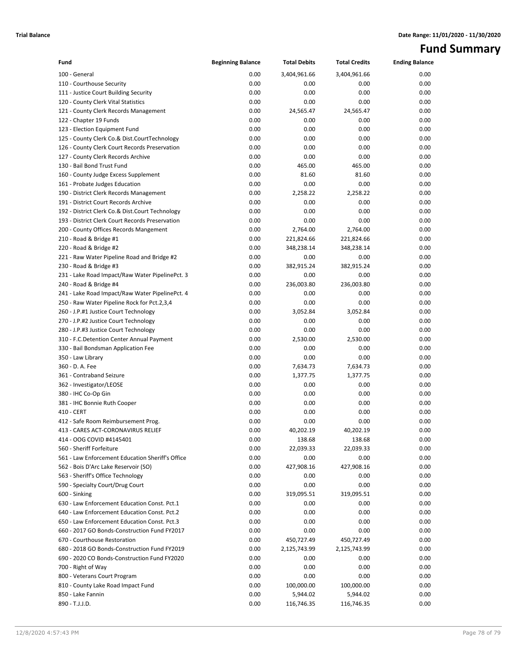# **Fund Summary**

| Fund                                                                                         | <b>Beginning Balance</b> | <b>Total Debits</b> | <b>Total Credits</b> | <b>Ending Balance</b> |
|----------------------------------------------------------------------------------------------|--------------------------|---------------------|----------------------|-----------------------|
| 100 - General                                                                                | 0.00                     | 3,404,961.66        | 3,404,961.66         | 0.00                  |
| 110 - Courthouse Security                                                                    | 0.00                     | 0.00                | 0.00                 | 0.00                  |
| 111 - Justice Court Building Security                                                        | 0.00                     | 0.00                | 0.00                 | 0.00                  |
| 120 - County Clerk Vital Statistics                                                          | 0.00                     | 0.00                | 0.00                 | 0.00                  |
| 121 - County Clerk Records Management                                                        | 0.00                     | 24,565.47           | 24,565.47            | 0.00                  |
| 122 - Chapter 19 Funds                                                                       | 0.00                     | 0.00                | 0.00                 | 0.00                  |
| 123 - Election Equipment Fund                                                                | 0.00                     | 0.00                | 0.00                 | 0.00                  |
| 125 - County Clerk Co.& Dist.CourtTechnology                                                 | 0.00                     | 0.00                | 0.00                 | 0.00                  |
| 126 - County Clerk Court Records Preservation                                                | 0.00                     | 0.00                | 0.00                 | 0.00                  |
| 127 - County Clerk Records Archive                                                           | 0.00                     | 0.00                | 0.00                 | 0.00                  |
| 130 - Bail Bond Trust Fund                                                                   | 0.00                     | 465.00              | 465.00               | 0.00                  |
| 160 - County Judge Excess Supplement                                                         | 0.00                     | 81.60               | 81.60                | 0.00                  |
| 161 - Probate Judges Education                                                               | 0.00                     | 0.00                | 0.00                 | 0.00                  |
| 190 - District Clerk Records Management                                                      | 0.00                     | 2,258.22            | 2,258.22             | 0.00                  |
| 191 - District Court Records Archive                                                         | 0.00                     | 0.00                | 0.00                 | 0.00                  |
| 192 - District Clerk Co.& Dist.Court Technology                                              | 0.00                     | 0.00                | 0.00                 | 0.00                  |
| 193 - District Clerk Court Records Preservation                                              | 0.00                     | 0.00                | 0.00                 | 0.00                  |
| 200 - County Offices Records Mangement                                                       | 0.00                     | 2,764.00            | 2,764.00             | 0.00                  |
| 210 - Road & Bridge #1                                                                       | 0.00                     | 221,824.66          | 221,824.66           | 0.00                  |
| 220 - Road & Bridge #2                                                                       | 0.00                     | 348,238.14          | 348,238.14           | 0.00                  |
| 221 - Raw Water Pipeline Road and Bridge #2                                                  | 0.00                     | 0.00                | 0.00                 | 0.00                  |
| 230 - Road & Bridge #3                                                                       | 0.00                     | 382,915.24          | 382,915.24           | 0.00                  |
| 231 - Lake Road Impact/Raw Water PipelinePct. 3                                              | 0.00                     | 0.00                | 0.00                 | 0.00                  |
| 240 - Road & Bridge #4                                                                       | 0.00                     | 236,003.80          | 236,003.80           | 0.00                  |
| 241 - Lake Road Impact/Raw Water PipelinePct. 4                                              | 0.00                     | 0.00                | 0.00                 | 0.00                  |
| 250 - Raw Water Pipeline Rock for Pct.2,3,4                                                  | 0.00                     | 0.00                | 0.00                 | 0.00                  |
| 260 - J.P.#1 Justice Court Technology                                                        | 0.00                     | 3,052.84            | 3,052.84             | 0.00                  |
| 270 - J.P.#2 Justice Court Technology                                                        | 0.00                     | 0.00                | 0.00                 | 0.00                  |
| 280 - J.P.#3 Justice Court Technology                                                        | 0.00                     | 0.00                | 0.00                 | 0.00                  |
| 310 - F.C.Detention Center Annual Payment                                                    | 0.00                     | 2,530.00            | 2,530.00             | 0.00                  |
| 330 - Bail Bondsman Application Fee                                                          | 0.00                     | 0.00                | 0.00                 | 0.00                  |
| 350 - Law Library                                                                            | 0.00                     | 0.00                | 0.00                 | 0.00                  |
| 360 - D. A. Fee                                                                              | 0.00                     | 7,634.73            | 7,634.73             | 0.00                  |
| 361 - Contraband Seizure                                                                     | 0.00                     | 1,377.75            | 1,377.75             | 0.00                  |
| 362 - Investigator/LEOSE                                                                     | 0.00                     | 0.00                | 0.00                 | 0.00                  |
| 380 - IHC Co-Op Gin                                                                          | 0.00                     | 0.00                | 0.00                 | 0.00                  |
| 381 - IHC Bonnie Ruth Cooper                                                                 | 0.00                     | 0.00                | 0.00                 | 0.00                  |
| 410 - CERT                                                                                   | 0.00                     | 0.00                | 0.00                 | 0.00                  |
| 412 - Safe Room Reimbursement Prog.                                                          | 0.00                     | 0.00                | 0.00                 | 0.00                  |
| 413 - CARES ACT-CORONAVIRUS RELIEF                                                           | 0.00                     | 40,202.19           | 40,202.19            | 0.00                  |
| 414 - OOG COVID #4145401                                                                     | 0.00                     | 138.68              | 138.68               | 0.00                  |
| 560 - Sheriff Forfeiture                                                                     | 0.00                     | 22,039.33           | 22,039.33            | 0.00                  |
| 561 - Law Enforcement Education Sheriff's Office                                             | 0.00                     | 0.00                | 0.00                 | 0.00                  |
| 562 - Bois D'Arc Lake Reservoir (SO)                                                         | 0.00                     | 427,908.16          | 427,908.16           | 0.00                  |
| 563 - Sheriff's Office Technology                                                            | 0.00                     | 0.00                | 0.00                 | 0.00                  |
| 590 - Specialty Court/Drug Court                                                             | 0.00                     | 0.00                | 0.00                 | 0.00                  |
| 600 - Sinking                                                                                | 0.00                     | 319,095.51          | 319,095.51           | 0.00                  |
| 630 - Law Enforcement Education Const. Pct.1                                                 | 0.00                     | 0.00                | 0.00                 | 0.00                  |
| 640 - Law Enforcement Education Const. Pct.2                                                 | 0.00                     | 0.00                | 0.00                 | 0.00                  |
| 650 - Law Enforcement Education Const. Pct.3<br>660 - 2017 GO Bonds-Construction Fund FY2017 | 0.00                     | 0.00                | 0.00                 | 0.00                  |
|                                                                                              | 0.00                     | 0.00                | 0.00                 | 0.00                  |
| 670 - Courthouse Restoration                                                                 | 0.00                     | 450,727.49          | 450,727.49           | 0.00                  |
| 680 - 2018 GO Bonds-Construction Fund FY2019<br>690 - 2020 CO Bonds-Construction Fund FY2020 | 0.00                     | 2,125,743.99        | 2,125,743.99<br>0.00 | 0.00                  |
|                                                                                              | 0.00<br>0.00             | 0.00<br>0.00        | 0.00                 | 0.00<br>0.00          |
| 700 - Right of Way                                                                           | 0.00                     | 0.00                | 0.00                 | 0.00                  |
| 800 - Veterans Court Program<br>810 - County Lake Road Impact Fund                           | 0.00                     | 100,000.00          | 100,000.00           | 0.00                  |
| 850 - Lake Fannin                                                                            | 0.00                     | 5,944.02            | 5,944.02             | 0.00                  |
| 890 - T.J.J.D.                                                                               | 0.00                     |                     |                      | 0.00                  |
|                                                                                              |                          | 116,746.35          | 116,746.35           |                       |